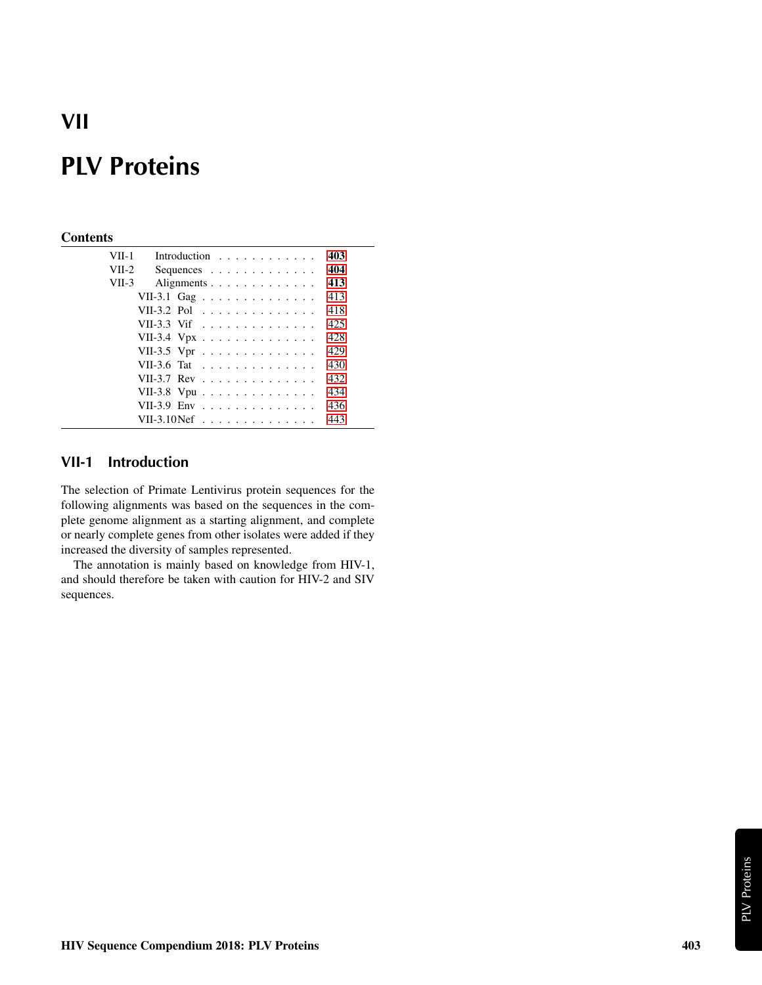## **VII**

# **PLV Proteins**

#### **Contents**

| VII-1   |                                                          | Introduction $\ldots$ , |  |  |  |  |  |  |  | 403 |
|---------|----------------------------------------------------------|-------------------------|--|--|--|--|--|--|--|-----|
| $VII-2$ |                                                          | Sequences               |  |  |  |  |  |  |  | 404 |
| $VII-3$ |                                                          | Alignments              |  |  |  |  |  |  |  | 413 |
|         | VII-3.1 Gag                                              |                         |  |  |  |  |  |  |  | 413 |
|         | VII-3.2 Pol                                              |                         |  |  |  |  |  |  |  | 418 |
|         | VII-3.3 Vif                                              |                         |  |  |  |  |  |  |  | 425 |
|         | VII-3.4 Vpx                                              |                         |  |  |  |  |  |  |  | 428 |
|         | VII-3.5 Vpr                                              |                         |  |  |  |  |  |  |  | 429 |
|         | VII-3.6 Tat                                              |                         |  |  |  |  |  |  |  | 430 |
|         | VII-3.7 Rev $\ldots$ $\ldots$ $\ldots$ $\ldots$ $\ldots$ |                         |  |  |  |  |  |  |  | 432 |
|         | VII-3.8 Vpu                                              |                         |  |  |  |  |  |  |  | 434 |
|         | VII-3.9 Env                                              |                         |  |  |  |  |  |  |  | 436 |
|         | VII-3.10 $N$ ef                                          |                         |  |  |  |  |  |  |  | 443 |

### <span id="page-0-0"></span>**VII-1 Introduction**

The selection of Primate Lentivirus protein sequences for the following alignments was based on the sequences in the complete genome alignment as a starting alignment, and complete or nearly complete genes from other isolates were added if they increased the diversity of samples represented.

The annotation is mainly based on knowledge from HIV-1, and should therefore be taken with caution for HIV-2 and SIV sequences.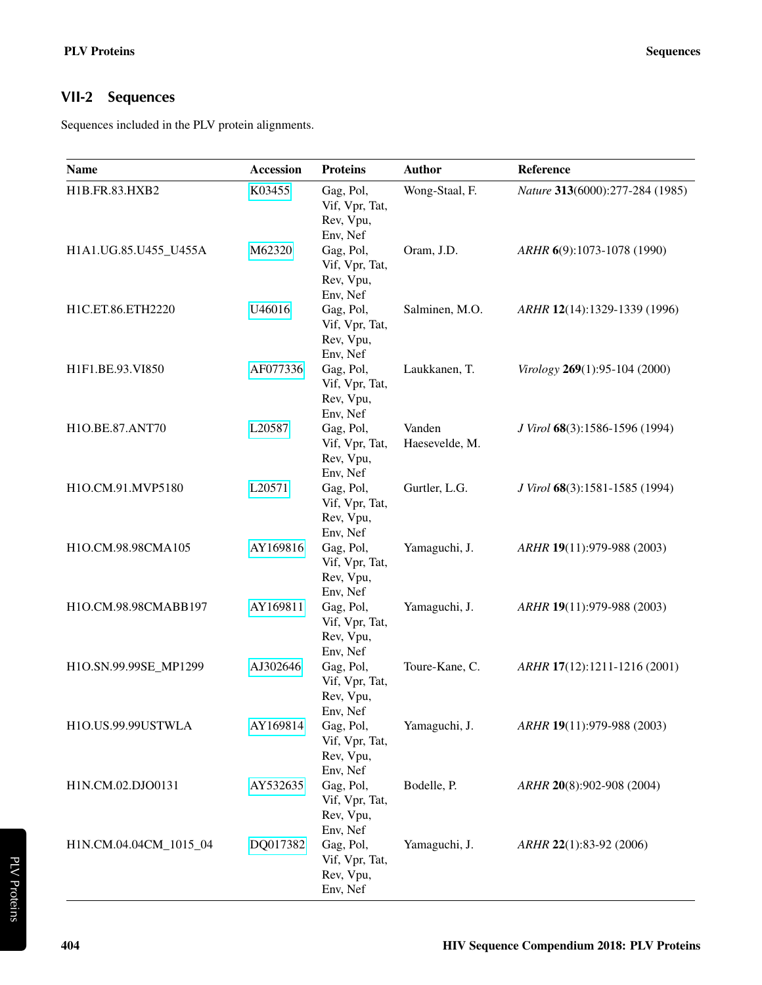### <span id="page-1-0"></span>**VII-2 Sequences**

Sequences included in the PLV protein alignments.

| <b>Name</b>            | Accession | <b>Proteins</b>                                                  | <b>Author</b>            | Reference                       |
|------------------------|-----------|------------------------------------------------------------------|--------------------------|---------------------------------|
| H1B.FR.83.HXB2         | K03455    | Gag, Pol,<br>Vif, Vpr, Tat,<br>Rev, Vpu,                         | Wong-Staal, F.           | Nature 313(6000):277-284 (1985) |
| H1A1.UG.85.U455_U455A  | M62320    | Env, Nef<br>Gag, Pol,<br>Vif, Vpr, Tat,<br>Rev, Vpu,             | Oram, J.D.               | ARHR 6(9):1073-1078 (1990)      |
| H1C.ET.86.ETH2220      | U46016    | Env, Nef<br>Gag, Pol,<br>Vif, Vpr, Tat,<br>Rev, Vpu,             | Salminen, M.O.           | ARHR 12(14):1329-1339 (1996)    |
| H1F1.BE.93.VI850       | AF077336  | Env, Nef<br>Gag, Pol,<br>Vif, Vpr, Tat,<br>Rev, Vpu,             | Laukkanen, T.            | Virology 269(1):95-104 (2000)   |
| H1O.BE.87.ANT70        | L20587    | Env, Nef<br>Gag, Pol,<br>Vif, Vpr, Tat,<br>Rev, Vpu,             | Vanden<br>Haesevelde, M. | J Virol 68(3):1586-1596 (1994)  |
| H1O.CM.91.MVP5180      | L20571    | Env, Nef<br>Gag, Pol,<br>Vif, Vpr, Tat,<br>Rev, Vpu,             | Gurtler, L.G.            | J Virol 68(3):1581-1585 (1994)  |
| H1O.CM.98.98CMA105     | AY169816  | Env, Nef<br>Gag, Pol,<br>Vif, Vpr, Tat,<br>Rev, Vpu,             | Yamaguchi, J.            | ARHR 19(11):979-988 (2003)      |
| H1O.CM.98.98CMABB197   | AY169811  | Env, Nef<br>Gag, Pol,<br>Vif, Vpr, Tat,<br>Rev, Vpu,             | Yamaguchi, J.            | ARHR 19(11):979-988 (2003)      |
| H1O.SN.99.99SE_MP1299  | AJ302646  | Env, Nef<br>Gag, Pol,<br>Vif, Vpr, Tat,<br>Rev, Vpu,             | Toure-Kane, C.           | ARHR 17(12):1211-1216 (2001)    |
| H1O.US.99.99USTWLA     | AY169814  | Env, Nef<br>Gag, Pol,<br>Vif, Vpr, Tat,<br>Rev, Vpu,             | Yamaguchi, J.            | ARHR 19(11):979-988 (2003)      |
| H1N.CM.02.DJO0131      | AY532635  | Env, Nef<br>Gag, Pol,<br>Vif, Vpr, Tat,<br>Rev, Vpu,             | Bodelle, P.              | ARHR 20(8):902-908 (2004)       |
| H1N.CM.04.04CM_1015_04 | DQ017382  | Env, Nef<br>Gag, Pol,<br>Vif, Vpr, Tat,<br>Rev, Vpu,<br>Env, Nef | Yamaguchi, J.            | ARHR 22(1):83-92 (2006)         |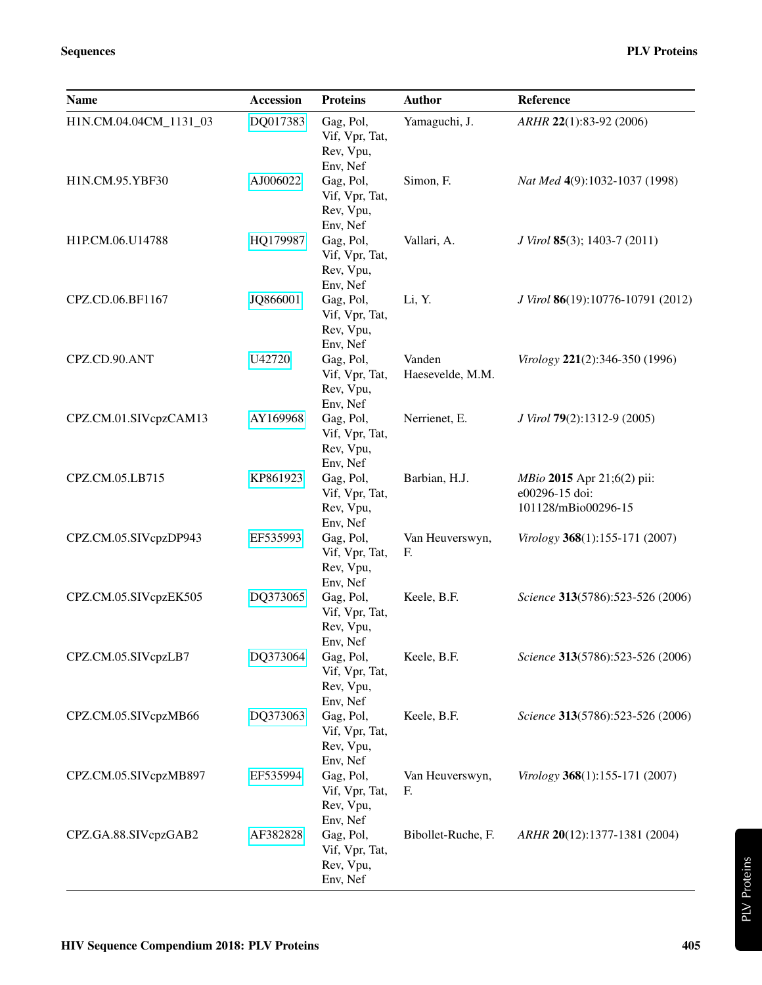| Name                   | <b>Accession</b> | <b>Proteins</b>                                      | <b>Author</b>              | Reference                                                                  |
|------------------------|------------------|------------------------------------------------------|----------------------------|----------------------------------------------------------------------------|
| H1N.CM.04.04CM_1131_03 | DQ017383         | Gag, Pol,<br>Vif, Vpr, Tat,<br>Rev, Vpu,<br>Env, Nef | Yamaguchi, J.              | ARHR 22(1):83-92 (2006)                                                    |
| H1N.CM.95.YBF30        | AJ006022         | Gag, Pol,<br>Vif, Vpr, Tat,<br>Rev, Vpu,<br>Env, Nef | Simon, F.                  | Nat Med 4(9):1032-1037 (1998)                                              |
| H1P.CM.06.U14788       | HQ179987         | Gag, Pol,<br>Vif, Vpr, Tat,<br>Rev, Vpu,<br>Env, Nef | Vallari, A.                | J Virol 85(3); 1403-7 (2011)                                               |
| CPZ.CD.06.BF1167       | JQ866001         | Gag, Pol,<br>Vif, Vpr, Tat,<br>Rev, Vpu,<br>Env, Nef | Li, Y.                     | J Virol 86(19):10776-10791 (2012)                                          |
| CPZ.CD.90.ANT          | U42720           | Gag, Pol,<br>Vif, Vpr, Tat,<br>Rev, Vpu,<br>Env, Nef | Vanden<br>Haesevelde, M.M. | Virology 221(2):346-350 (1996)                                             |
| CPZ.CM.01.SIVcpzCAM13  | AY169968         | Gag, Pol,<br>Vif, Vpr, Tat,<br>Rev, Vpu,<br>Env, Nef | Nerrienet, E.              | J Virol 79(2):1312-9 (2005)                                                |
| CPZ.CM.05.LB715        | KP861923         | Gag, Pol,<br>Vif, Vpr, Tat,<br>Rev, Vpu,<br>Env, Nef | Barbian, H.J.              | <i>MBio</i> 2015 Apr 21;6(2) pii:<br>e00296-15 doi:<br>101128/mBio00296-15 |
| CPZ.CM.05.SIVcpzDP943  | EF535993         | Gag, Pol,<br>Vif, Vpr, Tat,<br>Rev, Vpu,<br>Env, Nef | Van Heuverswyn,<br>F.      | Virology 368(1):155-171 (2007)                                             |
| CPZ.CM.05.SIVcpzEK505  | DQ373065         | Gag, Pol,<br>Vif, Vpr, Tat,<br>Rev, Vpu,<br>Env, Nef | Keele, B.F.                | Science 313(5786):523-526 (2006)                                           |
| CPZ.CM.05.SIVcpzLB7    | DQ373064         | Gag, Pol,<br>Vif, Vpr, Tat,<br>Rev, Vpu,<br>Env, Nef | Keele, B.F.                | Science 313(5786):523-526 (2006)                                           |
| CPZ.CM.05.SIVcpzMB66   | DQ373063         | Gag, Pol,<br>Vif, Vpr, Tat,<br>Rev, Vpu,<br>Env, Nef | Keele, B.F.                | Science 313(5786):523-526 (2006)                                           |
| CPZ.CM.05.SIVcpzMB897  | EF535994         | Gag, Pol,<br>Vif, Vpr, Tat,<br>Rev, Vpu,<br>Env, Nef | Van Heuverswyn,<br>F.      | Virology 368(1):155-171 (2007)                                             |
| CPZ.GA.88.SIVcpzGAB2   | AF382828         | Gag, Pol,<br>Vif, Vpr, Tat,<br>Rev, Vpu,<br>Env, Nef | Bibollet-Ruche, F.         | ARHR 20(12):1377-1381 (2004)                                               |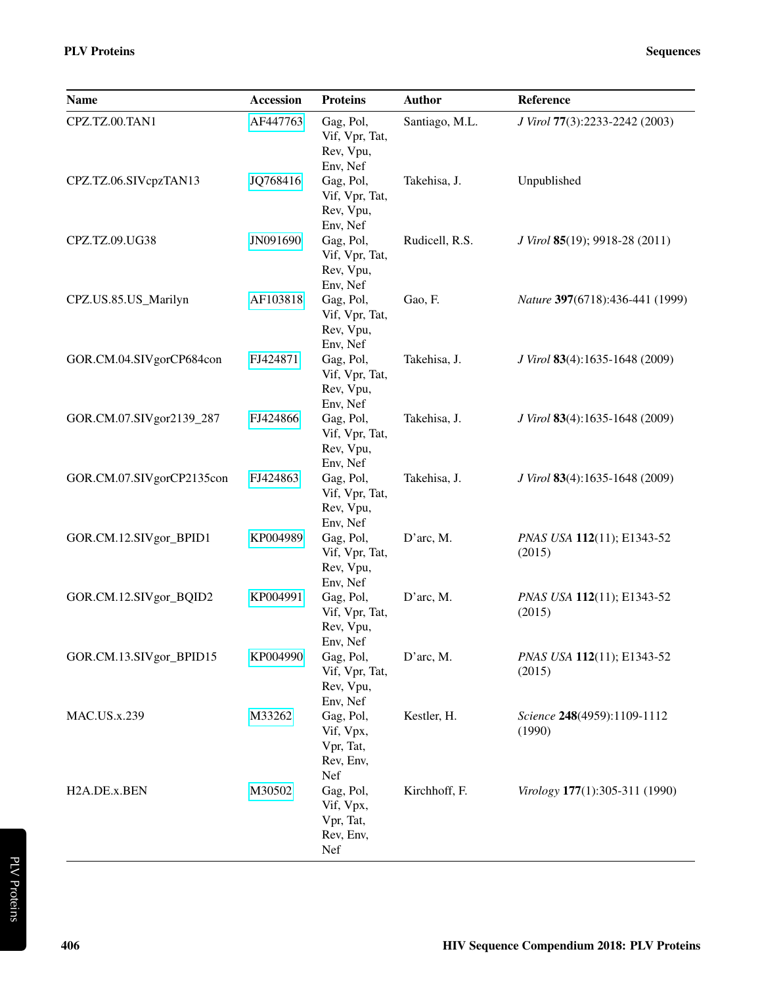| <b>Name</b>               | <b>Accession</b> | <b>Proteins</b>                                         | <b>Author</b>  | Reference                             |
|---------------------------|------------------|---------------------------------------------------------|----------------|---------------------------------------|
| CPZ.TZ.00.TAN1            | AF447763         | Gag, Pol,<br>Vif, Vpr, Tat,<br>Rev, Vpu,<br>Env, Nef    | Santiago, M.L. | J Virol 77(3):2233-2242 (2003)        |
| CPZ.TZ.06.SIVcpzTAN13     | JQ768416         | Gag, Pol,<br>Vif, Vpr, Tat,<br>Rev, Vpu,<br>Env, Nef    | Takehisa, J.   | Unpublished                           |
| CPZ.TZ.09.UG38            | JN091690         | Gag, Pol,<br>Vif, Vpr, Tat,<br>Rev, Vpu,<br>Env, Nef    | Rudicell, R.S. | J Virol 85(19); 9918-28 (2011)        |
| CPZ.US.85.US_Marilyn      | AF103818         | Gag, Pol,<br>Vif, Vpr, Tat,<br>Rev, Vpu,<br>Env, Nef    | Gao, F.        | Nature 397(6718):436-441 (1999)       |
| GOR.CM.04.SIVgorCP684con  | FJ424871         | Gag, Pol,<br>Vif, Vpr, Tat,<br>Rev, Vpu,<br>Env, Nef    | Takehisa, J.   | J Virol 83(4):1635-1648 (2009)        |
| GOR.CM.07.SIVgor2139_287  | FJ424866         | Gag, Pol,<br>Vif, Vpr, Tat,<br>Rev, Vpu,<br>Env, Nef    | Takehisa, J.   | J Virol 83(4):1635-1648 (2009)        |
| GOR.CM.07.SIVgorCP2135con | FJ424863         | Gag, Pol,<br>Vif, Vpr, Tat,<br>Rev, Vpu,<br>Env, Nef    | Takehisa, J.   | J Virol 83(4):1635-1648 (2009)        |
| GOR.CM.12.SIVgor_BPID1    | KP004989         | Gag, Pol,<br>Vif, Vpr, Tat,<br>Rev, Vpu,<br>Env, Nef    | D'arc, M.      | PNAS USA 112(11); E1343-52<br>(2015)  |
| GOR.CM.12.SIVgor_BQID2    | KP004991         | Gag, Pol,<br>Vif, Vpr, Tat,<br>Rev, Vpu,<br>Env, Nef    | D'arc, M.      | PNAS USA 112(11); E1343-52<br>(2015)  |
| GOR.CM.13.SIVgor_BPID15   | KP004990         | Gag, Pol,<br>Vif, Vpr, Tat,<br>Rev, Vpu,<br>Env, Nef    | D'arc, M.      | PNAS USA 112(11); E1343-52<br>(2015)  |
| <b>MAC.US.x.239</b>       | M33262           | Gag, Pol,<br>Vif, Vpx,<br>Vpr, Tat,<br>Rev, Env,<br>Nef | Kestler, H.    | Science 248(4959):1109-1112<br>(1990) |
| H2A.DE.x.BEN              | M30502           | Gag, Pol,<br>Vif, Vpx,<br>Vpr, Tat,<br>Rev, Env,<br>Nef | Kirchhoff, F.  | Virology 177(1):305-311 (1990)        |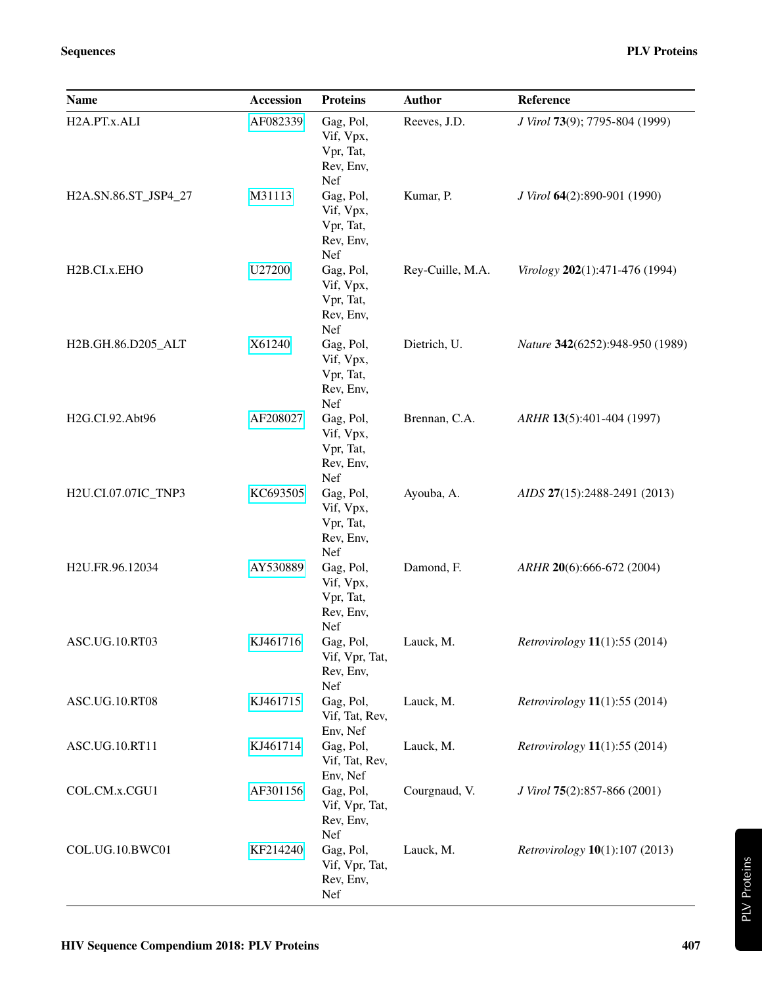| <b>Name</b>               | <b>Accession</b> | <b>Proteins</b>                                         | <b>Author</b>    | Reference                                     |
|---------------------------|------------------|---------------------------------------------------------|------------------|-----------------------------------------------|
| H2A.PT.x.ALI              | AF082339         | Gag, Pol,<br>Vif, Vpx,<br>Vpr, Tat,<br>Rev, Env,<br>Nef | Reeves, J.D.     | J Virol 73(9); 7795-804 (1999)                |
| H2A.SN.86.ST_JSP4_27      | M31113           | Gag, Pol,<br>Vif, Vpx,<br>Vpr, Tat,<br>Rev, Env,<br>Nef | Kumar, P.        | J Virol 64(2):890-901 (1990)                  |
| H <sub>2</sub> B.CI.x.EHO | U27200           | Gag, Pol,<br>Vif, Vpx,<br>Vpr, Tat,<br>Rev, Env,<br>Nef | Rey-Cuille, M.A. | Virology 202(1):471-476 (1994)                |
| H2B.GH.86.D205_ALT        | X61240           | Gag, Pol,<br>Vif, Vpx,<br>Vpr, Tat,<br>Rev, Env,<br>Nef | Dietrich, U.     | Nature 342(6252):948-950 (1989)               |
| H2G.CI.92.Abt96           | AF208027         | Gag, Pol,<br>Vif, Vpx,<br>Vpr, Tat,<br>Rev, Env,<br>Nef | Brennan, C.A.    | ARHR 13(5):401-404 (1997)                     |
| H2U.CI.07.07IC_TNP3       | KC693505         | Gag, Pol,<br>Vif, Vpx,<br>Vpr, Tat,<br>Rev, Env,<br>Nef | Ayouba, A.       | AIDS 27(15):2488-2491 (2013)                  |
| H2U.FR.96.12034           | AY530889         | Gag, Pol,<br>Vif, Vpx,<br>Vpr, Tat,<br>Rev, Env,<br>Nef | Damond, F.       | ARHR 20(6):666-672 (2004)                     |
| ASC.UG.10.RT03            | KJ461716         | Gag, Pol,<br>Vif, Vpr, Tat,<br>Rev, Env,<br>Nef         | Lauck, M.        | Retrovirology 11(1):55 (2014)                 |
| ASC.UG.10.RT08            | KJ461715         | Gag, Pol,<br>Vif, Tat, Rev,<br>Env, Nef                 | Lauck, M.        | <i>Retrovirology</i> <b>11</b> (1):55 (2014)  |
| ASC.UG.10.RT11            | KJ461714         | Gag, Pol,<br>Vif, Tat, Rev,<br>Env, Nef                 | Lauck, M.        | <i>Retrovirology</i> <b>11</b> (1):55 (2014)  |
| COL.CM.x.CGU1             | AF301156         | Gag, Pol,<br>Vif, Vpr, Tat,<br>Rev, Env,<br>Nef         | Courgnaud, V.    | J Virol 75(2):857-866 (2001)                  |
| COL.UG.10.BWC01           | KF214240         | Gag, Pol,<br>Vif, Vpr, Tat,<br>Rev, Env,<br>Nef         | Lauck, M.        | <i>Retrovirology</i> <b>10</b> (1):107 (2013) |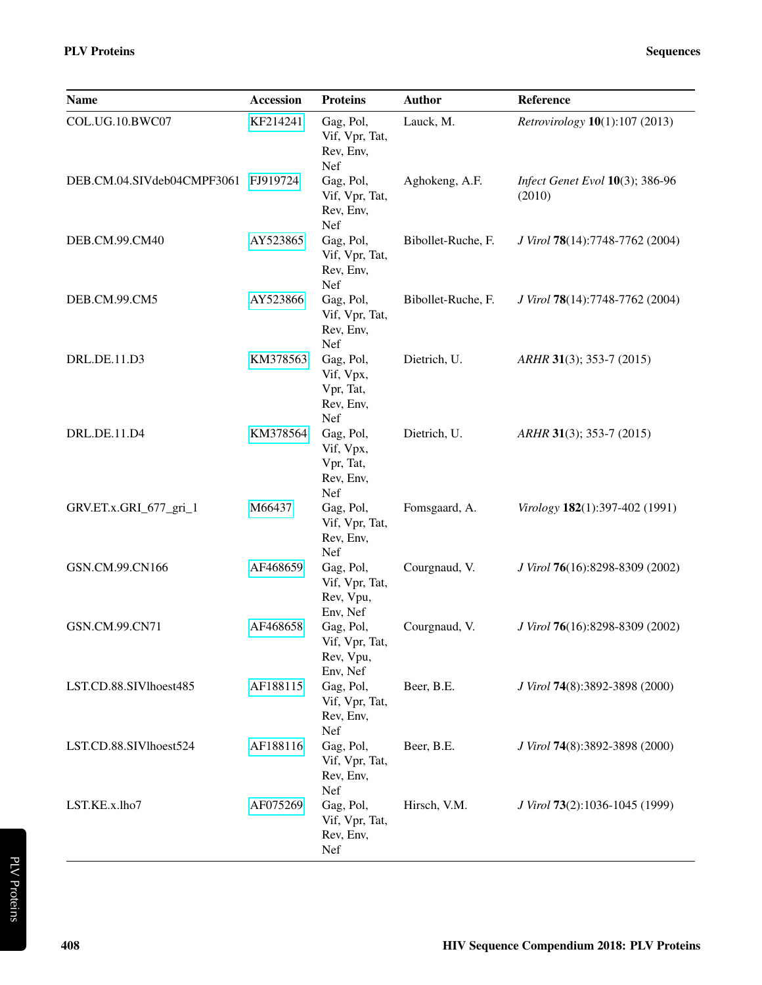| Name                                | <b>Accession</b> | <b>Proteins</b>                                         | <b>Author</b>      | Reference                                 |
|-------------------------------------|------------------|---------------------------------------------------------|--------------------|-------------------------------------------|
| COL.UG.10.BWC07                     | KF214241         | Gag, Pol,<br>Vif, Vpr, Tat,<br>Rev, Env,<br>Nef         | Lauck, M.          | Retrovirology 10(1):107 (2013)            |
| DEB.CM.04.SIVdeb04CMPF3061 FJ919724 |                  | Gag, Pol,<br>Vif, Vpr, Tat,<br>Rev, Env,<br>Nef         | Aghokeng, A.F.     | Infect Genet Evol 10(3); 386-96<br>(2010) |
| DEB.CM.99.CM40                      | AY523865         | Gag, Pol,<br>Vif, Vpr, Tat,<br>Rev, Env,<br>Nef         | Bibollet-Ruche, F. | J Virol 78(14):7748-7762 (2004)           |
| DEB.CM.99.CM5                       | AY523866         | Gag, Pol,<br>Vif, Vpr, Tat,<br>Rev, Env,<br>Nef         | Bibollet-Ruche, F. | J Virol 78(14):7748-7762 (2004)           |
| DRL.DE.11.D3                        | KM378563         | Gag, Pol,<br>Vif, Vpx,<br>Vpr, Tat,<br>Rev, Env,<br>Nef | Dietrich, U.       | ARHR 31(3); 353-7 (2015)                  |
| DRL.DE.11.D4                        | KM378564         | Gag, Pol,<br>Vif, Vpx,<br>Vpr, Tat,<br>Rev, Env,<br>Nef | Dietrich, U.       | $ARHR$ 31(3); 353-7 (2015)                |
| GRV.ET.x.GRI_677_gri_1              | M66437           | Gag, Pol,<br>Vif, Vpr, Tat,<br>Rev, Env,<br>Nef         | Fomsgaard, A.      | Virology 182(1):397-402 (1991)            |
| GSN.CM.99.CN166                     | AF468659         | Gag, Pol,<br>Vif, Vpr, Tat,<br>Rev, Vpu,<br>Env, Nef    | Courgnaud, V.      | J Virol 76(16):8298-8309 (2002)           |
| GSN.CM.99.CN71                      | AF468658         | Gag, Pol,<br>Vif, Vpr, Tat,<br>Rev, Vpu,<br>Env, Nef    | Courgnaud, V.      | J Virol 76(16):8298-8309 (2002)           |
| LST.CD.88.SIVlhoest485              | AF188115         | Gag, Pol,<br>Vif, Vpr, Tat,<br>Rev, Env,<br>Nef         | Beer, B.E.         | J Virol 74(8):3892-3898 (2000)            |
| LST.CD.88.SIVlhoest524              | AF188116         | Gag, Pol,<br>Vif, Vpr, Tat,<br>Rev, Env,<br>Nef         | Beer, B.E.         | J Virol 74(8):3892-3898 (2000)            |
| LST.KE.x.lho7                       | AF075269         | Gag, Pol,<br>Vif, Vpr, Tat,<br>Rev, Env,<br>Nef         | Hirsch, V.M.       | J Virol 73(2):1036-1045 (1999)            |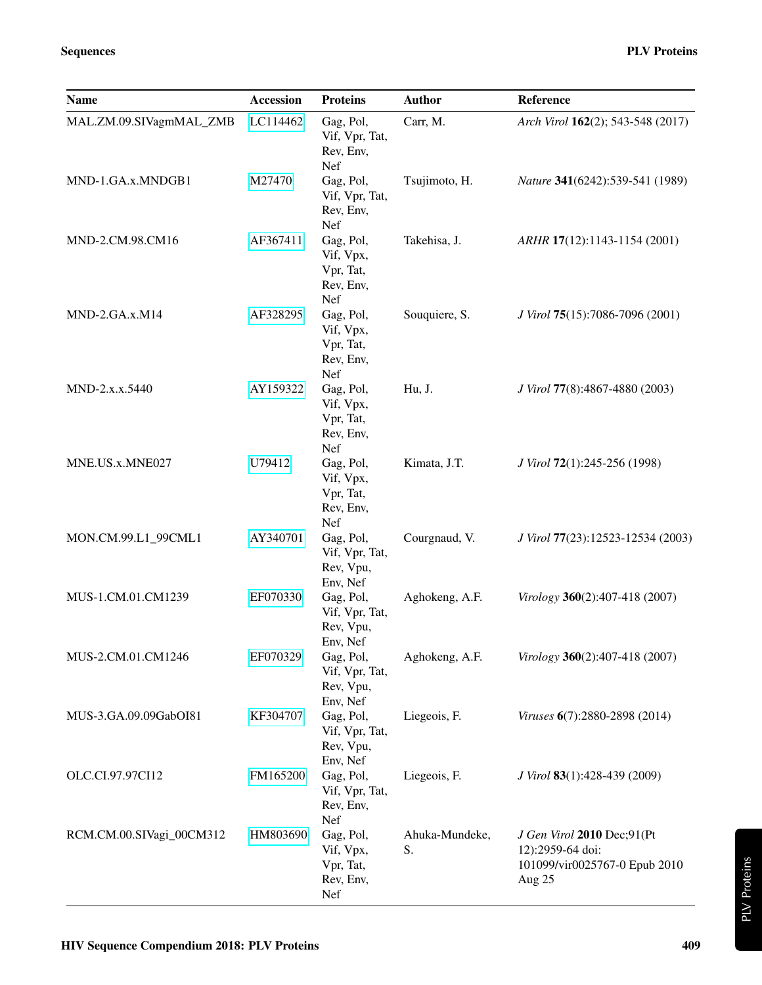| <b>Name</b>              | Accession | <b>Proteins</b>                                         | <b>Author</b>        | Reference                                                                                 |
|--------------------------|-----------|---------------------------------------------------------|----------------------|-------------------------------------------------------------------------------------------|
| MAL.ZM.09.SIVagmMAL_ZMB  | LC114462  | Gag, Pol,<br>Vif, Vpr, Tat,<br>Rev, Env,<br>Nef         | Carr, M.             | Arch Virol 162(2); 543-548 (2017)                                                         |
| MND-1.GA.x.MNDGB1        | M27470    | Gag, Pol,<br>Vif, Vpr, Tat,<br>Rev, Env,<br>Nef         | Tsujimoto, H.        | Nature 341(6242):539-541 (1989)                                                           |
| MND-2.CM.98.CM16         | AF367411  | Gag, Pol,<br>Vif, Vpx,<br>Vpr, Tat,<br>Rev, Env,<br>Nef | Takehisa, J.         | ARHR 17(12):1143-1154 (2001)                                                              |
| MND-2.GA.x.M14           | AF328295  | Gag, Pol,<br>Vif, Vpx,<br>Vpr, Tat,<br>Rev, Env,<br>Nef | Souquiere, S.        | J Virol 75(15):7086-7096 (2001)                                                           |
| MND-2.x.x.5440           | AY159322  | Gag, Pol,<br>Vif, Vpx,<br>Vpr, Tat,<br>Rev, Env,<br>Nef | Hu, J.               | J Virol 77(8):4867-4880 (2003)                                                            |
| MNE.US.x.MNE027          | U79412    | Gag, Pol,<br>Vif, Vpx,<br>Vpr, Tat,<br>Rev, Env,<br>Nef | Kimata, J.T.         | J Virol 72(1):245-256 (1998)                                                              |
| MON.CM.99.L1_99CML1      | AY340701  | Gag, Pol,<br>Vif, Vpr, Tat,<br>Rev, Vpu,<br>Env, Nef    | Courgnaud, V.        | J Virol 77(23):12523-12534 (2003)                                                         |
| MUS-1.CM.01.CM1239       | EF070330  | Gag, Pol,<br>Vif, Vpr, Tat,<br>Rev, Vpu,<br>Env, Nef    | Aghokeng, A.F.       | Virology 360(2):407-418 (2007)                                                            |
| MUS-2.CM.01.CM1246       | EF070329  | Gag, Pol,<br>Vif, Vpr, Tat,<br>Rev, Vpu,<br>Env, Nef    | Aghokeng, A.F.       | Virology 360(2):407-418 (2007)                                                            |
| MUS-3.GA.09.09GabOI81    | KF304707  | Gag, Pol,<br>Vif, Vpr, Tat,<br>Rev, Vpu,<br>Env, Nef    | Liegeois, F.         | Viruses 6(7):2880-2898 (2014)                                                             |
| OLC.CI.97.97CI12         | FM165200  | Gag, Pol,<br>Vif, Vpr, Tat,<br>Rev, Env,<br>Nef         | Liegeois, F.         | J Virol 83(1):428-439 (2009)                                                              |
| RCM.CM.00.SIVagi_00CM312 | HM803690  | Gag, Pol,<br>Vif, Vpx,<br>Vpr, Tat,<br>Rev, Env,<br>Nef | Ahuka-Mundeke,<br>S. | J Gen Virol 2010 Dec;91(Pt<br>12):2959-64 doi:<br>101099/vir0025767-0 Epub 2010<br>Aug 25 |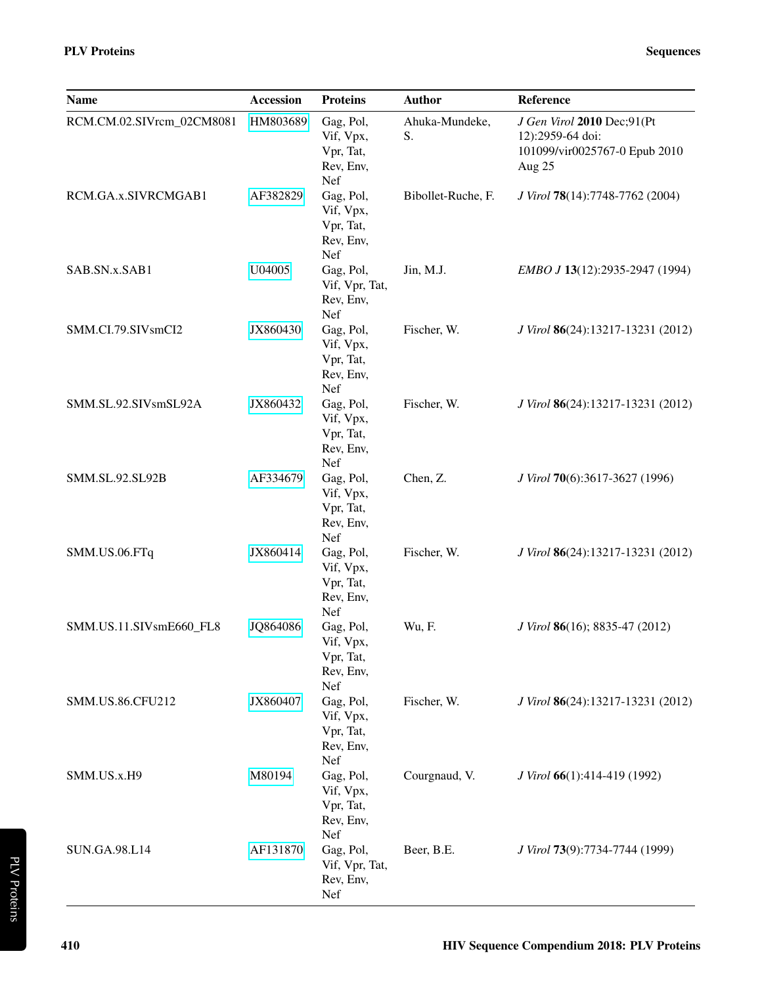| <b>Name</b>               | <b>Accession</b> | <b>Proteins</b>                                         | <b>Author</b>        | Reference                                                                                 |
|---------------------------|------------------|---------------------------------------------------------|----------------------|-------------------------------------------------------------------------------------------|
| RCM.CM.02.SIVrcm_02CM8081 | HM803689         | Gag, Pol,<br>Vif, Vpx,<br>Vpr, Tat,<br>Rev, Env,<br>Nef | Ahuka-Mundeke,<br>S. | J Gen Virol 2010 Dec;91(Pt<br>12):2959-64 doi:<br>101099/vir0025767-0 Epub 2010<br>Aug 25 |
| RCM.GA.x.SIVRCMGAB1       | AF382829         | Gag, Pol,<br>Vif, Vpx,<br>Vpr, Tat,<br>Rev, Env,<br>Nef | Bibollet-Ruche, F.   | J Virol 78(14):7748-7762 (2004)                                                           |
| SAB.SN.x.SAB1             | U04005           | Gag, Pol,<br>Vif, Vpr, Tat,<br>Rev, Env,<br>Nef         | Jin, M.J.            | EMBO J 13(12):2935-2947 (1994)                                                            |
| SMM.CI.79.SIVsmCI2        | JX860430         | Gag, Pol,<br>Vif, Vpx,<br>Vpr, Tat,<br>Rev, Env,<br>Nef | Fischer, W.          | J Virol 86(24):13217-13231 (2012)                                                         |
| SMM.SL.92.SIVsmSL92A      | JX860432         | Gag, Pol,<br>Vif, Vpx,<br>Vpr, Tat,<br>Rev, Env,<br>Nef | Fischer, W.          | J Virol 86(24):13217-13231 (2012)                                                         |
| SMM.SL.92.SL92B           | AF334679         | Gag, Pol,<br>Vif, Vpx,<br>Vpr, Tat,<br>Rev, Env,<br>Nef | Chen, Z.             | J Virol 70(6):3617-3627 (1996)                                                            |
| SMM.US.06.FTq             | JX860414         | Gag, Pol,<br>Vif, Vpx,<br>Vpr, Tat,<br>Rev, Env,<br>Nef | Fischer, W.          | J Virol 86(24):13217-13231 (2012)                                                         |
| SMM.US.11.SIVsmE660_FL8   | JQ864086         | Gag, Pol,<br>Vif, Vpx,<br>Vpr, Tat,<br>Rev, Env,<br>Nef | Wu, F.               | J Virol 86(16); 8835-47 (2012)                                                            |
| <b>SMM.US.86.CFU212</b>   | JX860407         | Gag, Pol,<br>Vif, Vpx,<br>Vpr, Tat,<br>Rev, Env,<br>Nef | Fischer, W.          | J Virol 86(24):13217-13231 (2012)                                                         |
| SMM.US.x.H9               | M80194           | Gag, Pol,<br>Vif, Vpx,<br>Vpr, Tat,<br>Rev, Env,<br>Nef | Courgnaud, V.        | J Virol 66(1):414-419 (1992)                                                              |
| SUN.GA.98.L14             | AF131870         | Gag, Pol,<br>Vif, Vpr, Tat,<br>Rev, Env,<br>Nef         | Beer, B.E.           | J Virol 73(9):7734-7744 (1999)                                                            |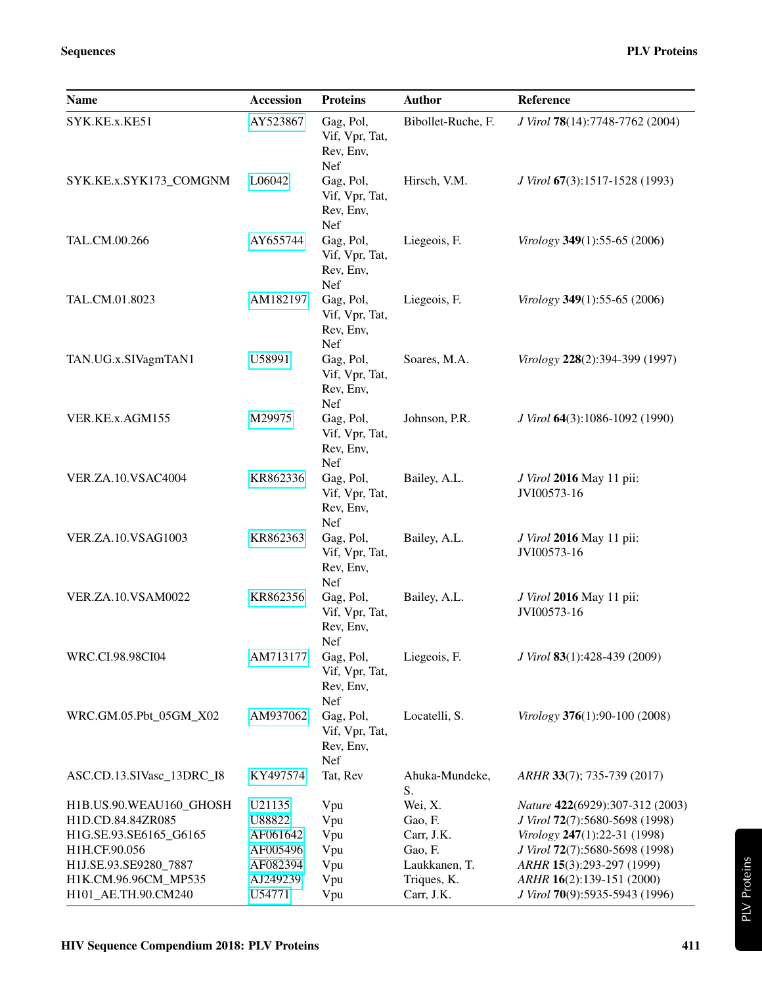| <b>Name</b>               | <b>Accession</b> | <b>Proteins</b>                                 | <b>Author</b>        | Reference                                      |
|---------------------------|------------------|-------------------------------------------------|----------------------|------------------------------------------------|
| SYK.KE.x.KE51             | AY523867         | Gag, Pol,<br>Vif, Vpr, Tat,<br>Rev, Env,<br>Nef | Bibollet-Ruche, F.   | J Virol 78(14):7748-7762 (2004)                |
| SYK.KE.x.SYK173_COMGNM    | L06042           | Gag, Pol,<br>Vif, Vpr, Tat,<br>Rev, Env,<br>Nef | Hirsch, V.M.         | J Virol 67(3):1517-1528 (1993)                 |
| TAL.CM.00.266             | AY655744         | Gag, Pol,<br>Vif, Vpr, Tat,<br>Rev, Env,<br>Nef | Liegeois, F.         | Virology 349(1):55-65 (2006)                   |
| TAL.CM.01.8023            | AM182197         | Gag, Pol,<br>Vif, Vpr, Tat,<br>Rev, Env,<br>Nef | Liegeois, F.         | Virology 349(1):55-65 (2006)                   |
| TAN.UG.x.SIVagmTAN1       | U58991           | Gag, Pol,<br>Vif, Vpr, Tat,<br>Rev, Env,<br>Nef | Soares, M.A.         | Virology 228(2):394-399 (1997)                 |
| VER.KE.x.AGM155           | M29975           | Gag, Pol,<br>Vif, Vpr, Tat,<br>Rev, Env,<br>Nef | Johnson, P.R.        | J Virol 64(3):1086-1092 (1990)                 |
| <b>VER.ZA.10.VSAC4004</b> | KR862336         | Gag, Pol,<br>Vif, Vpr, Tat,<br>Rev, Env,<br>Nef | Bailey, A.L.         | <i>J Virol</i> 2016 May 11 pii:<br>JVI00573-16 |
| <b>VER.ZA.10.VSAG1003</b> | KR862363         | Gag, Pol,<br>Vif, Vpr, Tat,<br>Rev, Env,<br>Nef | Bailey, A.L.         | <i>J Virol</i> 2016 May 11 pii:<br>JVI00573-16 |
| <b>VER.ZA.10.VSAM0022</b> | KR862356         | Gag, Pol,<br>Vif, Vpr, Tat,<br>Rev, Env,<br>Nef | Bailey, A.L.         | <i>J Virol</i> 2016 May 11 pii:<br>JVI00573-16 |
| WRC.CI.98.98CI04          | AM713177         | Gag, Pol,<br>Vif, Vpr, Tat,<br>Rev, Env,<br>Nef | Liegeois, F.         | J Virol 83(1):428-439 (2009)                   |
| WRC.GM.05.Pbt_05GM_X02    | AM937062         | Gag, Pol,<br>Vif, Vpr, Tat,<br>Rev, Env,<br>Nef | Locatelli, S.        | Virology 376(1):90-100 (2008)                  |
| ASC.CD.13.SIVasc_13DRC_I8 | KY497574         | Tat, Rev                                        | Ahuka-Mundeke,<br>S. | ARHR 33(7); 735-739 (2017)                     |
| H1B.US.90.WEAU160_GHOSH   | U21135           | Vpu                                             | Wei, X.              | Nature 422(6929):307-312 (2003)                |
| H1D.CD.84.84ZR085         | U88822           | Vpu                                             | Gao, F.              | J Virol 72(7):5680-5698 (1998)                 |
| H1G.SE.93.SE6165_G6165    | AF061642         | Vpu                                             | Carr, J.K.           | Virology 247(1):22-31 (1998)                   |
| H1H.CF.90.056             | AF005496         | Vpu                                             | Gao, F.              | J Virol 72(7):5680-5698 (1998)                 |
| H1J.SE.93.SE9280_7887     | AF082394         | Vpu                                             | Laukkanen, T.        | ARHR 15(3):293-297 (1999)                      |
| H1K.CM.96.96CM_MP535      | AJ249239         | Vpu                                             | Triques, K.          | ARHR 16(2):139-151 (2000)                      |
| H101_AE.TH.90.CM240       | U54771           | Vpu                                             | Carr, J.K.           | J Virol 70(9):5935-5943 (1996)                 |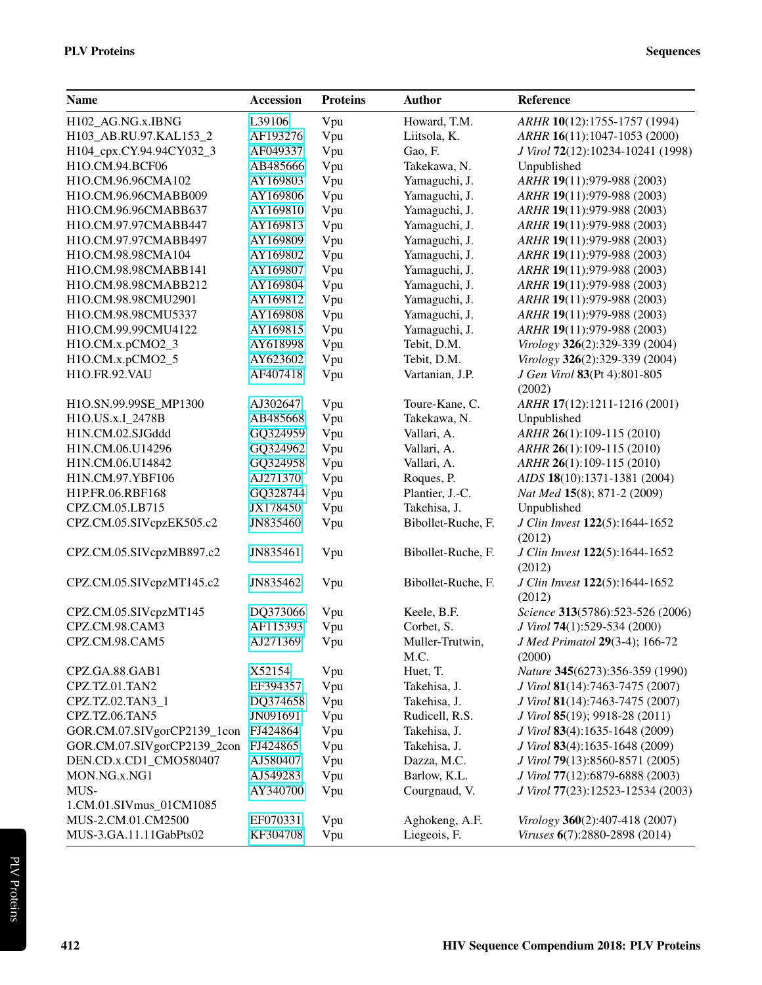| <b>Name</b>                          | <b>Accession</b> | <b>Proteins</b> | <b>Author</b>      | Reference                                     |
|--------------------------------------|------------------|-----------------|--------------------|-----------------------------------------------|
| H102_AG.NG.x.IBNG                    | L39106           | Vpu             | Howard, T.M.       | ARHR 10(12):1755-1757 (1994)                  |
| H103_AB.RU.97.KAL153_2               | AF193276         | Vpu             | Liitsola, K.       | ARHR 16(11):1047-1053 (2000)                  |
| H104_cpx.CY.94.94CY032_3             | AF049337         | Vpu             | Gao, F.            | J Virol 72(12):10234-10241 (1998)             |
| H1O.CM.94.BCF06                      | AB485666         | Vpu             | Takekawa, N.       | Unpublished                                   |
| H1O.CM.96.96CMA102                   | AY169803         | Vpu             | Yamaguchi, J.      | ARHR 19(11):979-988 (2003)                    |
| H1O.CM.96.96CMABB009                 | AY169806         | Vpu             | Yamaguchi, J.      | ARHR 19(11):979-988 (2003)                    |
| H1O.CM.96.96CMABB637                 | AY169810         | Vpu             | Yamaguchi, J.      | ARHR 19(11):979-988 (2003)                    |
| H1O.CM.97.97CMABB447                 | AY169813         | Vpu             | Yamaguchi, J.      | ARHR 19(11):979-988 (2003)                    |
| H1O.CM.97.97CMABB497                 | AY169809         | Vpu             | Yamaguchi, J.      | ARHR 19(11):979-988 (2003)                    |
| H1O.CM.98.98CMA104                   | AY169802         | Vpu             | Yamaguchi, J.      | ARHR 19(11):979-988 (2003)                    |
| H1O.CM.98.98CMABB141                 | AY169807         | Vpu             | Yamaguchi, J.      | ARHR 19(11):979-988 (2003)                    |
| H1O.CM.98.98CMABB212                 | AY169804         | Vpu             | Yamaguchi, J.      | ARHR 19(11):979-988 (2003)                    |
| H1O.CM.98.98CMU2901                  | AY169812         | Vpu             | Yamaguchi, J.      | ARHR 19(11):979-988 (2003)                    |
| H1O.CM.98.98CMU5337                  | AY169808         | Vpu             | Yamaguchi, J.      | ARHR 19(11):979-988 (2003)                    |
| H1O.CM.99.99CMU4122                  | AY169815         | Vpu             | Yamaguchi, J.      | ARHR 19(11):979-988 (2003)                    |
| H1O.CM.x.pCMO2_3                     | AY618998         | Vpu             | Tebit, D.M.        | Virology 326(2):329-339 (2004)                |
| H1O.CM.x.pCMO2_5                     | AY623602         | Vpu             | Tebit, D.M.        | Virology 326(2):329-339 (2004)                |
| H1O.FR.92.VAU                        | AF407418         | Vpu             | Vartanian, J.P.    | J Gen Virol 83(Pt 4):801-805                  |
|                                      |                  |                 |                    | (2002)                                        |
| H1O.SN.99.99SE_MP1300                | AJ302647         | Vpu             | Toure-Kane, C.     | ARHR 17(12):1211-1216 (2001)                  |
| H1O.US.x.I_2478B                     | AB485668         | Vpu             | Takekawa, N.       | Unpublished                                   |
| H1N.CM.02.SJGddd                     | GQ324959         | Vpu             | Vallari, A.        | ARHR 26(1):109-115 (2010)                     |
| H1N.CM.06.U14296                     | GQ324962         | Vpu             | Vallari, A.        | ARHR 26(1):109-115 (2010)                     |
| H1N.CM.06.U14842                     | GQ324958         | Vpu             | Vallari, A.        | ARHR 26(1):109-115 (2010)                     |
| H1N.CM.97.YBF106                     | AJ271370         | Vpu             | Roques, P.         | AIDS 18(10):1371-1381 (2004)                  |
| H1P.FR.06.RBF168                     | GQ328744         | Vpu             | Plantier, J.-C.    | Nat Med 15(8); 871-2 (2009)                   |
| CPZ.CM.05.LB715                      | JX178450         |                 | Takehisa, J.       | Unpublished                                   |
|                                      |                  | Vpu             |                    |                                               |
| CPZ.CM.05.SIVcpzEK505.c2             | JN835460         | Vpu             | Bibollet-Ruche, F. | J Clin Invest 122(5):1644-1652<br>(2012)      |
| CPZ.CM.05.SIVcpzMB897.c2             | JN835461         | Vpu             | Bibollet-Ruche, F. | J Clin Invest 122(5):1644-1652                |
|                                      |                  |                 |                    | (2012)                                        |
| CPZ.CM.05.SIVcpzMT145.c2             | JN835462         | Vpu             | Bibollet-Ruche, F. | J Clin Invest 122(5):1644-1652<br>(2012)      |
| CPZ.CM.05.SIVcpzMT145                | DQ373066         | Vpu             | Keele, B.F.        | Science 313(5786):523-526 (2006)              |
| CPZ.CM.98.CAM3                       | AF115393         | Vpu             | Corbet, S.         | J Virol 74(1):529-534 (2000)                  |
| CPZ.CM.98.CAM5                       | AJ271369         | Vpu             | Muller-Trutwin,    | J Med Primatol 29(3-4); 166-72                |
|                                      |                  |                 | M.C.               | (2000)                                        |
| CPZ.GA.88.GAB1                       | X52154           | Vpu             | Huet, T.           | Nature 345(6273):356-359 (1990)               |
| CPZ.TZ.01.TAN2                       | EF394357         | Vpu             | Takehisa, J.       | J Virol 81(14):7463-7475 (2007)               |
| CPZ.TZ.02.TAN3_1                     | DQ374658         | Vpu             | Takehisa, J.       | J Virol 81(14):7463-7475 (2007)               |
| CPZ.TZ.06.TAN5                       | JN091691         | Vpu             | Rudicell, R.S.     | <i>J Virol</i> <b>85</b> (19); 9918-28 (2011) |
| GOR.CM.07.SIVgorCP2139_1con          | FJ424864         | Vpu             | Takehisa, J.       | J Virol 83(4):1635-1648 (2009)                |
| GOR.CM.07.SIVgorCP2139_2con FJ424865 |                  | Vpu             | Takehisa, J.       | J Virol 83(4):1635-1648 (2009)                |
| DEN.CD.x.CD1_CMO580407               | AJ580407         | Vpu             | Dazza, M.C.        | J Virol 79(13):8560-8571 (2005)               |
| MON.NG.x.NG1                         | AJ549283         | Vpu             | Barlow, K.L.       | J Virol 77(12):6879-6888 (2003)               |
| MUS-                                 | AY340700         | Vpu             | Courgnaud, V.      | J Virol 77(23):12523-12534 (2003)             |
| 1.CM.01.SIVmus_01CM1085              |                  |                 |                    |                                               |
| MUS-2.CM.01.CM2500                   | EF070331         | Vpu             | Aghokeng, A.F.     | Virology 360(2):407-418 (2007)                |
| MUS-3.GA.11.11GabPts02               | KF304708         | Vpu             | Liegeois, F.       | Viruses 6(7):2880-2898 (2014)                 |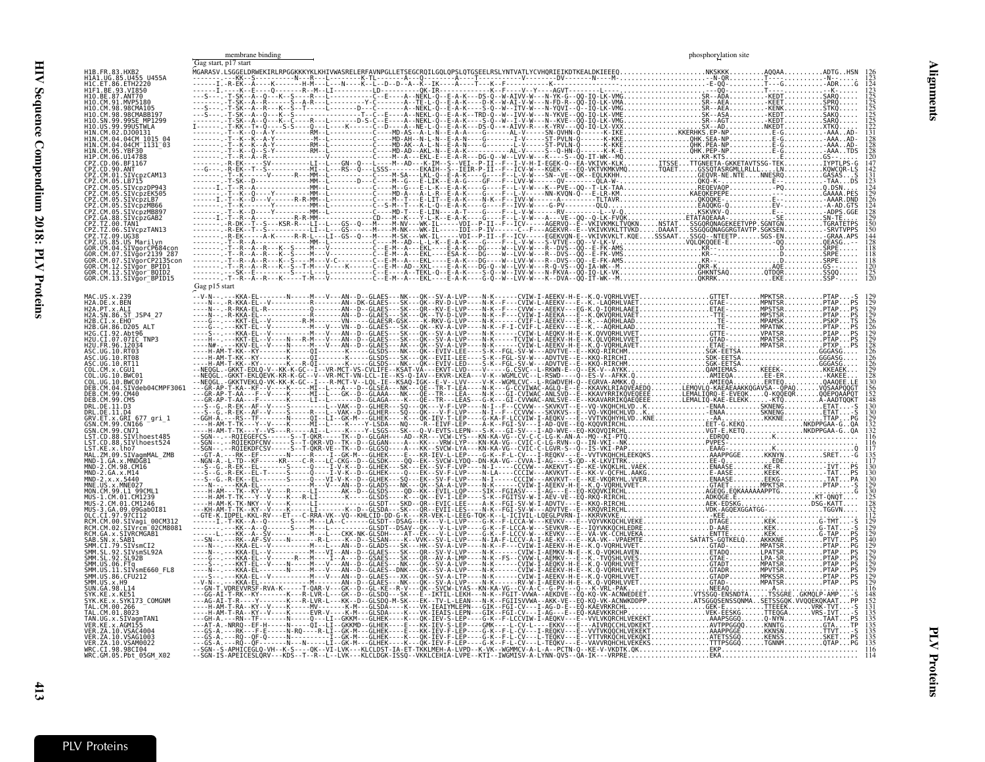<span id="page-10-1"></span><span id="page-10-0"></span>

|                                                                                                                                                              | membrane binding<br>Gag start, p17 start | phosphorylation site                                                                                                   |
|--------------------------------------------------------------------------------------------------------------------------------------------------------------|------------------------------------------|------------------------------------------------------------------------------------------------------------------------|
|                                                                                                                                                              |                                          |                                                                                                                        |
| 93.VI850<br>ANT70<br>MABB19.<br>99USTWLA<br>04CM 1015 0<br>04CM 1131 03                                                                                      |                                          | ∧iKQ<br>-AAA AD<br>-AAA.AD<br>-AAA.AD -                                                                                |
| <b>BF1167</b><br>/cpzCAM13<br>SIVCDZDP943<br>cpzEK505<br>chzLB7<br>/cbzMB66<br>/cpzMB897                                                                     |                                          | AAATDS<br><b>IYPTLPS-G</b><br>KQWCQR-LS<br>GASAS<br>-TAADŠ<br>0.DSN<br>GAAAA.PES<br>AAAR, DND<br>A-AD.GTS<br>-ADPS.GGE |
| IVcpzGAB2<br>TAN 1<br>SIVaorCP684con<br>Vaor2139 287<br>SIVgorCP2135con<br>SIVgor BPID1<br>SIVgor <sup>-</sup> BQID2<br>GOR.CM.12<br>GOR.CM.13.SIVğor_BPID15 |                                          | SN-TË<br>TGRATETPS<br><b>GRAA.APS</b><br>RPE<br>RPE<br>$SRPE$<br>$GS - 1.1.1$<br>5500                                  |
| MAC.US.x.239<br>H2A.DE.x.BEN<br>H2A.PT.x.ALI<br>H2A.SN.86.ST JSP4 27<br>12B.CI.x.EHO<br>86.0205                                                              | Gag p15 start                            |                                                                                                                        |
| 2G.CI.92.Abt96<br>07.07IC TNP3<br>IO RTO8                                                                                                                    |                                          |                                                                                                                        |
| .SIVdeb04CMPF3061<br>M 99 (M40<br>.ET.x.GRI 677 qri 1<br>19. CN166<br>.CM.99.CN71<br>SIVlhoest485                                                            |                                          |                                                                                                                        |
| SIVlhoest524<br>ZM.09.SIVaqmMAL ZMB<br>CM.98.CM16<br>$GA \times M14$<br>5440                                                                                 |                                          |                                                                                                                        |
| SIVaɑi<br>Vrcm 02CM8081                                                                                                                                      |                                          |                                                                                                                        |
| VsmSL92A<br>SIVsmE660 FL8<br>86.CFU212                                                                                                                       |                                          |                                                                                                                        |
| SYK173 COMGNM<br>M.01.8023:<br>SIVagmTAN1<br>VSAG1003<br>ZA.10.VSAM0022                                                                                      |                                          |                                                                                                                        |
| WRC.CI.98.98CI04<br>WRC.GM.05.Pbt 05GM X02                                                                                                                   |                                          |                                                                                                                        |

Alignments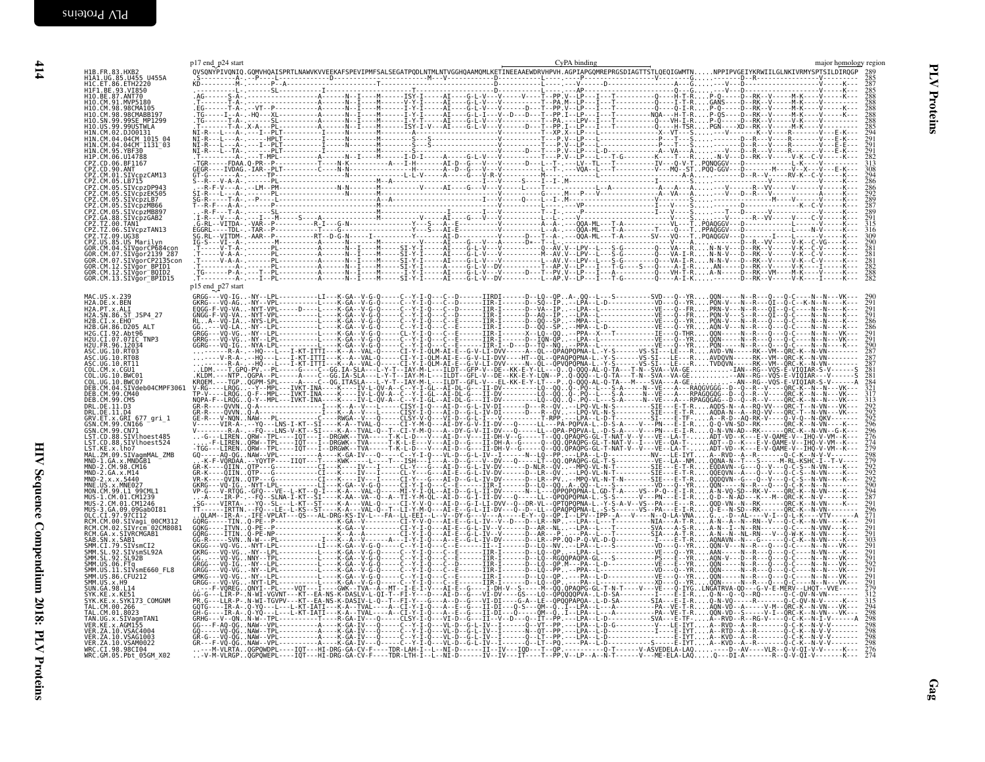| H1B.FR.83.HXB2<br>H1A1.UG.85.U455 U455A                                                                                                                                                                                              | p17 end p24 start | CyPA binding | major homology region                                              |
|--------------------------------------------------------------------------------------------------------------------------------------------------------------------------------------------------------------------------------------|-------------------|--------------|--------------------------------------------------------------------|
| H1C.ET.86.ETH2220                                                                                                                                                                                                                    |                   |              |                                                                    |
| H1F1_BE.93.VI850<br>H1F1_BE.93.VI850<br>H1O.BE.87.ANT70<br>H1O.CM.98.98CMA105<br>H10.CM.98.98CMABB197<br>H10.SN.99.99SE MP1299                                                                                                       |                   |              | 288                                                                |
| H10. US. 99. 99USTWLA<br>H10. US. 99. 99USTWLA<br>H1N. CM. 02. DJ00131<br>H1N. CM. 04. 04CM_1015_04<br>H1N. CM. 04. 04CM_1131_03<br>H1N.CM.95.YBF30<br>HIP.CM.06.U14788<br>CPZ.CD.06.BF1167                                          |                   |              | 294<br>$\frac{56}{1}$                                              |
| CPZ.CD.90.ANT<br>CPZ.CM.01.SIVcpzCAM13<br>CPZ.CM.05.LB715<br>CPZ.CM.05.SIVcpzDP943<br>CPZ.CM.05.SIVcpzEK505                                                                                                                          |                   |              |                                                                    |
| CPZ.CM.05.SIVcpzLB7<br>CPZ.CM.05.SIVCpzMB66<br>CPZ.CM.05.SIVCpzMB897<br>CPZ.GA.88.SIVCpzGAB2<br>CPZ.TZ.00.TAN1<br>CPZ.TZ.06.SIVCpzTAN13                                                                                              |                   |              |                                                                    |
| ČPŽ.TŽ.09.UG38<br>CPŽ.US.85.US.Marilyn<br>GOR.CM.04.SIVgorCP684con<br>GOR.CM.07.SIVgor2139_287<br>GOR.CM.07.SIVgorCP2135con<br>GOR.CM.12.SIVgor_BPID1<br>GOR.CM.12.SIVgor_BPID1<br>GOR.CM.12.SIVgor_BOID2<br>GOR.CM.13.SIVgor_BPID15 |                   |              | 290<br>$\frac{281}{281}$<br>$\frac{281}{282}$<br>$\frac{282}{282}$ |
| MAC.US.x.239<br>H2A.DE.x.BEN<br>H2A.PT.x.ALI                                                                                                                                                                                         | p15 end_p27 start |              | $\frac{290}{291}$<br>$\frac{291}{291}$                             |
| H2A.SN.86.ST JSP4 27<br>H2B.CI.x.EHO<br>H2B.GH.86.D205 ALT<br>H2G.CI.92.Abt96<br>H2U.CI.07.07IC TNP3<br>H2U.FR.96.12034                                                                                                              |                   |              | 286                                                                |
| ASC.UG.10.RT03<br>ASC.UG.10.RT08<br>ASC.UG.10.RT11<br>COL.CM.X.CGUI<br>COL.UG.10.BWC01<br>COL. UG. 10. BWC07                                                                                                                         |                   |              | 290<br>287<br>287<br>287<br>281<br>28i                             |
| DEB.CM.04.SIVdeb04CMPF3061<br>DEB.CM.99.CM40<br>DEB.CM.99.CM5<br>DRL.DE.11.D3<br>DRL.DE.11.D4<br>GRV.ET.x.GRI 677_gri_1<br>GSN.CM.99.CN166                                                                                           |                   |              |                                                                    |
| GSN.CM.99.CN71<br>UST.CD.88.SIVlhoest485<br>LST.CD.88.SIVlhoest524<br>LST.CD.88.SIVlhoest524<br>MAL.ZM.09.SIVagmMAL_ZMB<br>MND-1.GA.x.MNDGB1<br>MND-1.GA.x.MNDGB1                                                                    |                   |              | 296<br>276<br>274                                                  |
| MND-2.CM.98.CM16<br>MND-2.GA.x.M14<br>MND-2.x.x.5440<br>MNE.US.x.MNE027<br>MON.CM.99.L1 99CML1                                                                                                                                       |                   |              | $\frac{292}{292}$<br>$\frac{294}{287}$<br>291                      |
| MUS-1.CM.01.CM1239<br>MUS-2.CM.01.CM1236<br>MUS-3.GA.09.09Gab0I81<br>MUS-3.GA.09.09Gab0I81<br>RCM.CM.00.SIVagi_00CM312<br>RCM.CM.02.SIVrcm_02CM8081<br>RCM.GA.x.SIVRCMGAB1                                                           |                   |              | 296<br>291                                                         |
| RGB. SN. x. SAB1<br>SAB. SN. x. SAB1<br>SMM. CI.79. SIVSmCI2<br>SMM. SL.92. SIVSmSL92A<br>SMM. SL.92. SL92B<br>SMM.US.06.FTq<br>SMM.US.06.FTq<br>SMM.US.11.SIVsmE660_FL8                                                             |                   |              | 291<br>291<br>291                                                  |
| SMM.US.86.CFU212<br>SMM. US. x. H9<br>SUN. GA. 98. L14<br>SYK.KE.x.KE51<br>SYK.KE.x.SYK173_COMGNM<br>TAL. CM. 00.266                                                                                                                 |                   |              | 291<br>291<br>279<br>312<br>315<br>294<br>293                      |
| TAL.CM.01.8023<br>TAN.UG.x.SIVagmTAN1<br>VER.KE.x.AGM155<br>VER. ZA. 10. VSAC4004<br>VER. ZA. 10. VSAG1003<br>VER. ZA. 10. VSAM0022<br>WRC.CI.98.98CI04                                                                              |                   |              | $\bar{298}$<br>298<br>$\frac{298}{298}$<br>$\overline{298}$        |

414 HIV Sequence Compendium 2018: PLV Proteins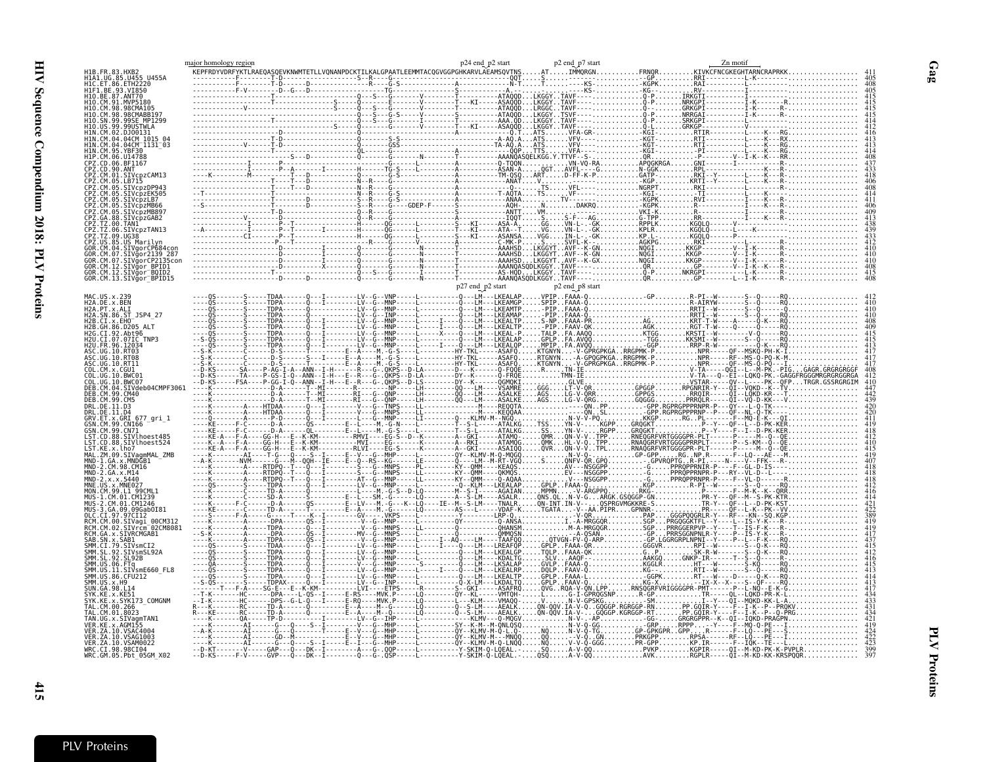| major homology region                                                                   |                                                                                                                                                                                                                                                                                                                                                                                                                                                                                |  |  |  |
|-----------------------------------------------------------------------------------------|--------------------------------------------------------------------------------------------------------------------------------------------------------------------------------------------------------------------------------------------------------------------------------------------------------------------------------------------------------------------------------------------------------------------------------------------------------------------------------|--|--|--|
|                                                                                         |                                                                                                                                                                                                                                                                                                                                                                                                                                                                                |  |  |  |
| ISTWLA                                                                                  | $R = \frac{1}{\frac{1}{1} \times \frac{1}{1} \times \frac{1}{1} \times \frac{1}{1} \times \frac{1}{1} \times \frac{1}{1} \times \frac{1}{1} \times \frac{1}{1} \times \frac{1}{1} \times \frac{1}{1} \times \frac{1}{1} \times \frac{1}{1} \times \frac{1}{1} \times \frac{1}{1} \times \frac{1}{1} \times \frac{1}{1} \times \frac{1}{1} \times \frac{1}{1} \times \frac{1}{1} \times \frac{1}{1} \times \frac{1}{1} \times \frac{1}{1} \times \frac{1}{1} \times \frac{1}{1$ |  |  |  |
| 04CM <sup>-</sup> 1131 <sup>-</sup> 03                                                  |                                                                                                                                                                                                                                                                                                                                                                                                                                                                                |  |  |  |
|                                                                                         |                                                                                                                                                                                                                                                                                                                                                                                                                                                                                |  |  |  |
| cpzCAM13                                                                                |                                                                                                                                                                                                                                                                                                                                                                                                                                                                                |  |  |  |
| SIVcpzMB66                                                                              |                                                                                                                                                                                                                                                                                                                                                                                                                                                                                |  |  |  |
| /cpzMB897<br>SIVcpzGAB2                                                                 |                                                                                                                                                                                                                                                                                                                                                                                                                                                                                |  |  |  |
| Marilyn                                                                                 |                                                                                                                                                                                                                                                                                                                                                                                                                                                                                |  |  |  |
| Gor2139 287<br>SIVgorCP2135con                                                          |                                                                                                                                                                                                                                                                                                                                                                                                                                                                                |  |  |  |
| CM.12.SIVğor BPID1<br>SIVğor <sup>-</sup> BQID2<br>GOR.CM.13.SIVğor <sup>-</sup> BPID15 |                                                                                                                                                                                                                                                                                                                                                                                                                                                                                |  |  |  |
| DE.x.BEN<br>12A.                                                                        |                                                                                                                                                                                                                                                                                                                                                                                                                                                                                |  |  |  |
| PT.x.ALI<br>H2A.<br>SN.86.ST JSP4 27<br>2A.<br>CI.X.EHO                                 |                                                                                                                                                                                                                                                                                                                                                                                                                                                                                |  |  |  |
| .86.D205                                                                                |                                                                                                                                                                                                                                                                                                                                                                                                                                                                                |  |  |  |
|                                                                                         |                                                                                                                                                                                                                                                                                                                                                                                                                                                                                |  |  |  |
|                                                                                         |                                                                                                                                                                                                                                                                                                                                                                                                                                                                                |  |  |  |
| 04.SIVdeb04CMPF3061                                                                     |                                                                                                                                                                                                                                                                                                                                                                                                                                                                                |  |  |  |
| RL.DE.11.D4<br>V.ET.x.GRI 677 gri 1                                                     |                                                                                                                                                                                                                                                                                                                                                                                                                                                                                |  |  |  |
| 99.CN166<br>N.CM.99.CN71<br>88.SIVlhoest485<br>SIVlhoest524                             |                                                                                                                                                                                                                                                                                                                                                                                                                                                                                |  |  |  |
| KE.x.lho7<br>ZM.09.SIVagmMAL ZMB<br>MND-1.GA.x.MNDĞB1                                   |                                                                                                                                                                                                                                                                                                                                                                                                                                                                                |  |  |  |
| CM.98.CM16<br>GA.x.M14                                                                  |                                                                                                                                                                                                                                                                                                                                                                                                                                                                                |  |  |  |
| MNE.                                                                                    |                                                                                                                                                                                                                                                                                                                                                                                                                                                                                |  |  |  |
| GA.09.09Gab0I81<br>CI.97.97CI12                                                         |                                                                                                                                                                                                                                                                                                                                                                                                                                                                                |  |  |  |
| 00CM312<br>CM.00.SIVagi<br>SIVrčm <sup>-</sup> 02CM8081<br>CM.02.<br>GA.x.SIVRCMGAB1    |                                                                                                                                                                                                                                                                                                                                                                                                                                                                                |  |  |  |
| CI.79.SIVsmCI2                                                                          |                                                                                                                                                                                                                                                                                                                                                                                                                                                                                |  |  |  |
| SIVsmE660 FL8<br>SMM.<br>. 11.<br>SMM.<br>US.86.CFU212                                  |                                                                                                                                                                                                                                                                                                                                                                                                                                                                                |  |  |  |
| SMM.US.x.H9<br>IUN GA 98 L14                                                            |                                                                                                                                                                                                                                                                                                                                                                                                                                                                                |  |  |  |
| SYK173 COMGNM                                                                           |                                                                                                                                                                                                                                                                                                                                                                                                                                                                                |  |  |  |
| SIVagmTAN1                                                                              |                                                                                                                                                                                                                                                                                                                                                                                                                                                                                |  |  |  |
| ZA.10.VSAM0022<br>WRC.CI.98.98CI04<br>WRC.GM.05.Pbt 05GM X02                            |                                                                                                                                                                                                                                                                                                                                                                                                                                                                                |  |  |  |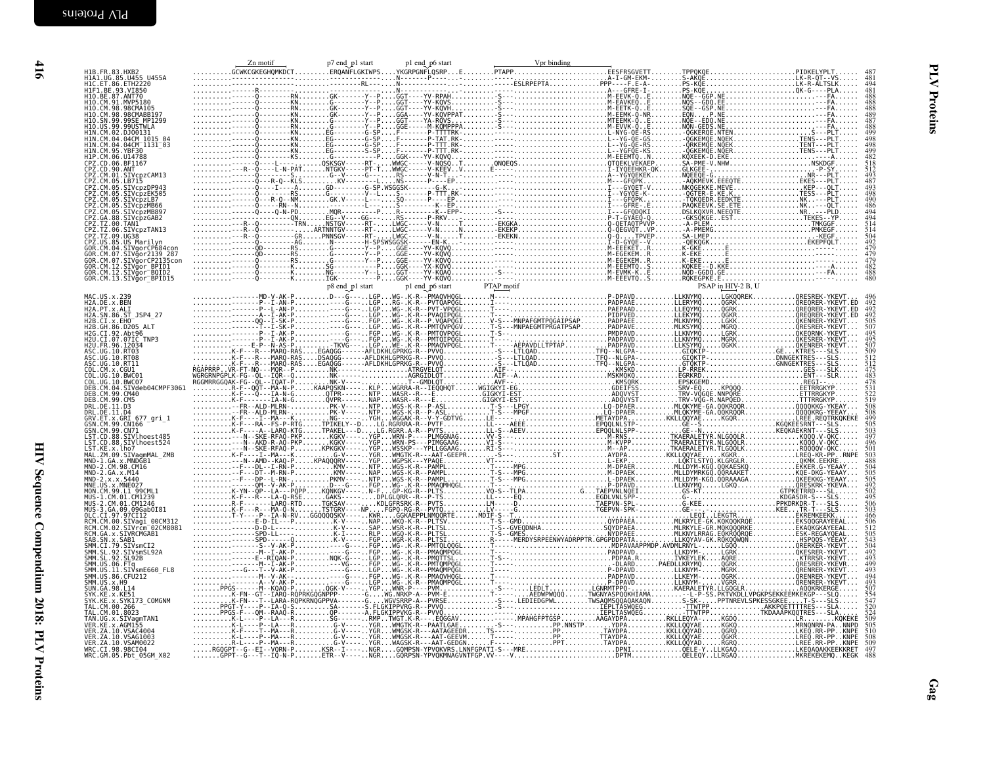| H1B.FR.83.HXB2<br>H1A1.UG.85.U455 U455A<br>H1C.ET.86.ETH2220<br>H1F1.BE.93.VI850                                                  |  |  |  | 481                                                                              |
|-----------------------------------------------------------------------------------------------------------------------------------|--|--|--|----------------------------------------------------------------------------------|
| H10.BE.87.ANT70<br>H10.CM.91.MVP5180<br>H10.CM.98.98CMA105                                                                        |  |  |  |                                                                                  |
| H10. CM. 98. 98CMABB197<br>H10.SN.99.99SE MP1299                                                                                  |  |  |  |                                                                                  |
|                                                                                                                                   |  |  |  | 488<br>499                                                                       |
| H10.US.99.99USTWLA<br>H1N.CM.02.DJ00131<br>H1N.CM.04.04CM_1015_04<br>H1N.CM.04.04CM_1131_03                                       |  |  |  | 498                                                                              |
|                                                                                                                                   |  |  |  | 499<br>482                                                                       |
| H1N.CM.95.YBF30<br>H1P.CM.06.U14788<br>CPZ.CD.06.U14788<br>CPZ.CD.00.ANT<br>CPZ.CM.01.SIV.CPZCAM13                                |  |  |  | $\frac{518}{512}$                                                                |
| CP2.CM.05.LB715<br>CP2.CM.05.LB715<br>CP2.CM.05.SIVcpzDP943<br>CP2.CM.05.SIVcpzLB7<br>CP2.CM.05.SIVcpzLB7<br>CP2.CM.05.SIVcpzMB66 |  |  |  | 498                                                                              |
|                                                                                                                                   |  |  |  | 490                                                                              |
| CPZ.CM.05.SIVCpZMB897<br>CPZ.CM.05.SIVCpZMB897<br>CPZ.TZ.00.TAM1<br>CPZ.TZ.00.TAM1<br>CPZ.TZ.09.UG38                              |  |  |  | $\frac{494}{494}$                                                                |
|                                                                                                                                   |  |  |  |                                                                                  |
| LFZ.1Z.09.0038<br>COR.CM.04.SIVgorCP684con<br>GOR.CM.04.SIVgorCP684con<br>GOR.CM.07.SIVgorCP2139_287<br>GOR.CM.07.SIVgorCP2135con |  |  |  | 479                                                                              |
| GOR.CM.12.SIVgor BPID1<br>GOR.CM.12.SIVgor BQID2                                                                                  |  |  |  | 479                                                                              |
| GOR.CM.13.SIVgor_BPID15                                                                                                           |  |  |  |                                                                                  |
| MAC.US.x.239<br>H2A.DE.x.BEN                                                                                                      |  |  |  | 496<br>492<br>492<br>492                                                         |
| H2A.PT.x.ALI<br>H2A.SN.86.ST JSP4 27                                                                                              |  |  |  |                                                                                  |
| H2B.CI.x.EHO<br>H2B.GH.86.D205_ALT<br>H2G.CI.92.Abt96                                                                             |  |  |  | 505<br>507<br>495                                                                |
| H2U.CI.07.07IC TNP3<br>H2U.FR.96.12034                                                                                            |  |  |  |                                                                                  |
| ASC.UG.10.RT03<br>ASC.UG.10.RT08<br>ASC.UG.10.RT11                                                                                |  |  |  | 509<br>512<br>512                                                                |
| COL. CM. x. CGU1<br>COL. UG. 10. BWC01                                                                                            |  |  |  |                                                                                  |
| COL.UG.10.BWC07<br>DEB.CM.04.SIVdeb04CMPF3061<br>DEB.CM.99.CM40                                                                   |  |  |  |                                                                                  |
| DEB. CM. 99. CM5<br>DRL.DE.11.D3                                                                                                  |  |  |  | 508                                                                              |
| DRL.DE.II.D4<br>GRV.ET.x.GRI 677_gri_1<br>GSN.CM.99.CN166                                                                         |  |  |  | 508<br>505<br>503                                                                |
| GSN.CM.99.CN71<br>LST.CD.88.SIVlhoest485                                                                                          |  |  |  |                                                                                  |
| LST.CD.88.SIV\hoest524<br>LST.KE.x.lho7<br>MAL.ZM.09.SIVagmMAL_ZMB                                                                |  |  |  | 496<br>501                                                                       |
| MND-1.GA.x.MNDGB1<br>MND-2.CM.98.CM16                                                                                             |  |  |  |                                                                                  |
| MND-2.CA.x.M14<br>MND-2.x.x.5440<br>MND-2.x.x.5440<br>MNE.US.x.MNE027<br>MON.CM.99.L1_99CML1                                      |  |  |  | 505<br>505<br>492<br>502                                                         |
| MUS-1.CM.01.CM1239                                                                                                                |  |  |  | 495<br>506<br>503                                                                |
| MUS-2.CM.01.CM1246<br>MUS-3.GA.09.09Gab0I81<br>OLC.CI.97.97CI12<br>RCM.CM.00.SIVagi 00CM312                                       |  |  |  | 466                                                                              |
| RCM.CM.02.SIVrcm 02CM8081                                                                                                         |  |  |  |                                                                                  |
| RCM.GA.x.SIVRCMGAB1<br>SAB.SN.x.SAB1<br>SMM.CI.79.SIVsmCI2<br>SMM.SL.92.SIVsmSL92A                                                |  |  |  | $\frac{506}{512}$<br>$\frac{512}{505}$<br>$\frac{543}{504}$<br>$\frac{492}{504}$ |
| SMM. SL. 92. SL92B<br>SMM.US.06.FTq<br>SMM.US.11.SIVsmE660_FL8                                                                    |  |  |  | 400<br>403                                                                       |
| SMM. US. 86. CFU212<br>SMM. US. x. H9<br>SUN. GA. 98. L14                                                                         |  |  |  |                                                                                  |
| SYK.KE.x.KE51<br>SYK.KE.x.SYK173_COMGNM                                                                                           |  |  |  |                                                                                  |
| TAL.CM.00.266<br>TAL.CM.00.266<br>TAL.CM.01.8023<br>TAN.UG.x.SIVagmTAN1<br>VER.KE.x.AGM155                                        |  |  |  |                                                                                  |
| VER. ZA. 10. VSAC4004                                                                                                             |  |  |  |                                                                                  |
| VER. ZA. 10. VSAG1003<br>VER. ZA. 10. VSAM0022                                                                                    |  |  |  | 510<br>508<br>509<br>497                                                         |
| WRC.CI.98.98CI04<br>WRC.GM.05.Pbt 05GM X02                                                                                        |  |  |  |                                                                                  |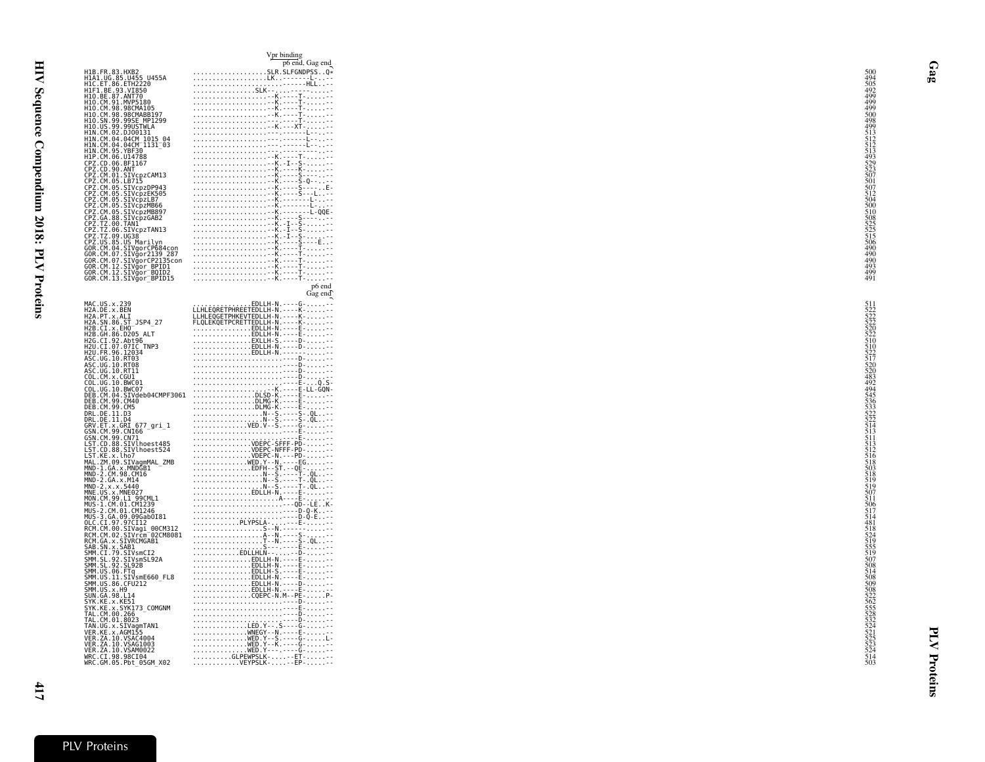|                                                                                                                                                                                                                                                          | p6 end, Gag end                                                                                                                                                                                                                                                                                  |                                                             |
|----------------------------------------------------------------------------------------------------------------------------------------------------------------------------------------------------------------------------------------------------------|--------------------------------------------------------------------------------------------------------------------------------------------------------------------------------------------------------------------------------------------------------------------------------------------------|-------------------------------------------------------------|
| H1B.FR.83.HXB2<br>H1A1.UG.85.U455_U455A                                                                                                                                                                                                                  |                                                                                                                                                                                                                                                                                                  | 500<br>494                                                  |
| H1C.ET.86.ETH2220                                                                                                                                                                                                                                        |                                                                                                                                                                                                                                                                                                  | 505<br>492                                                  |
| HIF1.BE.93.VI850<br>H10.BE.87.ANT70                                                                                                                                                                                                                      |                                                                                                                                                                                                                                                                                                  | 499                                                         |
| H10.CM.91.MVP5180                                                                                                                                                                                                                                        |                                                                                                                                                                                                                                                                                                  | 499<br>499                                                  |
| H10.CM.98.98CMA105<br>H10.CM.98.98CMABB197<br>H10.SN.99.99SE_MP1299                                                                                                                                                                                      |                                                                                                                                                                                                                                                                                                  | 500                                                         |
| H10.US.99.99USTWLA                                                                                                                                                                                                                                       |                                                                                                                                                                                                                                                                                                  | 498<br>499                                                  |
|                                                                                                                                                                                                                                                          |                                                                                                                                                                                                                                                                                                  | $\frac{513}{512}$                                           |
|                                                                                                                                                                                                                                                          |                                                                                                                                                                                                                                                                                                  |                                                             |
|                                                                                                                                                                                                                                                          |                                                                                                                                                                                                                                                                                                  | 493                                                         |
| H1N. CM. 02. DJ00131<br>H1N. CM. 02. DJ00131<br>H1N. CM. 04. 04CM 1015 04<br>H1N. CM. 95. YBF30<br>H1P. CM. 06. U14788<br>CPZ. CD. 06. BF1167<br>CPZ. CD. 06. BF1167<br>CPZ. CD. 90. ANT                                                                 |                                                                                                                                                                                                                                                                                                  |                                                             |
| CPZ.CM.01.SIVcpzCAM13                                                                                                                                                                                                                                    |                                                                                                                                                                                                                                                                                                  | 525<br>523<br>507<br>501<br>507<br>512<br>504               |
|                                                                                                                                                                                                                                                          |                                                                                                                                                                                                                                                                                                  |                                                             |
|                                                                                                                                                                                                                                                          |                                                                                                                                                                                                                                                                                                  |                                                             |
|                                                                                                                                                                                                                                                          |                                                                                                                                                                                                                                                                                                  |                                                             |
| CP2. CM. 01. SIVcpzCAM13<br>CP2. CM. 05. SIVcpzDP943<br>CP2. CM. 05. SIVcpzEK505<br>CP2. CM. 05. SIVcpzEK505<br>CP2. CM. 05. SIVcpzLB7<br>CP2. CM. 05. SIVcpzMB89<br>CP2. CM. 05. SIVcpzMB89<br>CP2. CA. 88. SIVcpzMB89<br>CP2. T2. 00. TANI<br>CP2. T2. |                                                                                                                                                                                                                                                                                                  | 500<br>510<br>525<br>525<br>515<br>506<br>490<br>490<br>490 |
|                                                                                                                                                                                                                                                          |                                                                                                                                                                                                                                                                                                  |                                                             |
|                                                                                                                                                                                                                                                          |                                                                                                                                                                                                                                                                                                  |                                                             |
| CPZ.US.85.US Marilyn                                                                                                                                                                                                                                     |                                                                                                                                                                                                                                                                                                  |                                                             |
| GOR.CM.04.SIVgorCP684con<br>GOR.CM.07.SIVgor2139 287                                                                                                                                                                                                     |                                                                                                                                                                                                                                                                                                  |                                                             |
| GOR.CM.07.SIVgorCP2135con                                                                                                                                                                                                                                |                                                                                                                                                                                                                                                                                                  |                                                             |
| GOR.CM.12.SIVgor_BPID1<br>GOR.CM.12.SIVgor_BOID2<br>GOR.CM.13.SIVgor_BPID15                                                                                                                                                                              | point, Gag end<br>SLR.S.LETONDER<br>SLK.<br>SLK.<br>SLK.<br>SLK.<br>SLK.<br>SLK.<br>SLK.<br>SLK.<br>SLK.<br>SLK.<br>SLK.<br>SLK.<br>SLK.<br>SLK.<br>SLK.<br>SLK.<br>SLK.<br>SLK.<br>SLK.<br>SLK.<br>SLK.<br>SLK.<br>SLK.<br>SLK.<br>SLK.<br>SLK.<br>SLK.<br>SLX.<br>SLX.<br>SLX.<br>SLX.<br>SLX. | $\frac{493}{499}$<br>491                                    |
|                                                                                                                                                                                                                                                          | p6 end                                                                                                                                                                                                                                                                                           |                                                             |
|                                                                                                                                                                                                                                                          | Gag end                                                                                                                                                                                                                                                                                          |                                                             |
| MAC.US.x.239<br>H2A.DE.x.BEN<br>H2A.PT.x.ALI                                                                                                                                                                                                             |                                                                                                                                                                                                                                                                                                  |                                                             |
|                                                                                                                                                                                                                                                          |                                                                                                                                                                                                                                                                                                  | 5115222<br>522252225105225<br>5110522517522<br>52255226     |
| H2A.SN.86.ST_JSP4_27<br>H2B.CI.x.EHO                                                                                                                                                                                                                     |                                                                                                                                                                                                                                                                                                  |                                                             |
| H2B.GH.86.D205 ALT                                                                                                                                                                                                                                       | EDLLH-N.----E---                                                                                                                                                                                                                                                                                 |                                                             |
|                                                                                                                                                                                                                                                          |                                                                                                                                                                                                                                                                                                  |                                                             |
|                                                                                                                                                                                                                                                          |                                                                                                                                                                                                                                                                                                  |                                                             |
|                                                                                                                                                                                                                                                          |                                                                                                                                                                                                                                                                                                  |                                                             |
|                                                                                                                                                                                                                                                          |                                                                                                                                                                                                                                                                                                  |                                                             |
|                                                                                                                                                                                                                                                          |                                                                                                                                                                                                                                                                                                  | 494                                                         |
|                                                                                                                                                                                                                                                          |                                                                                                                                                                                                                                                                                                  | 4945<br>545<br>536<br>533<br>522<br>522<br>522              |
|                                                                                                                                                                                                                                                          |                                                                                                                                                                                                                                                                                                  |                                                             |
|                                                                                                                                                                                                                                                          |                                                                                                                                                                                                                                                                                                  |                                                             |
|                                                                                                                                                                                                                                                          |                                                                                                                                                                                                                                                                                                  |                                                             |
|                                                                                                                                                                                                                                                          |                                                                                                                                                                                                                                                                                                  | $\frac{514}{513}$<br>$\frac{513}{511}$                      |
|                                                                                                                                                                                                                                                          |                                                                                                                                                                                                                                                                                                  |                                                             |
|                                                                                                                                                                                                                                                          |                                                                                                                                                                                                                                                                                                  | 516                                                         |
|                                                                                                                                                                                                                                                          |                                                                                                                                                                                                                                                                                                  | 503                                                         |
|                                                                                                                                                                                                                                                          |                                                                                                                                                                                                                                                                                                  |                                                             |
|                                                                                                                                                                                                                                                          |                                                                                                                                                                                                                                                                                                  |                                                             |
|                                                                                                                                                                                                                                                          |                                                                                                                                                                                                                                                                                                  | 518<br>519<br>519<br>507<br>511<br>506<br>517<br>514        |
|                                                                                                                                                                                                                                                          |                                                                                                                                                                                                                                                                                                  |                                                             |
|                                                                                                                                                                                                                                                          |                                                                                                                                                                                                                                                                                                  | 481                                                         |
|                                                                                                                                                                                                                                                          |                                                                                                                                                                                                                                                                                                  |                                                             |
|                                                                                                                                                                                                                                                          |                                                                                                                                                                                                                                                                                                  |                                                             |
|                                                                                                                                                                                                                                                          |                                                                                                                                                                                                                                                                                                  | 518<br>524<br>519<br>555<br>519<br>507                      |
|                                                                                                                                                                                                                                                          |                                                                                                                                                                                                                                                                                                  | 508                                                         |
|                                                                                                                                                                                                                                                          |                                                                                                                                                                                                                                                                                                  |                                                             |
|                                                                                                                                                                                                                                                          |                                                                                                                                                                                                                                                                                                  | 508<br>509                                                  |
|                                                                                                                                                                                                                                                          |                                                                                                                                                                                                                                                                                                  |                                                             |
|                                                                                                                                                                                                                                                          |                                                                                                                                                                                                                                                                                                  |                                                             |
|                                                                                                                                                                                                                                                          |                                                                                                                                                                                                                                                                                                  |                                                             |
|                                                                                                                                                                                                                                                          |                                                                                                                                                                                                                                                                                                  |                                                             |
|                                                                                                                                                                                                                                                          |                                                                                                                                                                                                                                                                                                  |                                                             |
|                                                                                                                                                                                                                                                          |                                                                                                                                                                                                                                                                                                  |                                                             |
|                                                                                                                                                                                                                                                          | $\frac{1}{120}$<br>$120.11.8 + 166.75$<br>$120.12.8 + 166.75$<br>$120.13.8 + 166.75$<br>$120.14.8 + 166.75$<br>$120.15.8 + 166.75$<br>$120.16.18 + 166.75$<br>$120.16.18 + 166.75$<br>$120.17.8 + 166.75$<br>$120.19.8 + 166.75$<br>$120.19.8 + 166.75$<br>$120$                                 | 50852256235285324523523523524514                            |
|                                                                                                                                                                                                                                                          |                                                                                                                                                                                                                                                                                                  |                                                             |
|                                                                                                                                                                                                                                                          |                                                                                                                                                                                                                                                                                                  |                                                             |

|                                                                                       | Vpr binding<br>p6 end, Gag end                                                                                                                                                                                                                                                                                                                                                                                                                                                                    |                                                                                   |
|---------------------------------------------------------------------------------------|---------------------------------------------------------------------------------------------------------------------------------------------------------------------------------------------------------------------------------------------------------------------------------------------------------------------------------------------------------------------------------------------------------------------------------------------------------------------------------------------------|-----------------------------------------------------------------------------------|
|                                                                                       | $\begin{tabular}{c c c} \hline \multicolumn{3}{c}{\textbf{Vpr bundle}} \\ \hline \multicolumn{3}{c}{\textbf{Vpr bundle}} \\ \hline \multicolumn{3}{c}{\textbf{Vpr bundle}} \\ \hline \multicolumn{3}{c}{\textbf{SIR}}\\ \hline \multicolumn{3}{c}{\textbf{SIR}}\\ \hline \multicolumn{3}{c}{\textbf{SIR}}\\ \hline \multicolumn{3}{c}{\textbf{SIF}}\\ \hline \multicolumn{3}{c}{\textbf{SIF}}\\ \hline \multicolumn{3}{c}{\textbf{SIF}}\\ \hline \multicolumn{3}{c}{\textbf{SIF}}\\ \hline \mult$ |                                                                                   |
| 5 U455A<br>220                                                                        |                                                                                                                                                                                                                                                                                                                                                                                                                                                                                                   | 504449999088445112233355155060844999900885555155060855555555555555555566044999990 |
| 5ō`<br>Ō                                                                              |                                                                                                                                                                                                                                                                                                                                                                                                                                                                                                   |                                                                                   |
| 0<br>180<br>A105<br>ABB197<br>MP1299<br>TWLA<br>1015 04<br>-1131_03<br>0<br>088<br>88 |                                                                                                                                                                                                                                                                                                                                                                                                                                                                                                   |                                                                                   |
|                                                                                       |                                                                                                                                                                                                                                                                                                                                                                                                                                                                                                   |                                                                                   |
|                                                                                       |                                                                                                                                                                                                                                                                                                                                                                                                                                                                                                   |                                                                                   |
|                                                                                       |                                                                                                                                                                                                                                                                                                                                                                                                                                                                                                   |                                                                                   |
|                                                                                       |                                                                                                                                                                                                                                                                                                                                                                                                                                                                                                   |                                                                                   |
|                                                                                       |                                                                                                                                                                                                                                                                                                                                                                                                                                                                                                   |                                                                                   |
|                                                                                       |                                                                                                                                                                                                                                                                                                                                                                                                                                                                                                   |                                                                                   |
| pzCAM13<br>5<br>pzDP943<br>pzEK505<br>pzLB7                                           |                                                                                                                                                                                                                                                                                                                                                                                                                                                                                                   |                                                                                   |
|                                                                                       |                                                                                                                                                                                                                                                                                                                                                                                                                                                                                                   |                                                                                   |
| p21066<br>pzMB66<br>pzMB897<br>pzGAB2                                                 |                                                                                                                                                                                                                                                                                                                                                                                                                                                                                                   |                                                                                   |
| pzTAN13                                                                               |                                                                                                                                                                                                                                                                                                                                                                                                                                                                                                   |                                                                                   |
|                                                                                       |                                                                                                                                                                                                                                                                                                                                                                                                                                                                                                   |                                                                                   |
|                                                                                       |                                                                                                                                                                                                                                                                                                                                                                                                                                                                                                   |                                                                                   |
|                                                                                       |                                                                                                                                                                                                                                                                                                                                                                                                                                                                                                   |                                                                                   |
| arilyn<br>orCP684con<br>or2139 287<br>orCP2135con<br>or_BOID2<br>or_BOID2             |                                                                                                                                                                                                                                                                                                                                                                                                                                                                                                   |                                                                                   |
|                                                                                       | p6 end<br>Gag end                                                                                                                                                                                                                                                                                                                                                                                                                                                                                 |                                                                                   |
|                                                                                       |                                                                                                                                                                                                                                                                                                                                                                                                                                                                                                   |                                                                                   |
|                                                                                       |                                                                                                                                                                                                                                                                                                                                                                                                                                                                                                   |                                                                                   |
| SP4_27<br>ALT                                                                         |                                                                                                                                                                                                                                                                                                                                                                                                                                                                                                   |                                                                                   |
| 6<br>TNP3<br>4                                                                        |                                                                                                                                                                                                                                                                                                                                                                                                                                                                                                   |                                                                                   |
|                                                                                       |                                                                                                                                                                                                                                                                                                                                                                                                                                                                                                   |                                                                                   |
|                                                                                       |                                                                                                                                                                                                                                                                                                                                                                                                                                                                                                   |                                                                                   |
|                                                                                       |                                                                                                                                                                                                                                                                                                                                                                                                                                                                                                   |                                                                                   |
| eb04CMPF3061                                                                          |                                                                                                                                                                                                                                                                                                                                                                                                                                                                                                   |                                                                                   |
|                                                                                       |                                                                                                                                                                                                                                                                                                                                                                                                                                                                                                   |                                                                                   |
|                                                                                       |                                                                                                                                                                                                                                                                                                                                                                                                                                                                                                   |                                                                                   |
| $77_{\texttt{0}}$ gri $_{\texttt{-1}}$                                                |                                                                                                                                                                                                                                                                                                                                                                                                                                                                                                   |                                                                                   |
|                                                                                       |                                                                                                                                                                                                                                                                                                                                                                                                                                                                                                   |                                                                                   |
| hoest485<br>hoest524                                                                  |                                                                                                                                                                                                                                                                                                                                                                                                                                                                                                   |                                                                                   |
| gmMAL_ZMB<br>GB1<br>16                                                                |                                                                                                                                                                                                                                                                                                                                                                                                                                                                                                   |                                                                                   |
|                                                                                       |                                                                                                                                                                                                                                                                                                                                                                                                                                                                                                   |                                                                                   |
| 7                                                                                     |                                                                                                                                                                                                                                                                                                                                                                                                                                                                                                   |                                                                                   |
| ,<br>1239<br>1246<br>1246                                                             |                                                                                                                                                                                                                                                                                                                                                                                                                                                                                                   |                                                                                   |
| Gab0I81                                                                               |                                                                                                                                                                                                                                                                                                                                                                                                                                                                                                   |                                                                                   |
| 12                                                                                    |                                                                                                                                                                                                                                                                                                                                                                                                                                                                                                   |                                                                                   |
| 12<br>gi_00CM312<br>cm <sup>-</sup> 02CM8081<br>MGAB1                                 |                                                                                                                                                                                                                                                                                                                                                                                                                                                                                                   |                                                                                   |
|                                                                                       |                                                                                                                                                                                                                                                                                                                                                                                                                                                                                                   |                                                                                   |
| mCI2<br>mSL92A<br>B                                                                   |                                                                                                                                                                                                                                                                                                                                                                                                                                                                                                   |                                                                                   |
| mE660_FL8<br>12                                                                       | $\begin{tabular}{ c c } \hline \multicolumn{3}{ c }{\textbf{LILH}} \hline \multicolumn{2}{ c }{\textbf{EROEFPHREVTEDLLH-N.} \hline \multicolumn{2}{ c }{\textbf{CQED}} \hline \multicolumn{2}{ c }{\textbf{CQED}} \hline \multicolumn{2}{ c }{\textbf{CQED}} \hline \multicolumn{2}{ c }{\textbf{CQED}} \hline \multicolumn{2}{ c }{\textbf{CQED}} \hline \multicolumn{2}{ c }{\textbf{CQED}} \hline \multicolumn{2}{ c }{\textbf{CQED}}$                                                         |                                                                                   |
|                                                                                       |                                                                                                                                                                                                                                                                                                                                                                                                                                                                                                   |                                                                                   |
|                                                                                       |                                                                                                                                                                                                                                                                                                                                                                                                                                                                                                   |                                                                                   |
| 3_COMGNM                                                                              |                                                                                                                                                                                                                                                                                                                                                                                                                                                                                                   |                                                                                   |
|                                                                                       |                                                                                                                                                                                                                                                                                                                                                                                                                                                                                                   |                                                                                   |
| mTAN1<br>5<br>4004<br>1003<br>0022                                                    |                                                                                                                                                                                                                                                                                                                                                                                                                                                                                                   |                                                                                   |
|                                                                                       |                                                                                                                                                                                                                                                                                                                                                                                                                                                                                                   |                                                                                   |
| 04<br>05GM_X02                                                                        |                                                                                                                                                                                                                                                                                                                                                                                                                                                                                                   |                                                                                   |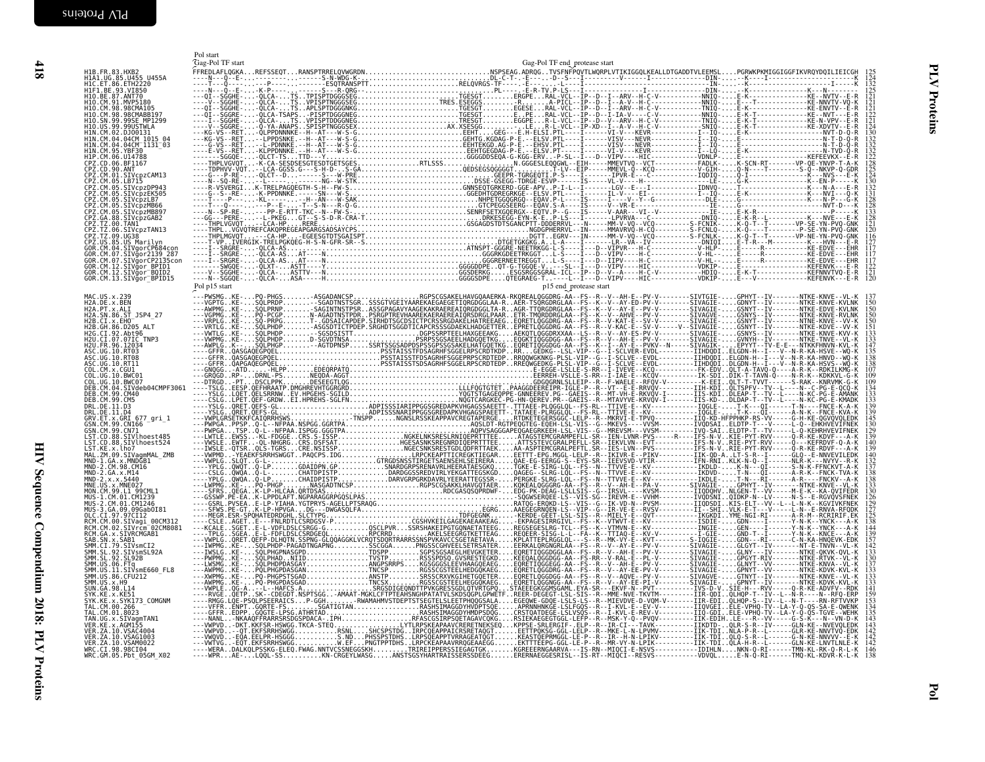<span id="page-15-0"></span>

|                                                                                                                             | Pol start<br>Gag-Pol TF start | Gag-Pol TF end_protease start |
|-----------------------------------------------------------------------------------------------------------------------------|-------------------------------|-------------------------------|
| H1B.FR.83.HXB2<br>H1A1.UG.85.U455 U455A<br>H1C.ET.86.ETH2220<br>H1F1.BE.93.VI850<br>H1Q.BE.87.ANT79.co                      |                               |                               |
|                                                                                                                             |                               |                               |
|                                                                                                                             |                               |                               |
| H10. CM. 91. MVP5180<br>H10. CM. 98. 98CMA105<br>H10. CM. 98. 98CMABB197<br>H10. SN. 99. 99SE_MP1299                        |                               |                               |
| H10.US.99.99USTWLA<br>H1N.CM.02.DJ00131                                                                                     |                               |                               |
| H1N.CM.04.04CM_1015_04<br>H1N.CM.04.04CM_1015_04<br>H1N.CM.04.04CM_1131_03<br>H1P.CM.06.U14788                              |                               |                               |
|                                                                                                                             |                               |                               |
| CPZ.CD.06.BF1167<br>CPZ.CD.00.ANT<br>CPZ.CM.01.SIVcpzCAM13<br>CPZ.CM.05.LB715                                               |                               |                               |
| CPZ.CM.05.SIVcpzDP943<br>CPZ.CM.05.SIVcpzDP943                                                                              |                               |                               |
| CPZ.CM.05.SIVCpzLB7<br>CPZ.CM.05.SIVcpzMB66<br>CPZ.CM.05.SIVcpzMB897                                                        |                               |                               |
| CPZ.GA.88.SIVcpzGAB2<br>CPZ.TZ.00.TAN1                                                                                      |                               |                               |
| CPZ.IZ.00.IANI<br>CPZ.TZ.06.SIVcpzTAN13<br>CPZ.TZ.09.UG38<br>CPZ.US.85.US Marilyn<br>GOR.CM.04.SIVgorCP684con               |                               |                               |
| GOR.CM.07.SIVğor2139 287                                                                                                    |                               |                               |
| GOR.CM.07.SIVğorCP2135con<br>GOR.CM.12.SIVgor_BPID1<br>GOR.CM.12.SIVgor_BQID2                                               |                               |                               |
| GOR.CM.13.SIVgor_BPID15                                                                                                     |                               |                               |
| MAC.US.x.239<br>H2A.DE.x.BEN<br>H2A.PT.x.ALI                                                                                |                               |                               |
| H2A.SN.86.ST JSP4 27                                                                                                        |                               |                               |
| H2B.CI.X.EHO<br>H2B.GH.86.D205_ALT                                                                                          |                               |                               |
| H2G.CI.92.Abt96<br>H2U.CI.07.07IC TNP3<br>H2U.FR.96.12034                                                                   |                               |                               |
| ASC. UG. 10. RT03<br>ASC. UG. 10. RT03<br>ASC. UG. 10. RT11<br>COL. CM. x. CGU1                                             |                               |                               |
| COL. UG. 10. BWC01                                                                                                          |                               |                               |
| COL.UG.10.BWC07<br>DEB.CM.04.SIVdeb04CMPF3061                                                                               |                               |                               |
| DEB. CM. 99. CM40<br>DRL.DE.11<br>. D3                                                                                      |                               |                               |
| DRL.DE.11.D4                                                                                                                |                               |                               |
| GRV.ET.x.GRI 677_gri_1<br>GSN.CM.99.CNI66<br>GSN.CM.99.CNI66<br>LST.CD.88.SIVlhoest485                                      |                               |                               |
| LST.CD.88.SIVlhoest524<br>LST.KE.x.lho7                                                                                     |                               |                               |
| MAL.ZM.09.SIVagmMAL_ZMB<br>MND-1.GA.x.MNDGB1<br>MND-2.CM.98.CM16                                                            |                               |                               |
| MND-2.CH.30.114<br>MND-2.x.x.5440<br>MND-2.x.x.5440<br>MNE.US.x.MNE027<br>MON.CM.99.L1_99CML1                               |                               |                               |
|                                                                                                                             |                               |                               |
| MUS-1.CM.01.CM1239<br>MUS-2.CM.01.CM1239                                                                                    |                               |                               |
| MUS-3.GA.09.09Gab0I81<br>OLC.CI.97.97CI12<br>RCM.CM.00.SIVagi_00CM312<br>RCM.CM.02.SIVrcm_02CM8081<br>RCM.GA.x.SIVRCMGAB1   |                               |                               |
|                                                                                                                             |                               |                               |
| SAB.SN.x.SAB1<br>SMM.CI.79.SIVsmCI2<br>SMM.SL.92.SIVsmSL92A                                                                 |                               |                               |
| SMM. SL. 92. SL92B<br>SMM. US. 06. FTq<br>SMM. US. 06. FTq<br>SMM. US. 11. SIV.smE660_FL8                                   |                               |                               |
| SMM.US.86.CFU212<br>SMM.US.x.H9<br>SUN.GA.98.L14                                                                            |                               |                               |
| SYK.KE.x.KE51                                                                                                               |                               |                               |
| SYK.KE.X.SYK173_COMGNM<br>TAL.CM.00.266<br>TAL.CM.01.8023<br>TAN.UG.X.SIVagmTAN1                                            |                               |                               |
| VER.KE.x.AGM155<br>VER.ZA.10.VSAC4004                                                                                       |                               |                               |
| VER. ZA. 10. VSAG1003<br>VER. ZA. 10. VSAG1003<br>VER. ZA. 10. VSAM0022<br>WRC. CI. 98. 98C104<br>WRC. GM. 05. Pbt_05GM_X02 |                               |                               |
|                                                                                                                             |                               |                               |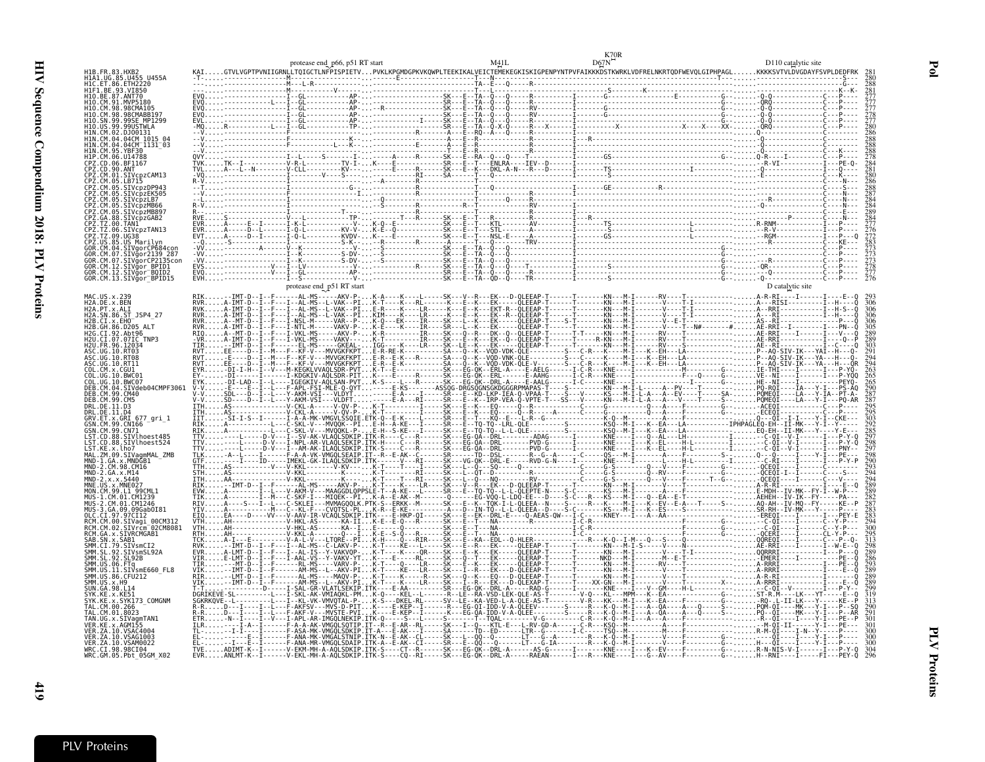|                                                                                                                                                                                                                    | protease end_p66, p51 RT start [1] M41L D67N <sup>12^*</sup><br>KAIGTVLVGPTPVNIIGRNLLTQIGCTLNFPISPIETVPVKLKPGMDGPKVKQWPLTEEKIKALVEICTEMEKEGKISKIGPENPYNTPVFAIKKKDSTKWRKLVDFRELNKRTQDFWEVQLGIPHPAGLKKKKSVTVLDVGDAYFSVPLDEDFRK |  |  |
|--------------------------------------------------------------------------------------------------------------------------------------------------------------------------------------------------------------------|------------------------------------------------------------------------------------------------------------------------------------------------------------------------------------------------------------------------------|--|--|
| CM.91.MVP5180<br>98.98CMARR197<br>.04.04CM 1015 04                                                                                                                                                                 |                                                                                                                                                                                                                              |  |  |
| 04CM 1131 03<br>95. YRF30<br>06.1114788<br>PZ.CD.06.BF1167:<br>.01.SIVcpzCAM13                                                                                                                                     |                                                                                                                                                                                                                              |  |  |
| 05.SIVcpzLB7<br>SIVcpzMB897<br>SIVcpzGAB2<br>85.US Marilvn<br>.04.STVgorCP684cc                                                                                                                                    |                                                                                                                                                                                                                              |  |  |
| CM 07 STVgor2139 287<br>CM.07.SIVğorCP2135con<br>OR.CM.12.SIVğor BPID1<br>GOR.CM.12.SIVgor BOID2<br>GOR.CM.13.SIVgor BPID15                                                                                        |                                                                                                                                                                                                                              |  |  |
| H2A. PT.X. ALI<br>H2A.SN.86.ST JSP4 27<br>H2B.CI.X.EHO<br>I2B.GH.86.D205<br>92 Aht96<br>.07.07IC TNP3<br>12032                                                                                                     |                                                                                                                                                                                                                              |  |  |
| SIVdeb04CMPF3061<br>DEB. CM. 99. CM40<br>CM.99.CM5<br>DRL.DE.11.D3<br>DRL.DE.11.D4<br>GRV.ET.x.GRI<br>.x.GRI 677 gri 1                                                                                             |                                                                                                                                                                                                                              |  |  |
| .CM.99.CN166<br>.CM.99.CN71<br>GSN.CM.99.CN71<br>LST.CD.88.SIVlhoest485<br>ST.CD.88.SIVlhoest524-<br>.ST.KE.x.lho7<br>MAL.ZM.09.SIVaamMAL ZMB<br>MND-1.GA.x.MNDGB1<br>CM.98.CM16<br>2.GA.x.M14                     |                                                                                                                                                                                                                              |  |  |
| RCM.CM.00.SIVagi 00CM312<br>RCM.CM.02.SIVrcm <sup>-02CM8081</sup>                                                                                                                                                  |                                                                                                                                                                                                                              |  |  |
| RCM.GA.x.SIVRCMGAB1<br>SAB.SN.x.SAB1<br>SMM.CI.79.SIVsmCI2<br>SMM.SL.92.SIVsmSL92/<br>.CI.79.SIVsmCI2<br>.SL.92.SIVsmSL92A<br>.SL.92.SL92B<br>.06.FTa<br>.ŬŠ.ĬI.SIVsmE660 FL8<br>SMM. US.86. CFU212<br>SMM.US.x.H9 |                                                                                                                                                                                                                              |  |  |
| $-98.114$<br>x.SYK173 COMGNM<br>TAL.CM.00.266<br>x.SIVagmTAN1<br>ER.ZA.10.VSAC4004<br>ZA.10.VSAG1003                                                                                                               |                                                                                                                                                                                                                              |  |  |
| ER.ZA.10.VSAM0022<br>WRC.CI.98.98CI04<br>WRC.GM.05.Pbt_05GM X02                                                                                                                                                    |                                                                                                                                                                                                                              |  |  |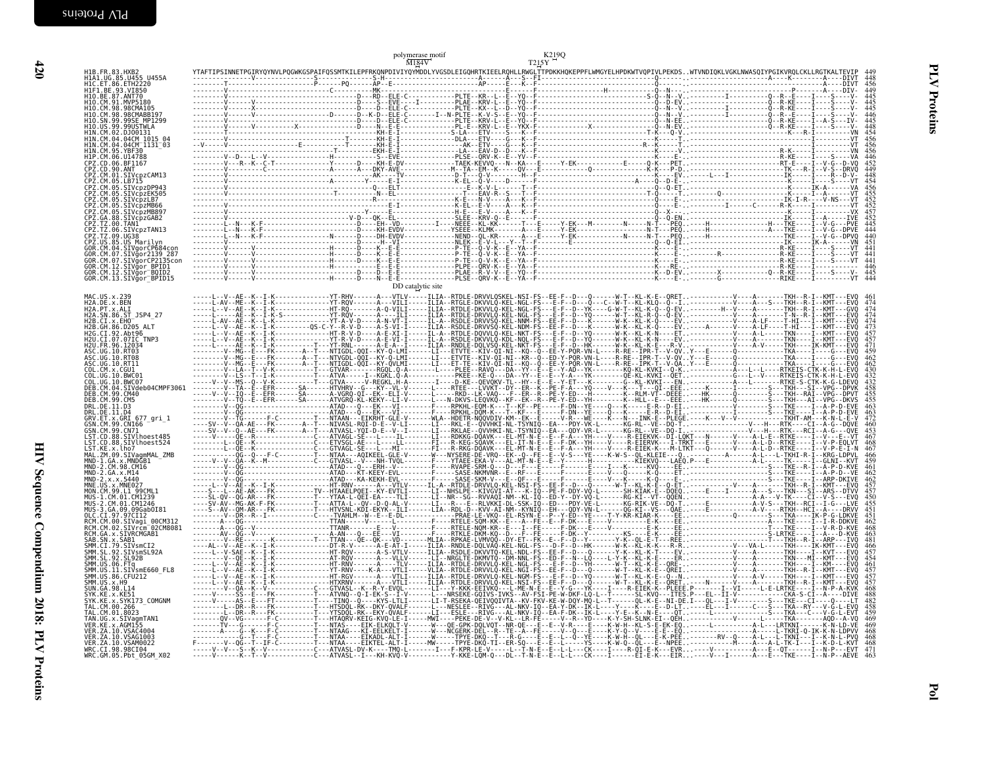| H1B.FR.83.HXB2<br>H1A1.UG.85.U455 U455A<br>H1C.ET.86.ETH2220                                                                                                                                                        |                   | 448                                           |
|---------------------------------------------------------------------------------------------------------------------------------------------------------------------------------------------------------------------|-------------------|-----------------------------------------------|
| H1F1.BE.93.VI850<br>H10.BE.87.ANT70<br>H10.CM.91.MVP5180<br>H10.CM.98.98CMA105<br>H10.CM.98.98CMABB197<br>H10.SN.99.99SE MP1299<br>H10.US.99.99USTWLA<br>H1N.CM.02.DJ00131                                          |                   |                                               |
| H1N.CM.04.04CM 1015 04<br>H1N. CM. 04. 04CM 1131_03<br>H1N. CM. 95. YBF30<br>H1P. CM. 06. U14788<br>CPZ. CD. 06. BF1167<br>CPZ.CD.90.ANT<br>CPZ.CM.01.SIVcpzCAM13<br>CPZ.CM.05.LB715                                |                   | $\frac{454}{456}$<br>456<br>446<br>448<br>454 |
| CPZ.CM.05.SIVcpzDP943<br>CPZ.CM.05.SIVCPZEK505<br>CPZ.CM.05.SIVCPZLB7<br>CPZ.CM.05.SIVCPZMB66<br>CPZ.CM.05.SIVCPZMB897<br>CPZ.GA.88.SIVCPZFIDOS7<br>CPZ.GA.88.SIVCPZGAB2<br>CPZ.TZ.00.TAN1<br>CPZ.TZ.06.SIVCPZTAN13 |                   | $456$<br>$455$<br>$452$<br>$452$<br>$457$     |
| CPZ.TZ.09.UG38<br>CFZ.US.09.US Marilyn<br>GOR.CM.04.SIVgorCP684con<br>GOR.CM.07.SIVgor2139_287<br>GOR.CM.07.SIVğorCP2135con                                                                                         |                   | 444<br>441<br>441<br>446                      |
| GOR.CM.12.SIVgor_BPID1<br>GOR.CM.12.SIVgor_BPID1<br>GOR.CM.12.SIVgor_BQID2<br>GOR.CM.13.SIVgor_BPID15<br>MAC.US.x.239<br>H2A.DE.x.BEN                                                                               | DD catalytic site |                                               |
| H2A.PT.x.ALI<br>H2A.SN.86.ST_JSP4_27<br>H2B.CI.X.EH0______<br>H2B.GH.86.D205 ALT<br>H2G.CI.92.Abt96<br>H2U.CI.07.07IC_TNP3                                                                                          |                   |                                               |
| H2U.FR.96.12034<br>ASC.UG.10.RT03<br>ASC.UG.10.RT08<br>ASC.UG.10.RT11<br>COL.CM.x.CGU1<br>COL.UG.10.BWC01                                                                                                           |                   |                                               |
| COL.UG.10.BWC07<br>DEB.CM.04.SIVdeb04CMPF3061<br>DEB.CM.99.CM40<br>DEB.CM.99.CM5<br>DRL.DE.11.D3<br>DRL.DE.11.D4<br>GRV.ET.x.GRI 677_gri_1<br>GSN.CM.99.CN166                                                       |                   |                                               |
| GSN.CM.99.CN71<br>LST.CD.88.SIVlhoest485<br>LST.CD.88.SIVlhoest524<br>LST.KE.x.lho7<br>MAL.ZM.09.SIVagmMAL_ZMB<br>MAL.ZM.09.SIVagmMAL_ZMB<br>MND-2.CM.98.CM16                                                       |                   |                                               |
| MND-2.GA.x.M14<br>MND-2.x.x.5440<br>MNE.US.x.MNE027<br>MON.CM.99.L1 99CML1<br>MUS-1.CM.01.CM1239<br>MUS-2.CM.01.CM1246                                                                                              |                   |                                               |
| MUS-3.GA.09.09Gab0I81<br>OLC.CI.97.97CI12<br>RCM.CM.00.SIVagi 00CM312<br>RCM.CM.00.SIVagi 00CM312<br>RCM.GA.x.SIVRCMGAB1<br>RCM.GA.x.SIVRCMGAB1                                                                     |                   |                                               |
| RCHILON, X.231WCHOAD1<br>SMM.CI.79.SIVSmCI2<br>SMM.CI.79.SIVSmCI2<br>SMM.SL.92.SIVSmSL92A<br>SMM.US.06.FTq<br>SMM.US.11.SIVSmE660_FL8<br>SMM. US. 86. CFU212<br>SUN. GA. 98. L14                                    |                   |                                               |
| SYK.KE.x.KE51<br>SYK.KE.x.SYK173_COMGNM<br>TAL.CM.00.266<br>TAL.CM.01.8023<br>TAN.UG.x.SIVagmTAN1<br>VER.KE.x.AGM155<br>VER.KE.x.AGM155                                                                             |                   |                                               |
| VER. ZA. 10. VSAC4004<br>VER. ZA. 10. VSAG1003<br>VER. ZA. 10. VSAM0022<br>WRC. CI.98.98CI04<br>WRC. GM.05. Pbt_05GM_X02                                                                                            |                   |                                               |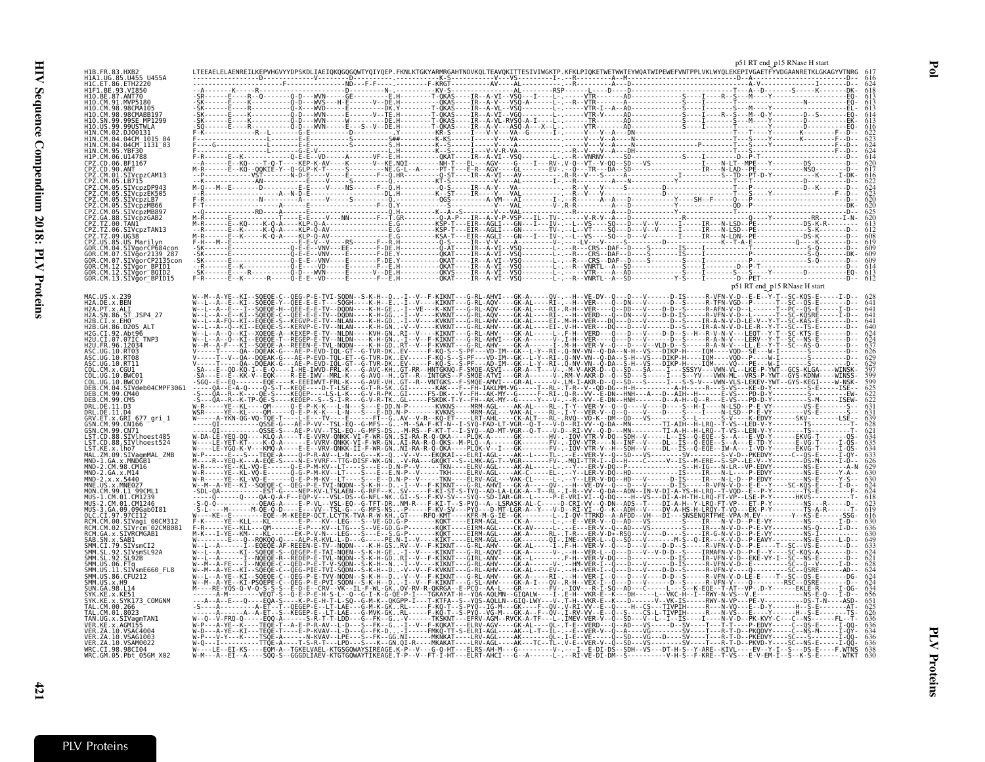| H1B.FR.83.HXB2<br>H1A1.UG.85.U455 U455A<br>H1C.ET.86.ETH2220                                                                             |  |                                          |
|------------------------------------------------------------------------------------------------------------------------------------------|--|------------------------------------------|
| HIF1.BE.93.VI850<br>HIF1.BE.93.VI850<br>H10.CM.91.MVP5180                                                                                |  |                                          |
| H10.CM.98.98CMA105<br>H10.CM.98.98CMABB197<br>H10.SN.99.99SE_MP1299<br>H10. US. 99. 99USTWLA<br>HIN.CM.02.DJ00131                        |  |                                          |
| H1N . CM . 04 . 04CM 1015 . 04<br>H1N . CM . 04 . 04CM 1015 . 04<br>H1N . CM . 95 . YBF30<br>H1P . CM . 06 . U14788<br>CPZ.CD.06.BF1167  |  |                                          |
| CPZ.CD.90.ANT<br>CPZ.CM.01.SIVcpzCAM13<br>CPZ.CM.05.LB715                                                                                |  |                                          |
| CPZ.CM.05.EB715<br>CPZ.CM.05.SIVcpzDP943<br>CPZ.CM.05.SIVcpzEK505<br>CPZ.CM.05.SIVcpzLB7<br>CPZ.CM.05.SIVcpzMB66<br>CPZ.CM.05.SIVcpzMB66 |  |                                          |
| CPZ.GA.88.SIVCpZGAB2<br>CPZ.TZ.00.TAN1<br>CPZ.TZ.00.TAN1<br>CPZ.TZ.06.SIVCpzTAN13<br>CPZ.US.85.US.Marilyn                                |  |                                          |
| GOR.CM.04.SIVgorCP684con<br>GOR.CM.07.SIVgor2139_287<br>GOR.CM.07.SIVgorCP2135con                                                        |  |                                          |
| GOR.CM.12.STVgor_BPID1<br>GOR.CM.12.STVgor_BPID1<br>GOR.CM.12.STVgor_BOID2<br>GOR.CM.13.STVgor_BPID15                                    |  | $\rm p51$ RT end $\rm p15$ RNase H start |
| MAC.US.x.239<br>H2A.DE.x.BEN<br>H2A.PT.x.ALI<br>H2A.SN.86.ST_JSP4_27                                                                     |  |                                          |
| H2B.CI.X.EHO<br>H2B.GH.86.D205 ALT<br>H2G.CI.92.Abt96<br>H2U.CI.07.07IC_TNP3                                                             |  |                                          |
| H2U.FR.96.12034<br>ASC.UG.10.RT03<br>ASC.UG.10.RT08<br>ASC.UG.10.RT11<br>COL.CM.x.CGUI                                                   |  |                                          |
| COL.UG.10.BWC01<br>COL.UG.10.BWC07<br>DEB.CM.04.SIVdeb04CMPF3061<br>DEB.CM.99.CM40                                                       |  |                                          |
| DEB. CM. 99. CM5<br>DRL.DE.11.D3<br>DRL.DE.11.D4<br>GRV.ET.x.GRI 677 gri 1                                                               |  |                                          |
| GSN. CM. 99. CN166<br>SSN:CH:33:CN/I<br>LST.CD.88.SIVlhoest485<br>LST.CD.88.SIVlhoest524<br>ST.KE.x.lho7                                 |  |                                          |
| L31. NE. 3. LHU/<br>MAL. ZM. 09. SIVagmMAL_ZMB<br>MND-1. GA. x. MNDGB1<br>MND-2. CM. 98. CM16<br>MND-2. x. x. 5440<br>MND-2. x. x. 5440  |  |                                          |
| MNE.US.x.MNE027<br>MON.CM.99.LI 99CML1<br>MUS-1.CM.01.CM1239                                                                             |  |                                          |
| MUS-2.CM.01.CM1246<br>MUS-3.GA.09.09Gab0I81<br>OLC.CI.97.97CI12<br>RCM.CM.00.SIVagi 00CM312<br>RCM.CM.02.SIVrcm 02CM8081                 |  |                                          |
| RCM.GA.x.SIVRCMGAB1<br>SAB.SN.x.SAB1<br>SMM.CI.79.SIVsmCI2<br>SMM.SL.92.SIVsmSL92A                                                       |  |                                          |
| SMM.SL.92.SL92B<br>SMM.US.06.FTq<br>SMM.US.11.SIVsmE660_FL8<br>SMM.US.86.CFU212                                                          |  |                                          |
| SMM. US. x. H9<br>SUN. GA. 98. L14<br>SYK.KE.x.KE51<br>SYK.KE.x.SYK173_COMGNM<br>TAL.CM.00.266                                           |  |                                          |
| TAL.CM.01.8023<br>TAN.UG.x.SIVagmTAN1<br>VER.KE.x.AGM155<br>VER.ZA.10.VSAC4004<br>VER.ZA.10.VSAG1003                                     |  |                                          |
| VER. ZA. 10. VSAM0022<br>WRC.CI.98.98CI04<br>WRC.GM.05.Pbt_05GM_X02                                                                      |  |                                          |

| 112A . DL . A . DLIY                   | - 1 - - - JUUII - - - - IN - II - - L .                                                                                                                                      |                                                                                                                                                                                                                                   |  |  |  |       |
|----------------------------------------|------------------------------------------------------------------------------------------------------------------------------------------------------------------------------|-----------------------------------------------------------------------------------------------------------------------------------------------------------------------------------------------------------------------------------|--|--|--|-------|
| H2A.PT.x.ALI                           |                                                                                                                                                                              | W--L--A--E---I--SQEQE-H--QEE-E-E-TV--DQDN----K-H-GE-I--VE---K-KNT---G-RL-AQV----GK-AL----RI-.R-H--VER----Q--DD---V----D-D--S-----R-AFN-V-D--L------T--PC--QS-E-----I-D-- Ğ4                                                       |  |  |  |       |
| H2A.SN.86.ST JSP4 27                   |                                                                                                                                                                              | W--L--A--E--KI--SÒEÒE-C--ÒEE-E-E-TV--DÒDN----K-H-GG-I--V----KVKNT---G-RL-AÒV----GK-AL----RI-.--H--VERD---Ô--DN---V----D-D-IS----R-VEN-V-D--L------T--SC-KÒSRE-----I-D-- 64                                                        |  |  |  |       |
|                                        |                                                                                                                                                                              |                                                                                                                                                                                                                                   |  |  |  |       |
| H2B.CI.x.EHO                           |                                                                                                                                                                              | -FO--KI--EOEOE-S--KEGVP-E-TV--NLAN----K-H-GD-I--V----KVKNT---G-RL-AHV----GK-AL----EI-.M-H--VER---DO---D---D---D---D--S----IR-A-N-V-D-LE-V--Y-T--SC-KAS-E------D-- 641                                                             |  |  |  |       |
|                                        |                                                                                                                                                                              |                                                                                                                                                                                                                                   |  |  |  |       |
| H2B.GH.86.D205 ALT                     |                                                                                                                                                                              | W--L--A--Q--KI--EQEQE-S--KERVP-E-TV--NLAN----K-H-GN-V--V----KVKNT---G-RL-AHV----GK-AL----EI-.V-H--VER---DQ---D---V-----D--S----JA--S---IR-A-N-V-D-LE-R--Y-T--SC--TS-E-------D-- 64C                                               |  |  |  |       |
| H2G.CI.92.Abt96                        |                                                                                                                                                                              | W--L--A--ð--KI--KŌEÒE-A--KEXEP-E-TV--NLDN----KVH-GNRI--V----KIKNT---G-RL-AHV----GK-AL----I--É-H--VERD---Ö---D---V---D-D--S--H--R-V-N-V---LEOT--Y-T--SC-KTS-E------D-- 62                                                          |  |  |  |       |
|                                        |                                                                                                                                                                              |                                                                                                                                                                                                                                   |  |  |  |       |
| H2U.CI.07.07IC TNP3                    |                                                                                                                                                                              | W--L--A--O--KI--EOEOE-T--REGEP-E-TV--NLDN----K-H-GN-I--V--F-KIKNT---G-RL-AHVI---GK-A------V-.I-H--VER---O---D---D---D--S-----R-A-N-V---LERV--Y-T--SC--NS-E-------D-- 624                                                          |  |  |  |       |
| H2U.FR.96.12034                        |                                                                                                                                                                              | W--M--A-F---KI--SÒEÒE-A--REEEN-E-TVL-NODN----K-H-GDRT--V--F-KVKNT---G-RL-AHV----GK-A------I-.M-H--VER-V--D---D---V--VLD-D--S-----R-A-N-V---LL.E--Y-T--SC--AS-D-------D-- 637                                                      |  |  |  |       |
|                                        |                                                                                                                                                                              |                                                                                                                                                                                                                                   |  |  |  |       |
| ASC.UG.10.RT03                         |                                                                                                                                                                              | V----T----DA--DOEAK-G---AE-P-EVD-TOL-GT--G-TVR-DKEV-----F-KO-S--S-PF---VD-TM--GK--L-Y--RT-.O-NV-VN--O-DA--N-H--VS---DIKP-H----IOM----VOD--SE---W-I-------S--------D--                                                             |  |  |  | -626  |
| ASC.UG.10.RT08                         |                                                                                                                                                                              | V - - - - T - V - 0A - DOEAK - G - - AE - P - EVD - TOL - ET - G - TVR - DK . EV - - - - F - KO - S - S - PF - - VD - TM - GK - L - Y - RT - . Q - NV - VN - O-S -H - VS - - - FTKP -H - - - TOM - - - VOD - P - - - W - I - -    |  |  |  |       |
|                                        |                                                                                                                                                                              |                                                                                                                                                                                                                                   |  |  |  |       |
| ASC.UG.10.RT11                         |                                                                                                                                                                              | V-----†----0A--DOEAK-G---AE-P-EVD-IOL-GT--G-TVR-DKEV-----F-KÖ-S--S-PF---AD-IM--GK--L-Y--RI-.0-NV-VN--Ö-DA--S-H--VS---DIKP-H----IOM----VÖ---PE---W-I-------S--------D-- 629                                                        |  |  |  |       |
|                                        |                                                                                                                                                                              | -SA---E--QD-KQ-I--E-Q----I-HE-IWVD-FRL-K---G-AVC-KHGT-RR--HNTGKNQ-F-SMQE-ASVI---GR-A-T---V-.-M-V-AKR-D--Q--SD---SA----I---SSSYV---VWN-VL--LKE-P-YWT--GCS-KLGA----WINSK-                                                           |  |  |  |       |
| COL.CM.x.CGU1                          |                                                                                                                                                                              |                                                                                                                                                                                                                                   |  |  |  |       |
| COL.UG.10.BWC01                        |                                                                                                                                                                              | -SA---E--E--KK-V--EOK----R-EE-IWV--MRL-K---G-AVO--HGT--R--INTGKS--F-SMOE-ATVI---GR-A------V-.RM-V-AKR-D--O--SD---S-----I---S---VVV---WIN-ML--VRS-P-YWT--GYS-KDNW----WINSS-                                                        |  |  |  |       |
|                                        |                                                                                                                                                                              | -\$60--E--E0-------E0E----K-EEEIWVT-FRL-K---G-AVE-VHGT--R--VNTGKS--F-SMOE-AMVI---GR-AL-----V-.LM-I-AKR-D--O--SD---S----I---S-S-V---VWN-VLS-LEKEV-YWT--GYS-KEGI----W-NSK-                                                          |  |  |  |       |
| COL.UG.10.BWC07                        |                                                                                                                                                                              |                                                                                                                                                                                                                                   |  |  |  |       |
| DEB.CM.04.SIVdeb04CMPF3061             |                                                                                                                                                                              |                                                                                                                                                                                                                                   |  |  |  | -625  |
|                                        |                                                                                                                                                                              |                                                                                                                                                                                                                                   |  |  |  |       |
| DEB.CM.99.CM40                         |                                                                                                                                                                              | -S---QA--R--K----QE-S----KEQEP----LS-L-K---G-V-R-PKGI-----FS-DK---Y--FH--AK-MY--G-----F--RI-.Q-R--VV--E-DN--HNH---A---D--AIH--H-------E-VS---PD-D-Y---------S---------E-VE-                                                       |  |  |  |       |
| DEB.CM.99.CM5                          |                                                                                                                                                                              | -S---QA--R--K-TP-QE-S----KEDEP--S--S-I-R---G-V-R-TKGL-----FSKDK-T-Y--FH--AK-MY--G-----Y---V---P+-P---E-DN--HNH-------D--A-H--Q--R---E-VS---PD-D-Y----------S-M-----ISEW-                                                          |  |  |  |       |
|                                        |                                                                                                                                                                              |                                                                                                                                                                                                                                   |  |  |  |       |
| DRL.DE.11.D3                           |                                                                                                                                                                              |                                                                                                                                                                                                                                   |  |  |  | -63   |
|                                        |                                                                                                                                                                              | WSR-----YE--KL----OM-----O-E-P-K-K---L-N---S---E-DD.N-P-------KVKNS----MRM-AGL---VAK-AL----RL-.I-Y--VER-V--O--O----V----F----S---I-----R-I-S--------VS-E-------S--- 631                                                           |  |  |  |       |
| DRL.DE.11.D4                           |                                                                                                                                                                              |                                                                                                                                                                                                                                   |  |  |  |       |
| GRV.ET.x.GRI 677 ari 1                 |                                                                                                                                                                              | W-----A-YKN-0G-V0-TOE-T----L-E---TV----E------FT--GAV--V-R--KO-ET----LRT-AHL----CK-ALT---RL-.RV0--VD-K--DM--OD---VS-------S--L------S-V------S-V------S-KV--------LSE-- 639                                                       |  |  |  |       |
|                                        |                                                                                                                                                                              | -----01------------0SSE-G---AE-P-VV--TSL-E0--G-MES--G-M--SA-F-KT-N--I-SYO-FAD-LT-VGR--D-T---V-D--RT-VV--O-DA--MN--------TI-AIH--H-LRO--T-VS--LED-V-Y--------TS-------------------------                                           |  |  |  |       |
| GSN.CM.99.CNI66                        |                                                                                                                                                                              |                                                                                                                                                                                                                                   |  |  |  |       |
| GSN.CM.99.CN71                         |                                                                                                                                                                              |                                                                                                                                                                                                                                   |  |  |  | -62   |
|                                        |                                                                                                                                                                              |                                                                                                                                                                                                                                   |  |  |  |       |
| LST.CD.88.SIVlhoest485                 |                                                                                                                                                                              | W-DA-LĒ-YEO-00----KLŌ-Ā----T-E-VVRV-ŌNKK-VI-F-WR-GNSI-RĀ-R-O-ÒKA----PLÒK-A------GK------KV.---HV-.-IOV-VTR-V-DO--SDH--V-----L-IS--O-EOÈ--S--Ā--Ē-VD-Y------EKVĞ-T-------OS- 634                                                   |  |  |  |       |
| LST.CD.88.SIVlhoest524                 |                                                                                                                                                                              | W----LE-YET-KT----K-Q-A------E-VVRV-QNKK-VI-F-WR-GNAI-RA-R-Q-QKS--M-PLQ--A------GK-------EV---IQV-TR----N--INF--V----DL--IS--Q-EQE--S--A---E-TD-Y------E-VG-T-----I-QS-                                                           |  |  |  |       |
|                                        |                                                                                                                                                                              |                                                                                                                                                                                                                                   |  |  |  |       |
| LST.KE.x.lho7                          |                                                                                                                                                                              | W----EE-YGQ-K-V---KMQ-A----E-E--VRV-QNKK-II-F-WR-GNNI-RA-R-Q-QKA----PEQK-V--I---GK------FV-.-IQV-VTR-V--H--SDH--V-----DE--IS--O-EOE--IW-A---I-VD-Y------EKVG-T-----I-QS-                                                          |  |  |  |       |
|                                        |                                                                                                                                                                              | W-P-----E--S---TEOÈ-A----O-P-R-AV--L-N---G---K--O-V--V---EKOKAI---ELRI-AGL----AK--L----TL-.--Ē--VER-V--O--SD---VS-----------SV------SV-----S-V-D--PKEDVY-----C--OS-E-----I-OY-                                                    |  |  |  |       |
| MAL.ZM.09.SIVaqmMAL ZMB                |                                                                                                                                                                              |                                                                                                                                                                                                                                   |  |  |  | -633  |
| MND-1.GA.x.MNDGB1                      |                                                                                                                                                                              | M----R--YEQ-K---A-EQE-S----N-E-YVRF--TTG-DIŠF-WK-GN-V-RA---GKQKT--S--LMK-AG-T--VGR-------FV-. MQI-TTR-I--D--H---C-----V--IS--M-ERE--S-SP--LE-V--Y--------DS-M-----I-D--                                                           |  |  |  |       |
|                                        |                                                                                                                                                                              |                                                                                                                                                                                                                                   |  |  |  |       |
| MND-2.CM.98.CM16                       |                                                                                                                                                                              |                                                                                                                                                                                                                                   |  |  |  |       |
| MND-2.GA.x.M14                         |                                                                                                                                                                              | W-R-----YE--KL-VÕ-E------Õ-G-P-M-KV--LT----S---E--E.N-P--V-----TKH----ELRV-AGL----AK-C-----EL-.--Y--LER-V-DÕ--HD----------IS----IS----IR----NE-----NS-E-----Y-A--- 63C                                                            |  |  |  |       |
|                                        |                                                                                                                                                                              |                                                                                                                                                                                                                                   |  |  |  |       |
| MND-2.x.x.5440                         |                                                                                                                                                                              | W-R-----YE--KL-VÔ-E------Ô-E-P-M-KV--LT----Ś---Ē--D.Ñ-P--V-----TKÑ----ELRV-AĞL---VAK-CL-----Ī-.-Y--EER-V-DŌ--HD---V------D-ĪŠ---DĪR---Ñ---Ñ---NE-P-EDVY--------NŠ-Ē-----Y-Ś-- 63C                                                 |  |  |  |       |
| MNE.US.x.MNE027                        |                                                                                                                                                                              | W--M--A-YE--KI--SOEOE-C--OEG-P-E-TVI-NODN--S-K-H--D-I--V--F-KIKNT---G-RL-AHVI---GK-A-----OV-.--H--VE-DV--O---D---V----D-IS-----R-VFN-V-D--E-E--Y----SC-KOS-E-----I-D-- 624                                                        |  |  |  |       |
|                                        |                                                                                                                                                                              |                                                                                                                                                                                                                                   |  |  |  |       |
| MON.CM.99.L1 99CML1                    |                                                                                                                                                                              | -SDL-0A-----------EST-G----NEP-KV-LTSLAEN--G-RFF--KSV-----F-KI-ST-S-TYD--AD-LA-LGK-A--T--RL-.I-R--VV--0-DA--ADN--IN-V-DI-A-YS-H-LRO--T-VOD--E--P-Y--------------FS-E--------F- 624                                                |  |  |  |       |
|                                        |                                                                                                                                                                              | ------0----0A-0-A-F--EDP-V---VSL-DS--G-NFL-NKGI--S--F-KV-SV---SYO--SD-IAR-GR--L-----P-E-VRI-VI--0-DO---HI-VS---DI-A-H-TH-LRO-FT-VP--LSE-P-Y-------HKVS------------T- 618                                                          |  |  |  |       |
| MUS-1.CM.01.CM1239                     |                                                                                                                                                                              |                                                                                                                                                                                                                                   |  |  |  |       |
| MUS-2.CM.01.CM1246                     |                                                                                                                                                                              |                                                                                                                                                                                                                                   |  |  |  |       |
|                                        |                                                                                                                                                                              |                                                                                                                                                                                                                                   |  |  |  |       |
| MUS-3.GA.09.09Gab0I81                  |                                                                                                                                                                              | -S-L-I--M------M-OE-O-D----E---VV--TSL-G---G-MFS-NSPP-----F-KV-SV---PYO---D-MT-LGR-A--Y---V-D--RT-VI--O--K-ADH--V----DV-A-HS-H-LROY-T-VO---EK-P-Y---------TS-A-R------T- 619                                                      |  |  |  |       |
| OLC.CI.97.97CI12                       |                                                                                                                                                                              | W---KE--E--------FOE--M-KEEEP-OCT.LCYTK-TVA-R-W-KHGT----RFO-KMT----KFR-M-G-IE--GK---------------------A-AFDD--VH---DI---SMSENORTEWE-VPA-M_EV---------Y--KS-E------SSG- 616                                                        |  |  |  |       |
|                                        |                                                                                                                                                                              |                                                                                                                                                                                                                                   |  |  |  |       |
| RCM.CM.00.SIVaɑi 00CM312               |                                                                                                                                                                              |                                                                                                                                                                                                                                   |  |  |  |       |
|                                        |                                                                                                                                                                              | F-R-----YE--KLL---OM-------E-P---KV--LTG---S--VE-GD.G-P-------KOKT----EIRM-AGL----CK-AV-----L. --E---ER-V-D--AD---VS---------S----IR---N-V-D--P-E-VY--------NS-0-----I-D-- 636                                                    |  |  |  |       |
| RCM.CM.02.SIVrcm <sup>-</sup> 02CM8081 |                                                                                                                                                                              |                                                                                                                                                                                                                                   |  |  |  |       |
| RCM.GA.x.SIVRCMGAB1                    |                                                                                                                                                                              |                                                                                                                                                                                                                                   |  |  |  |       |
|                                        |                                                                                                                                                                              |                                                                                                                                                                                                                                   |  |  |  |       |
| SAB.SN.x.SAB1                          |                                                                                                                                                                              | W-------E--0--ROKOO-O---ALP-R-KVL-L-D---G-----PE.N-I--V----KIKT----ELRM-AGL----GK-------OI-.IME--VER-L--0--SD---V-------M-S--O-IR---K-V-D--P-EAVY--------NS-E-----L-D-- 649                                                       |  |  |  |       |
| SMM.CI.79.SIVsmCI2                     |                                                                                                                                                                              | W--L--A------T--FOEOE-AF-REEEN-E-TV--NODN----K-H-GSRV--V--F-KIKNT---G-RL-AHV----GK-AL----T-.F-H--VER-V--O--T---F----V---D-D--S----R-VEN-V-D--P-E----T--SC--VS-E-------D-- 633                                                     |  |  |  |       |
|                                        |                                                                                                                                                                              |                                                                                                                                                                                                                                   |  |  |  |       |
| SMM.SL.92.SIVsmSL92A                   |                                                                                                                                                                              |                                                                                                                                                                                                                                   |  |  |  |       |
| SMM.SL.92.SL92B                        |                                                                                                                                                                              |                                                                                                                                                                                                                                   |  |  |  |       |
|                                        |                                                                                                                                                                              |                                                                                                                                                                                                                                   |  |  |  |       |
| SMM.US.06.FTa                          |                                                                                                                                                                              |                                                                                                                                                                                                                                   |  |  |  |       |
| SMM.US.11.SIVsmE660 FL8                |                                                                                                                                                                              |                                                                                                                                                                                                                                   |  |  |  |       |
|                                        |                                                                                                                                                                              |                                                                                                                                                                                                                                   |  |  |  |       |
| SMM.US.86.CFU212                       |                                                                                                                                                                              | W--L--A-YE--KT--SOEOE-C--OEG-P-E-TVV-NODN--S-K-H--D-V--V--F-KIKNT---G-RL-AHV----GK-A-----RT-.--H--VER-T--O---D---V---D-D--S-----R-VEN-V-D-LE-E----T--SC--OS-E-------DG- 624                                                       |  |  |  |       |
|                                        |                                                                                                                                                                              | W--M--A-YE--KI-PSOEPE-C--OEG-P-E-PVI-SODN--S-K-H--D-I--V--F-KIKNT---G-SL-AHV----GK-A-I---OV-.R-H--VEX-I--O----V-----V-------------R-VFN-V----O----------RSC--OSRE-------D-- 624                                                   |  |  |  |       |
| SMM.US.x.H9                            |                                                                                                                                                                              |                                                                                                                                                                                                                                   |  |  |  |       |
| SUN.GA.98.L14                          |                                                                                                                                                                              | M----RE-YOS-O-V-O-S-S-S--E-D-E--CRV--VK--TL-F-WL-GKOV-RV-R-OKRGA--E-PCO--AA-L---GR-------FV---TOV---R-T-SO--AD---C-----L---S--K-EOE--T-AT--VP-.D-Y------EKLE-R-----I-OG-                                                          |  |  |  | -634  |
|                                        |                                                                                                                                                                              |                                                                                                                                                                                                                                   |  |  |  |       |
| SYK.KE.x.KE51                          |                                                                                                                                                                              | ------A-M--------VEQT-S--Q-E-P-E-H-S-L--Q--G-I-K-G-QE-P-I---TGKAYAT-H--YQA-AQLMN--GIQALW----I-E-H--VKR-E--K---DH-----L--VKC-H--I--RWY-N-VS--V.E--------------NS-E-Q---I-D--                                                       |  |  |  |       |
| SYK.KE.x.SYK173 COMGNM                 |                                                                                                                                                                              |                                                                                                                                                                                                                                   |  |  |  | -65   |
|                                        |                                                                                                                                                                              |                                                                                                                                                                                                                                   |  |  |  |       |
| TAL.CM.00.266                          |                                                                                                                                                                              | -S----A---------A-ET--T--OEGEP-E--LT-LAE---G-M-K-GKRL-----F-KO-T--S-PYO--IG-M---GK----F--OV-.V-RI-VV--E--O---H--CS---TIVPIH-----R---N-VO---E--D-Y------H--S-E-------AT-                                                           |  |  |  |       |
| TAL.CM.01.8023                         |                                                                                                                                                                              | ------A-----A--A-ET--S--REGEP-E--LT-LAE---G-MVK-GKRL-----F-KO-T--S-PYO--VG-M---GK-A--F--OV-.I-RV-VV--E--Q--S---CS-L-TIVPIH-----R---N-VS---E----Y------H--S-E-------TS--                                                           |  |  |  | -626  |
|                                        |                                                                                                                                                                              |                                                                                                                                                                                                                                   |  |  |  |       |
| TAN.UG.x.SIVaαmTAN1                    |                                                                                                                                                                              | W--0--V-FRO-0-----EOO-A------S-R-T-T-LDD---G--FK--GV------TKŠKNT---EFRV-AGM--RVCK-A-TF---L-.IMEV-VER-V--Ö--SD---V--L--I--I-I-IS----I---N-V-D--PK-KVY-C---C--NS------FL--T-                                                        |  |  |  |       |
|                                        |                                                                                                                                                                              | W-P---A-YE--K----TEOE-T--A-E-P-R-AV--L-D---S--FK--G-I--V--F-KOKAT---ELRV-AGV----GK-AL----OL-.T-E--VERD---O--AD---XS----D--SV----T-T---T-T---P-EDVY-----C--OS-E-----I-OO-                                                          |  |  |  | -636  |
| VER.KE.x.AGM155                        |                                                                                                                                                                              |                                                                                                                                                                                                                                   |  |  |  |       |
| VER.ZA.10.VSAC4004                     |                                                                                                                                                                              | W-D---A-YE--KI---TEÖE-T----E-P-KVAV--L-D---G--FK-D-Ī-----FMKÖ-TT-S-ELRI-AGL----AK--L-T--IL-.-E--VER-V--Ö--A----VG-----SV----T--SV----T---R-T-D--PKODVY-----C--NS-M-----I-ÕY-                                                      |  |  |  | -634  |
|                                        |                                                                                                                                                                              |                                                                                                                                                                                                                                   |  |  |  |       |
| VER.ZA.10.VSAG1003                     |                                                                                                                                                                              |                                                                                                                                                                                                                                   |  |  |  |       |
| VER.ZA.10.VSAM0022                     |                                                                                                                                                                              | W-P---V-Y---K----TSQE-A-------N-KVAV--LPE---S--FK--GG.NI------MKNKAT----LRV-AGL----AK-------QL-.I-E--VE-----0--SD---VG---D---SV----F-----R-T-D--PKEDVY----SC---S-------------------------<br>W-P---V-Y---K----TSQE-A----T-S-R-T-- |  |  |  |       |
|                                        |                                                                                                                                                                              |                                                                                                                                                                                                                                   |  |  |  |       |
| WRC.CI.98.98CI04                       |                                                                                                                                                                              |                                                                                                                                                                                                                                   |  |  |  | - 638 |
|                                        |                                                                                                                                                                              |                                                                                                                                                                                                                                   |  |  |  |       |
|                                        | W----LE--EI-KS----EOM-A--TGKELVAEL-KTGSGOWAYSIREAGE.K-P--V---G-Q-HT---ELRS-AH-M---G--------V-----V----F--E-DJ-DS--SDH--VS---DT-H-S--Y-ARE--KIVL---EV-Y-I--S---DS-E----F.WTNS |                                                                                                                                                                                                                                   |  |  |  |       |
| WRC.GM.05.Pbt 05GM X02                 |                                                                                                                                                                              | W-M---A--EI--A----SOO-S--GGGDLIAEV-KTGTGOWAYTIKEAGE.T-P--V--FT-I-HT---ELRT-AHCI---G--A------L-.--RI-VE-DI-DM--S--------V-H-S--F-KRE--T-VS---E-V-EM-I--S--K-S-E----- WTKT 63C                                                      |  |  |  |       |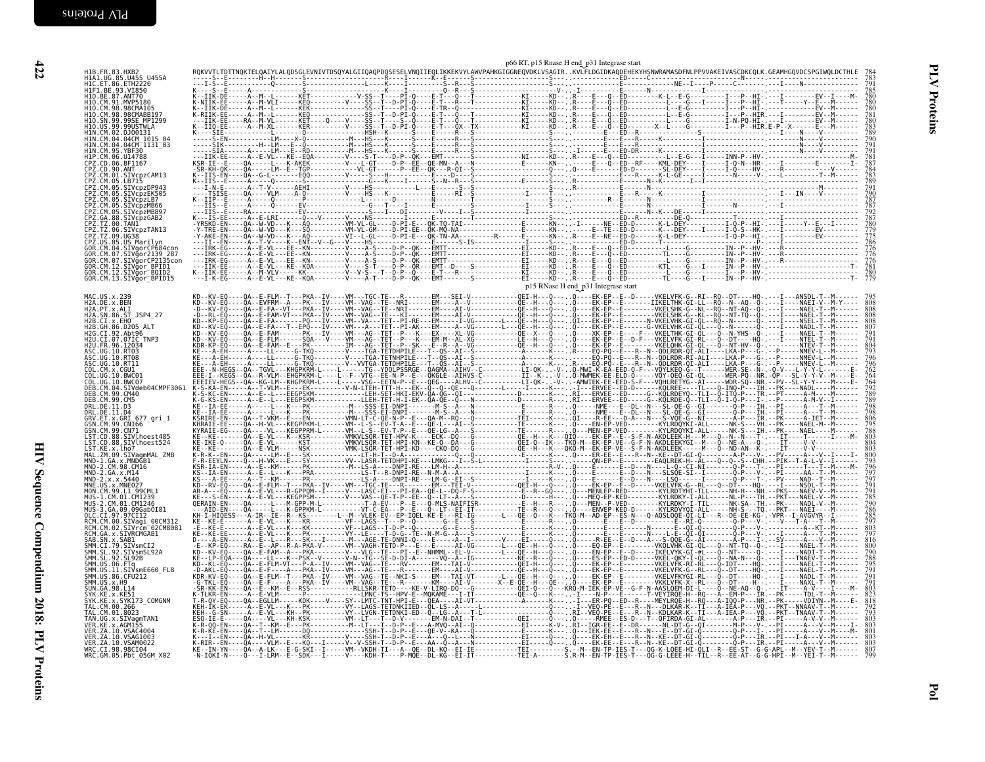| H1B. FR. 83. HXB2                                                                                                                                                              |  |  |  | p66 RT, p15 Rnase H end p31 Integrase start |                                     |  |  |
|--------------------------------------------------------------------------------------------------------------------------------------------------------------------------------|--|--|--|---------------------------------------------|-------------------------------------|--|--|
| H1A1.UG.85.U455 U455A<br>H1C.ET.86.ETH2220<br>H1F1.BE.93.VI850                                                                                                                 |  |  |  |                                             |                                     |  |  |
| H10.BE.87.ANT70<br>H10.CM.91.MVP5180                                                                                                                                           |  |  |  |                                             |                                     |  |  |
| H10.CM.98.98CMA105<br>H10.CM.98.98CMABB197                                                                                                                                     |  |  |  |                                             |                                     |  |  |
| H10.SN.99.99SE MP1299<br>H10.US.99.99USTWLA<br>HIN.CM.02.DJ00131                                                                                                               |  |  |  |                                             |                                     |  |  |
| H1N.CM.04.04CM 1015 04<br>H1N.CM.04.04CM 1131 03                                                                                                                               |  |  |  |                                             |                                     |  |  |
| HIN.CM.95.YBF30<br>HIP.CM.06.U14788<br>CPZ.CD.06.BF1167                                                                                                                        |  |  |  |                                             |                                     |  |  |
|                                                                                                                                                                                |  |  |  |                                             |                                     |  |  |
|                                                                                                                                                                                |  |  |  |                                             |                                     |  |  |
| CPZ.CD.00.BF11b/<br>CPZ.CD.90.ANT<br>CPZ.CM.01.SIVcpzCAM13<br>CPZ.CM.05.LB715<br>CPZ.CM.05.SIVcpzDP943<br>CPZ.CM.05.SIVcpzEK505<br>CPZ.CM.05.SIVcpzEK505                       |  |  |  |                                             |                                     |  |  |
| CPZ.CM.05.SIVcpzMB66<br>CPZ.CM.05.SIVcpzMB897<br>CPZ.GA.88.SIVcpzGAB2                                                                                                          |  |  |  |                                             |                                     |  |  |
|                                                                                                                                                                                |  |  |  |                                             |                                     |  |  |
| CPZ.TZ.00.TAN1<br>CPZ.TZ.00.TAN1<br>CPZ.TZ.06.SIVcpzTAN13<br>CPZ.US.85.US_Marilyn                                                                                              |  |  |  |                                             |                                     |  |  |
| GOR.CM.04.SIVgorCP684con<br>GOR.CM.07.SIVğor2139 287                                                                                                                           |  |  |  |                                             |                                     |  |  |
| GOR.CM.07.SIVğorCP2135con                                                                                                                                                      |  |  |  |                                             |                                     |  |  |
| GOR.CM.12.STVGor_BPID1<br>GOR.CM.12.STVGor_BOID2<br>GOR.CM.13.STVgor_BPID15                                                                                                    |  |  |  |                                             |                                     |  |  |
| MAC.US.x.239                                                                                                                                                                   |  |  |  |                                             | p15 RNase H end_p31 Integrase start |  |  |
| H2A.DE.x.BEN<br>H2A. PT. x. ALI<br>H2A. SN. 86. ST_JSP4_27                                                                                                                     |  |  |  |                                             |                                     |  |  |
| H2B.CI.X.EHO<br>H2B.GH.86.D205 ALT                                                                                                                                             |  |  |  |                                             |                                     |  |  |
| H2G.CI.92.Abt96<br>H2U.CI.07.07IC_TNP3                                                                                                                                         |  |  |  |                                             |                                     |  |  |
| H2U.FR.96.12034                                                                                                                                                                |  |  |  |                                             |                                     |  |  |
| ASC.UG.10.RT03<br>ASC.UG.10.RT08<br>ASC.UG.10.RT11<br>COL.CM.X.CGU1                                                                                                            |  |  |  |                                             |                                     |  |  |
| COL.UG.10.BWC01                                                                                                                                                                |  |  |  |                                             |                                     |  |  |
| COL.UG.10.BWC07<br>DEB.CM.04.SIVdeb04CMPF3061<br>DEB. CM. 99. CM40                                                                                                             |  |  |  |                                             |                                     |  |  |
| DEB. CM. 99. CM5<br>DRL.DE.11.D3                                                                                                                                               |  |  |  |                                             |                                     |  |  |
| DRL.DE.11.D4<br>GRV.ET.x.GRI 677 gri 1                                                                                                                                         |  |  |  |                                             |                                     |  |  |
| GSN. CM. 99. CN166<br>GSN. CM. 99. CN71<br>LST.CD.88.SIVlhoest485                                                                                                              |  |  |  |                                             |                                     |  |  |
|                                                                                                                                                                                |  |  |  |                                             |                                     |  |  |
|                                                                                                                                                                                |  |  |  |                                             |                                     |  |  |
| LST.KE.x.lb7<br>LST.KE.x.lb7<br>MAL.ZM.09.SIVagmMAL_ZMB<br>MND-1.GA.x.MNDGB1<br>MND-2.CM.98.CM16<br>MND-2.GA.x.X.5440<br>MND-2.GA.x.X.5440<br>MND-2.x.x.5440<br>MND-2.x.x.5440 |  |  |  |                                             |                                     |  |  |
| MNE.US.x.MNE027<br>MON.CM.99.L1_99CML1                                                                                                                                         |  |  |  |                                             |                                     |  |  |
| MUS-1.CM.01.CM1239                                                                                                                                                             |  |  |  |                                             |                                     |  |  |
| MUS-3.GA.09.09Gab0I81                                                                                                                                                          |  |  |  |                                             |                                     |  |  |
| RCM.CM.00.SIVagi_00CM312<br>RCM.CM.02.SIVrcm <sup>-</sup> 02CM8081<br>RCM.GA.x.SIVRCMGAB1                                                                                      |  |  |  |                                             |                                     |  |  |
| SAB.SN.x.SAB1<br>SMM.CI.79.SIVSmCI2<br>SMM.SL.92.SIVSmSL92A<br>SMM.SL.92.SIVSmSL92A                                                                                            |  |  |  |                                             |                                     |  |  |
|                                                                                                                                                                                |  |  |  |                                             |                                     |  |  |
| SMM.US.06.FTq<br>SMM.US.11.SIVsmE660_FL8<br>SMM.US.86.CFU212                                                                                                                   |  |  |  |                                             |                                     |  |  |
| SMM.US.x.H9<br>SUN. GA. 98. L14                                                                                                                                                |  |  |  |                                             |                                     |  |  |
| SYK.KE.X.KE51<br>SYK.KE.X.SYK173 COMGNM<br>TAL. CM. 00.266                                                                                                                     |  |  |  |                                             |                                     |  |  |
| TAL. CM. 01.8023<br>TAN.UG.x.SIVagmTAN1                                                                                                                                        |  |  |  |                                             |                                     |  |  |
| VER. KE. x. AGM155<br>VER. ZA. 10. VSAC4004<br>VER. ZA. 10. VSAG1003                                                                                                           |  |  |  |                                             |                                     |  |  |
| VER. ZA. 10. VSAM0022                                                                                                                                                          |  |  |  |                                             |                                     |  |  |
| WRC.CI.98.98CI04<br>WRC.GM.05.Pbt_05GM_X02                                                                                                                                     |  |  |  |                                             |                                     |  |  |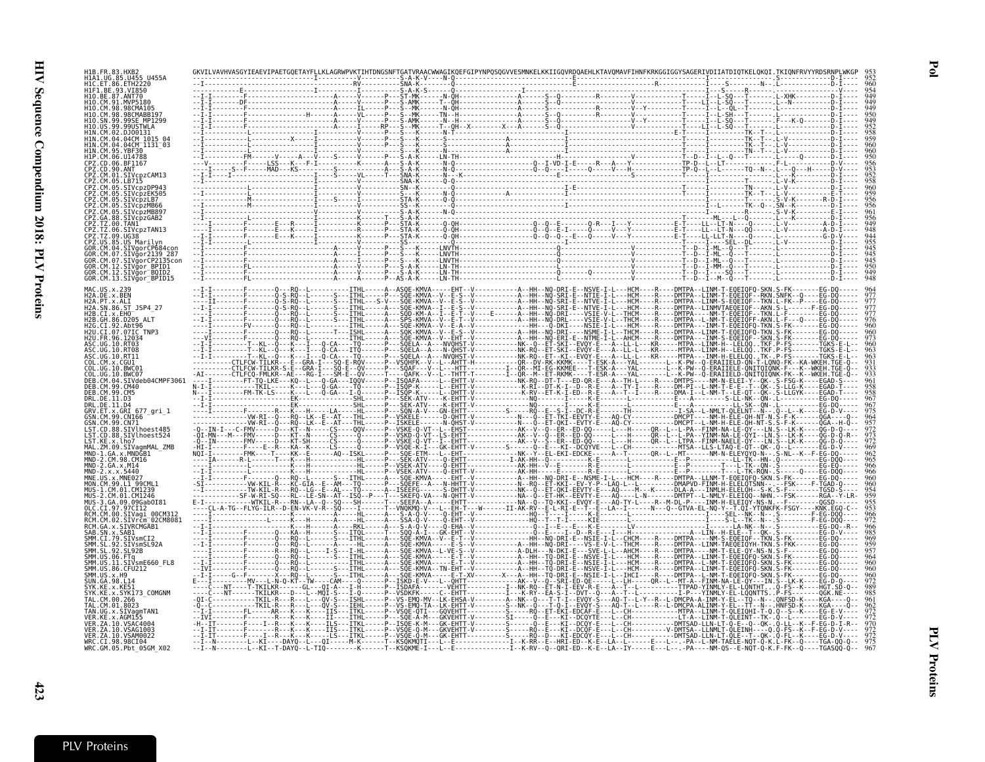$HAB = BAB$ .

|             | CMARR19                                                 |                                                                                                                   |                     |                                                                                                                                                                                                                     |                                                                                    |
|-------------|---------------------------------------------------------|-------------------------------------------------------------------------------------------------------------------|---------------------|---------------------------------------------------------------------------------------------------------------------------------------------------------------------------------------------------------------------|------------------------------------------------------------------------------------|
|             | SF MP1299                                               |                                                                                                                   |                     |                                                                                                                                                                                                                     |                                                                                    |
|             | 14CM 1015                                               |                                                                                                                   |                     |                                                                                                                                                                                                                     |                                                                                    |
|             | 94CMT 1131 <sup>-</sup> 03                              |                                                                                                                   |                     |                                                                                                                                                                                                                     |                                                                                    |
|             |                                                         |                                                                                                                   |                     |                                                                                                                                                                                                                     |                                                                                    |
|             | <b>STVcnzCAM13</b>                                      |                                                                                                                   |                     |                                                                                                                                                                                                                     |                                                                                    |
|             |                                                         |                                                                                                                   |                     |                                                                                                                                                                                                                     |                                                                                    |
|             |                                                         |                                                                                                                   |                     |                                                                                                                                                                                                                     |                                                                                    |
|             | SIVcnzLB7                                               |                                                                                                                   |                     |                                                                                                                                                                                                                     |                                                                                    |
|             |                                                         |                                                                                                                   |                     |                                                                                                                                                                                                                     |                                                                                    |
|             |                                                         |                                                                                                                   |                     |                                                                                                                                                                                                                     |                                                                                    |
|             |                                                         |                                                                                                                   |                     |                                                                                                                                                                                                                     |                                                                                    |
|             | CM.07.SIVğor2139 28.                                    |                                                                                                                   |                     |                                                                                                                                                                                                                     |                                                                                    |
|             | SIVãorCP2135co<br>CM.12.SIVğor BPID1                    |                                                                                                                   |                     |                                                                                                                                                                                                                     |                                                                                    |
|             | SIVgor <sup>-</sup> BQID2<br>GOR.CM.13.SIVğor_BPID15    |                                                                                                                   |                     |                                                                                                                                                                                                                     |                                                                                    |
|             |                                                         |                                                                                                                   |                     |                                                                                                                                                                                                                     |                                                                                    |
| 2A.DE.x.BEN | . PT . x . AL I                                         |                                                                                                                   |                     |                                                                                                                                                                                                                     |                                                                                    |
|             | H2A.SN.86.ST JSP4 27                                    |                                                                                                                   |                     | . - - - - - - - - A - -HH - - NQ - SRI - E - - NTVE - I - L - - - HCM - - - - R - - -                                                                                                                               | -DMTPA--LINMVTAEQEIQF--AKN<br>-DMTPA----NM-T-EÒEIÒF--TKN<br>-DMTPA--L-NM-T-EÒEIÒFF |
|             |                                                         |                                                                                                                   |                     | DMTPA - - - INM - T -                                                                                                                                                                                               |                                                                                    |
|             | CI.07.07IC TNP                                          |                                                                                                                   |                     |                                                                                                                                                                                                                     | -DMTPA--LINM-T-EQEIO                                                               |
|             |                                                         |                                                                                                                   |                     |                                                                                                                                                                                                                     |                                                                                    |
|             |                                                         | CTLFCW-TILKR---E--GRA-I---SQ                                                                                      |                     |                                                                                                                                                                                                                     |                                                                                    |
|             |                                                         | ·CTLFCW-TILKR-S-E--GRA-Ī---ŠÒ-Ē--ÒV<br>- CTLFCQ - FMLKR - - AE - - - RG - I - - - SM - E - - QV - - - - - T - - - |                     |                                                                                                                                                                                                                     |                                                                                    |
|             | IVdeb04CMPF306                                          |                                                                                                                   |                     |                                                                                                                                                                                                                     |                                                                                    |
|             |                                                         |                                                                                                                   |                     | )R-E---A--TH-L----R----DNTPS----NN-N-ELEI-Y--0K-.<br>-R-E---A--TY-I----R----DN-PI--L-NM-T-E-E--T--0K-.<br>-R-E---A--TY-I----R----DNA-I--L-NM-T-E-E--TT--0K-.<br>-K-E-------L------------E---A---------S-LL-NK--0N-. |                                                                                    |
|             | .x.GRI 677 ari 1                                        |                                                                                                                   |                     |                                                                                                                                                                                                                     |                                                                                    |
|             | 99.CN166                                                |                                                                                                                   |                     |                                                                                                                                                                                                                     |                                                                                    |
|             | SIVlhoest485<br>SIVlhoest524                            |                                                                                                                   |                     |                                                                                                                                                                                                                     |                                                                                    |
|             | KE.x.lho7                                               |                                                                                                                   |                     |                                                                                                                                                                                                                     |                                                                                    |
|             |                                                         |                                                                                                                   |                     |                                                                                                                                                                                                                     |                                                                                    |
|             |                                                         |                                                                                                                   |                     |                                                                                                                                                                                                                     |                                                                                    |
|             | CM.99.L1 99CML1                                         |                                                                                                                   |                     |                                                                                                                                                                                                                     |                                                                                    |
|             |                                                         |                                                                                                                   |                     |                                                                                                                                                                                                                     |                                                                                    |
|             | 09Gab0I8                                                |                                                                                                                   |                     |                                                                                                                                                                                                                     |                                                                                    |
|             | RCM.CM.00.SIVaqi 00CM312<br>STVrčm <sup>-</sup> 02CM808 |                                                                                                                   |                     |                                                                                                                                                                                                                     |                                                                                    |
|             | GA.x.SIVRCMGAB1<br>SN.x.SAB1                            |                                                                                                                   |                     |                                                                                                                                                                                                                     |                                                                                    |
|             | CI.79.SIVsmCI2<br>SIVsmSL92A                            |                                                                                                                   |                     |                                                                                                                                                                                                                     |                                                                                    |
|             |                                                         |                                                                                                                   |                     | -DMTPA--LINM-T                                                                                                                                                                                                      | -DMTPA----NM-T-ELE-0Y                                                              |
|             | 11.SIVsmE660 FL8<br>US.86.CFU212                        |                                                                                                                   |                     | DMTPA--LINM-T-                                                                                                                                                                                                      |                                                                                    |
|             |                                                         | -N-Q-KT--TW----CAM----Q                                                                                           |                     | Ϊ----R----DMTPA--L-NM-T-EQEIQFQ-SKN<br>----QR--L-- <u>MT-A--FINM-NA-</u> LE-QY <u>---</u> IN                                                                                                                        |                                                                                    |
|             | SYK173 COMGNM                                           |                                                                                                                   |                     |                                                                                                                                                                                                                     |                                                                                    |
|             |                                                         |                                                                                                                   |                     |                                                                                                                                                                                                                     |                                                                                    |
|             |                                                         |                                                                                                                   |                     |                                                                                                                                                                                                                     |                                                                                    |
|             | ZA.10.VSAC4004<br>7A 10 VSAG1003                        |                                                                                                                   |                     |                                                                                                                                                                                                                     | $DMTSAD-LLN-LT-0-E-.0-.0K-$                                                        |
|             | ZA.10.VSAM0022                                          |                                                                                                                   |                     | E---L--CH----------DMTSAD-LLN-LT-QLE--T--QK-.Q-FL-<br>E--LA--L------E---L-- -PA--L-NM-TAELE-NQT-Q-K.L-FK-                                                                                                           | FG-D-V-                                                                            |
|             | CT.98.98CT04<br>WRC.GM.05.Pbt 05GM X02                  | -------L--KĪ----DAYQ--L---QI-----M-K------T--KSQKMQTI---L--E<br>-----L--KI--T-DAYQ--L-TIQ-                        | ---T--KSÓKME-I---L- |                                                                                                                                                                                                                     |                                                                                    |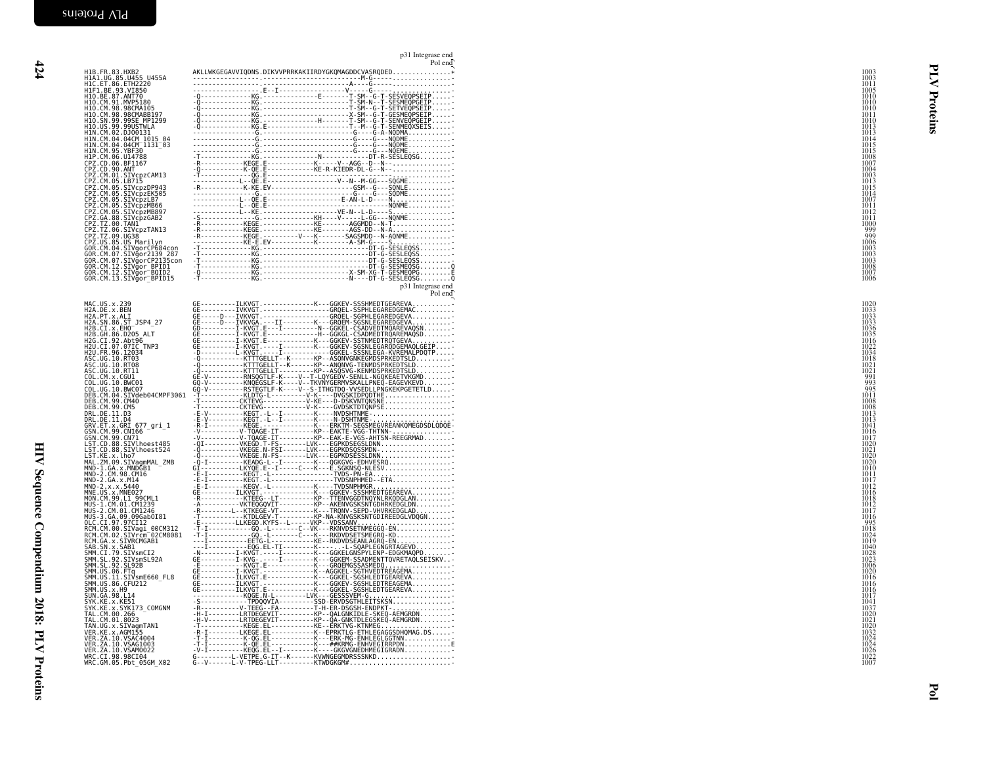|                                                                                                                                                                                                         | p31 Integrase end<br>Pol end                                                                                                                                                                                                                                                                                                                                                                                                                                                               |                                                      |
|---------------------------------------------------------------------------------------------------------------------------------------------------------------------------------------------------------|--------------------------------------------------------------------------------------------------------------------------------------------------------------------------------------------------------------------------------------------------------------------------------------------------------------------------------------------------------------------------------------------------------------------------------------------------------------------------------------------|------------------------------------------------------|
| H1B.FR.83.HXB2<br>H1A1.UG.85.U455_U455A<br>H1C.ET.86.ETH2220<br>H1F1.BE.93.VI850                                                                                                                        | AKLLWKGEGAVVIQDNS.DIKVVPRRKAKIIRDYGKQMAGDDCVASRQDED*                                                                                                                                                                                                                                                                                                                                                                                                                                       | 1003<br>1003<br>1011<br>1005                         |
| H10 .BE .87 .ANT70<br>H10 .CM .91 .MVP5180<br>H10 .CM .98 .98CMA105<br>H10 .CM .98 .98CMABB197                                                                                                          |                                                                                                                                                                                                                                                                                                                                                                                                                                                                                            | 1010<br>1010<br>1010<br>1011                         |
| H10.SN.99.99SE MP1299<br>H10.US.99.99USTWLA<br>H1N.CM.02.DJ00131<br>H1N.CM.04.04CM 1015 04<br>H1N.CM.04.04CM 1015 03                                                                                    |                                                                                                                                                                                                                                                                                                                                                                                                                                                                                            | teins<br>1010<br>1013<br>1013<br>1014<br>1015        |
| H1N.CM.95.YBF30<br>H1P.CM.96.U14788<br>CPZ.CD.06.U14788<br>CPZ.CD.06.BF1167<br>CPZ.CM.01.SIV5PZCAM13                                                                                                    |                                                                                                                                                                                                                                                                                                                                                                                                                                                                                            | 1015<br>1008<br>1007<br>1004                         |
| CPZ.CM.05.LB715<br>CP2.CM.05.SIVcpzDP943<br>CP2.CM.05.SIVcpzDP943<br>CP2.CM.05.SIVcpzLB7<br>CP2.CM.05.SIVcpzMB66<br>CP2.CM.05.SIVcpzMB807<br>CP2.CM.05.SIVcpzMB807                                      |                                                                                                                                                                                                                                                                                                                                                                                                                                                                                            | 1003<br>1013<br>1015<br>1014<br>1007                 |
| CPZ.GA.88.SIVcpzGAB2<br>CPZ.GA.88.SIVcpzGAB2<br>CPZ.TZ.00.TAN1<br>CPZ.TZ.06.SIVcpzTAN13                                                                                                                 |                                                                                                                                                                                                                                                                                                                                                                                                                                                                                            | 1011<br>1012<br>1011<br>1000                         |
| CPZ.TZ.09.UG38<br>CPZ.US.85.US Marilyn<br>GOR.CM.04.SIVgorCP684con<br>GOR.CM.07.SIVgor2139_287                                                                                                          |                                                                                                                                                                                                                                                                                                                                                                                                                                                                                            | $\frac{999}{999}$<br>1006<br>1003<br>1003            |
| GOR.CM.07.SIVgorCP2135con<br>GOR.CM.12.SIVgor_BPID1<br>GOR.CM.12.SIVgor_BOID2<br>GOR.CM.13.SIVgor <sup>-</sup> BPID15                                                                                   |                                                                                                                                                                                                                                                                                                                                                                                                                                                                                            | 1003<br>1008<br>1007<br>1006                         |
|                                                                                                                                                                                                         | p31 Integrase end<br>Pol end                                                                                                                                                                                                                                                                                                                                                                                                                                                               |                                                      |
| MAC.US.x.239<br>H2A.DE.x.BEN<br>H2A.PT.x.ALI<br>H2A.SN.86.ST_JSP4_27<br>H2B.CI.X.EH0                                                                                                                    |                                                                                                                                                                                                                                                                                                                                                                                                                                                                                            | 1020<br>1033<br>1033<br>1033<br>1036                 |
| H2B.GH.86.D205 ALT<br>H2G.CI.92.Abt96<br>H2U.CI.07.07IC TNP3<br>H2U.FR.96.12034<br>ASC.UG.10.RT03                                                                                                       |                                                                                                                                                                                                                                                                                                                                                                                                                                                                                            | 1035<br>1016<br>1022<br>$\frac{1055}{1018}$          |
| ASC.UG.10.RT08<br>ASC.UG.10.RT11<br>COL.CM.x.CGU1<br>COL.UG.10.BWC01<br>COL.UG.10.BWC07                                                                                                                 |                                                                                                                                                                                                                                                                                                                                                                                                                                                                                            | 1021<br>$\frac{1021}{991}$<br>995                    |
| DEB.CM.04.SIVdeb04CMPF3061<br>DEB.CM.99.CM40<br>DEB.CM.99.CM5<br>DRL.DE.11.D3                                                                                                                           | $\begin{tabular}{@{}c@{}} \hline \multicolumn{3}{c}{\textbf{0.1}} {\color{blue}{\textbf{0.1}} {\color{blue}{\textbf{0.1}} {\color{blue}{\textbf{0.1}} {\color{blue}{\textbf{0.1}} {\color{blue}{\textbf{0.1}} {\color{blue}{\textbf{0.1}} {\color{blue}{\textbf{0.1}} {\color{blue}{\textbf{0.1}} {\color{blue}{\textbf{0.1}} {\color{blue}{\textbf{0.1}} {\color{blue}{\textbf{0.1}} {\color{blue}{\textbf{0.1}} {\color{blue}{\textbf{0.1}} {\color{blue}{\textbf{0.1}} {\color{blue}{\$ | 1011<br>1008<br>1008<br>1013                         |
| DRL.DE.11.D4<br>GRV.ET.x.GRI 677 gri 1<br>GSN.CM.99.CN166<br>GSN.CM.99.CN71<br>LST.CD.88.SIVlhoest485                                                                                                   |                                                                                                                                                                                                                                                                                                                                                                                                                                                                                            | 1013<br>1041<br>1016<br>1017<br>1020                 |
| LST.CD.88.SIVlhoest524<br>LST.KE.x.lho7<br>MAL.ZM.09.SIVagmMAL_ZMB<br>MND-1.GA.x.MNDGB1<br>MND-2.CM.98.CM16                                                                                             |                                                                                                                                                                                                                                                                                                                                                                                                                                                                                            | 1021<br>1020<br>1020<br>1010                         |
| MND-2.GA.x.M14<br>MND-2.x.x.5440<br>MNE.US.x.MNE027<br>MON.CM.99.L1 99CML1                                                                                                                              |                                                                                                                                                                                                                                                                                                                                                                                                                                                                                            | 1011<br>1017<br>1012<br>1016<br>1018                 |
| MUS-1.CM.01.CM1239<br>MUS-2.CM.01.CM1246                                                                                                                                                                |                                                                                                                                                                                                                                                                                                                                                                                                                                                                                            | 1012<br>1017<br>1016<br>995<br>1018                  |
| MUS-3.64.09.09Gab0I81<br>OLC.CI.97.97CI12<br>RCM.CM.00.SIVagi_00CM312<br>RCM.CM.00.SIVacm_02CM8081<br>RCM.GA.x.SIVRCMGAB1<br>RCM.GA.x.SIVRCMGAB1<br>SAB.SN.x.SAB1                                       |                                                                                                                                                                                                                                                                                                                                                                                                                                                                                            | 1024<br>1019<br>1040<br>1028<br>1023                 |
| SAN SAVA: 2001<br>SMM . SL. 92. SIVSmCI2<br>SMM . SL. 92. SIVSmSL92A<br>SMM . US. 92. SL92B<br>SMM . US. 11. SIVSmE660_FL8<br>SMM . US. 11. SIVSmE660_FL8<br>SMM . US. 86. CFU212<br>SIIN . CA. 88. 114 |                                                                                                                                                                                                                                                                                                                                                                                                                                                                                            | 1006<br>1016<br>1016                                 |
| SUN. GA. 98. L14<br>SYK. KE. x. KE51<br>TAL. CM. SYK173_COMGNM<br>TAL. CM. 00. 266<br>TAL. CM. 01. 8023                                                                                                 | -S------------TPDQQVIA---------SSD-ERVDSGTHLEITSKSN                                                                                                                                                                                                                                                                                                                                                                                                                                        | 1016<br>1017<br>1041                                 |
| TAN.UG.x.SIVagmTAN1<br>VER.KE.x.AGM155<br>VER.ZA.10.VSAC4004                                                                                                                                            |                                                                                                                                                                                                                                                                                                                                                                                                                                                                                            | $\frac{1020}{1021}$                                  |
| VER. ZA. 10. VSAG1003<br>VER. 2A.10.VSAM0022<br>WRC.CI.98.98CI04<br>WRC.CI.98.98CI04<br>WRC.GM.05.Pbt_05GM_X02                                                                                          | -V-I---------KEQG.EL--I--------K----GKGVGNEDHMEGIGRADN<br>G---------L-VETPE.G-IT--K------KVWNGEGMDRSSSNKD<br>G--V------L-V-TPEG-LLT---------KTWDGKGM#                                                                                                                                                                                                                                                                                                                                      | 1032<br>1032<br>1024<br>1024<br>1026<br>1022<br>1007 |
|                                                                                                                                                                                                         |                                                                                                                                                                                                                                                                                                                                                                                                                                                                                            |                                                      |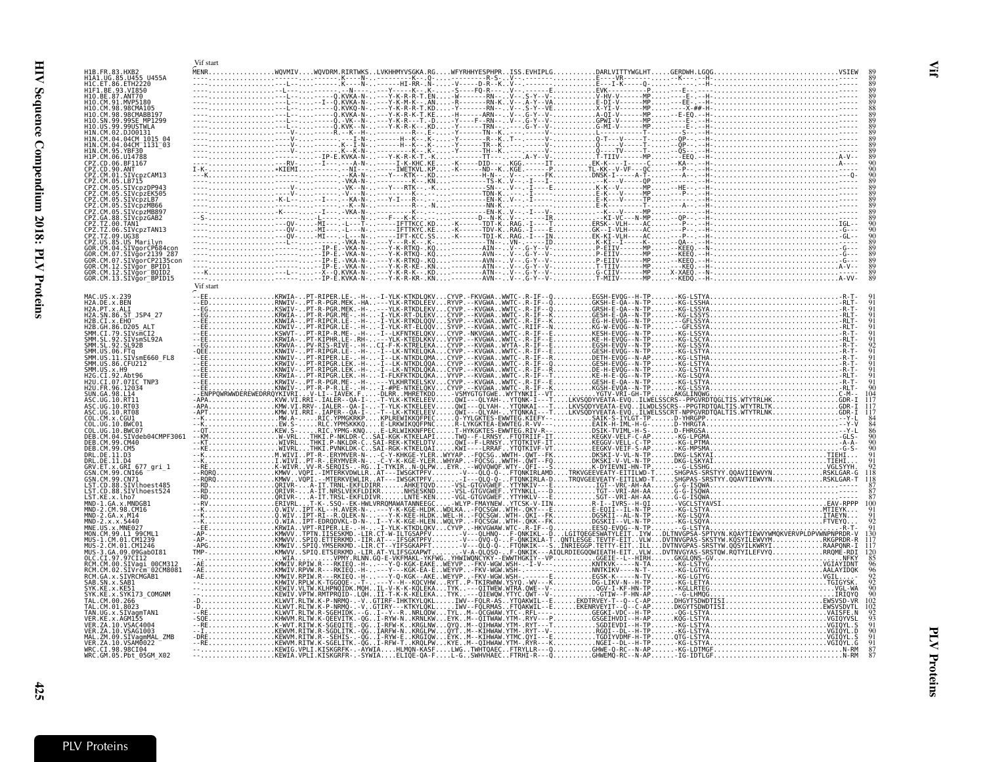<span id="page-22-0"></span>

|                                                                                         | Vif start |  |  |  |          |
|-----------------------------------------------------------------------------------------|-----------|--|--|--|----------|
| H1A1.UG.85.U455 U455A<br>H1C.ET.86.ETH2220                                              |           |  |  |  |          |
| HIF1.BE.93.VI850<br>H10.BE.87.ANT70                                                     |           |  |  |  |          |
| H10.CM.91.MVP5180<br>110.CM.98.98CMA105<br>110.CM.98.98CMABB197                         |           |  |  |  |          |
| H10.SN.99.99SE MP1299<br>99.99USTWLA                                                    |           |  |  |  |          |
| 1N.CM.02.DJ00131<br>11N.CM.04.04CM 1015 04<br>1N.CM.04.04CM 1131 03                     |           |  |  |  |          |
| 1N.CM.<br>95.YBF30<br>H1P.CM.06.U14788                                                  |           |  |  |  |          |
| CPZ.CD.06.BF1167<br>CPZ.CD.90.ANT                                                       |           |  |  |  |          |
| CPZ.CM.01.SIVcpzCAM13<br>CPZ.CM.05.LB715<br>P7.CM<br>05.<br>SIVcpzDP943                 |           |  |  |  |          |
| CP7 CM<br>05.<br>SIVcpzEK505<br>27. CM.<br>SIVcpzLB7                                    |           |  |  |  |          |
| PZ.CM.<br>05.<br>SIVcpzMB66<br>CPZ.CM.05<br>SIVcpzMB897<br>88.<br>SIVcpzGAB2<br>CPZ.GA. |           |  |  |  |          |
| PZ.TZ.00.TAN1<br>PZ.TZ.06.SIVCpzTAN13                                                   |           |  |  |  |          |
| CPZ.TZ.09.UG38<br>CPZ.US.85.US Marilyn<br>GOR.CM.04.SIVgorCP684con                      |           |  |  |  |          |
| GOR.CM.07.SIVğor2139 287<br>GOR.CM.07.SIVğorCP2135con                                   |           |  |  |  |          |
| GOR.CM.12.SIVğor BPID1<br>GOR.CM.12.SIVgor BOID2<br>GOR.CM.13.SIVgor BPID15             |           |  |  |  |          |
|                                                                                         | Vif start |  |  |  |          |
| MAC.US.x.239<br>H2A.DE.x.BEN<br>H2A.PT.x.ALI                                            |           |  |  |  | KG-LSTYA |
| H2A.SN.86.ST JSP4 27<br>H2B.CI.X.EHO                                                    |           |  |  |  |          |
| H2B.GH.86.D205 ALT                                                                      |           |  |  |  |          |
| SMM.CI.79.SIVSMCI2<br>SMM.SL.92.SIVSMCI2<br>SMM.SL.92.SIVSMSL92A                        |           |  |  |  |          |
| SMM.US.06.FTq<br>SMM.US.11.SIVsmE660 FL8<br>SMM. US. 86. CFU212                         |           |  |  |  |          |
| SMM.US.x.H9<br>H2G.CI.92.Abt96<br>H2U.CI.07.07IC TNP3                                   |           |  |  |  |          |
| 12U.FR.96.12034<br>SUN.GA.98.L14                                                        |           |  |  |  |          |
| ASC.UG.10.RT03<br>ASC.UG.10.RT08                                                        |           |  |  |  |          |
| COL.CM.x.CGU1<br>COL.UG.10.BWC01                                                        |           |  |  |  |          |
| UG.10.BWC07<br>DEB.CM.04.SIVdeb04CMPF3061<br>DEB.CM.99.CM40                             |           |  |  |  |          |
| DEB.CM.99.CM5<br>DRL.DE.11.D3                                                           |           |  |  |  |          |
| DRL.DE.11.D4<br>GRV.ET.X.GRI 677_gri_1<br>GSN.CM.99.CN166                               |           |  |  |  |          |
| GSN.CM.99.CN71<br>LST.CD.88.<br>SIVlhoest485                                            |           |  |  |  |          |
| LST.CD.88.SIVlhoest524<br>LST.KE.x.lho7                                                 |           |  |  |  |          |
| MND-1.GA.x.MNDGB1<br>MND-2.CM.98.CM16<br>MND-2.GA.x.M14                                 |           |  |  |  |          |
| MND-2.x.x.5440                                                                          |           |  |  |  |          |
| MON.CM.99.L1 99CML1<br>MUS-1.CM.01.CM1239<br>MUS-2.CM.01.CM1246                         |           |  |  |  |          |
| MUS-3.GA.09.09Gab0I81<br>OLC.CI.97.97CI12                                               |           |  |  |  |          |
| ŘČM.ČM.00.ŠIVagi 00CM312<br>RCM.CM.02.SIVrcm_02CM8081<br>RCM.GA.x.SIVRCMGAB1            |           |  |  |  |          |
| SAB.SN.x.SAB1<br>SYK.KE.x.KE51                                                          |           |  |  |  |          |
| TAL.CM.00.266<br>TAL.CM.01.8023                                                         |           |  |  |  |          |
| TAN.UG.x.SIVaqmTAN1<br>VER.KE.x.AGM155                                                  |           |  |  |  |          |
| VER.ZA.10.VSAC4004<br>VER.ZA.10.VSAG1003<br>MAL.ZM.09.SIVaqmMAL ZMB                     |           |  |  |  |          |
| VER.ZA.10.VSAM0022<br>WRC.CI.98.98CI04<br>WRC.GM.05.Pbt 05GM X02                        |           |  |  |  |          |
|                                                                                         |           |  |  |  |          |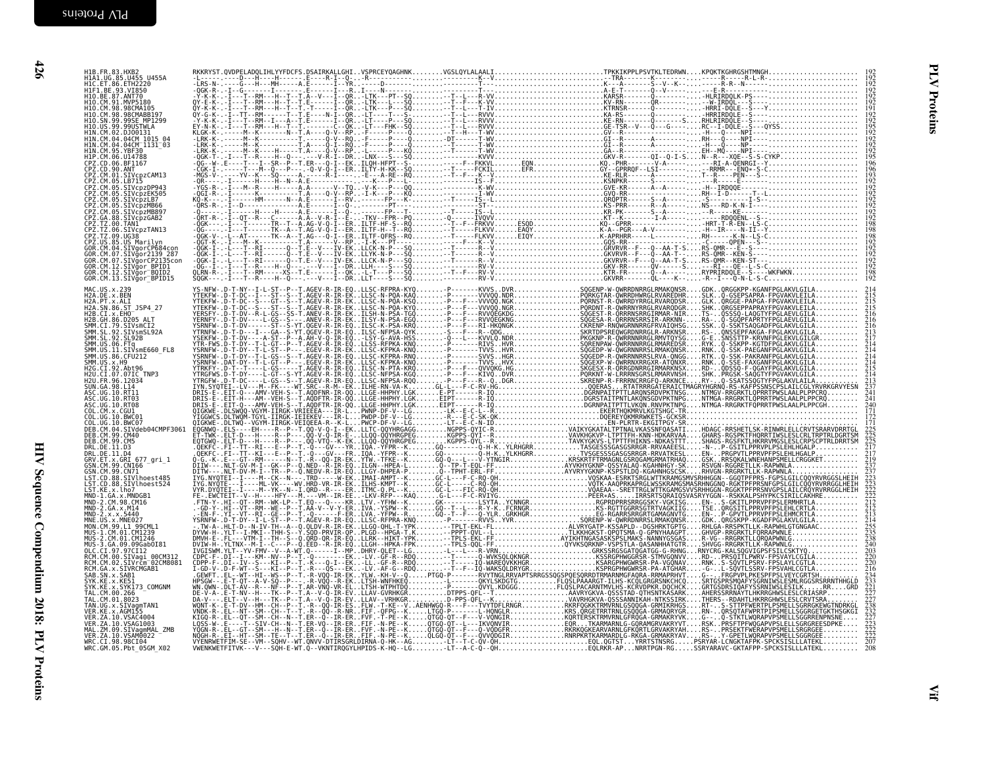| H10.BE.87.ANT70<br>H10.CM.91.MVP5180<br>H10.CM.98.98CMA105<br>H10.CM.98.98CMABB197<br>H10.SN.99.99SE MP1299                                                                                                             |  |  |                                                                               |
|-------------------------------------------------------------------------------------------------------------------------------------------------------------------------------------------------------------------------|--|--|-------------------------------------------------------------------------------|
| H10.US.99.99USTWLA<br>H1N.CM.02.DJ00131<br>H1N. CM. 04. 04CM<br>H1N. CM. 04. 04CM<br>H1N. CM. 04. 04CM<br>H1N. CM. 05. YBF30<br>H1P. CM. 06. U14788<br>CPZ. CD. 06. BF1167                                              |  |  |                                                                               |
| CPZ.CD.90.ANT<br>CPZ.CM.01.SIVcpzCAM13<br>CPZ.CM.05.LB715                                                                                                                                                               |  |  |                                                                               |
| CPZ.CM.05.SIVcpzDP943<br>CPZ.CM.05.SIVCDZEK505<br>CPZ.CM.05.SIVCDZLB7<br>CPZ.CM.05.SIVCDZMB66                                                                                                                           |  |  |                                                                               |
| CPZ.CM.05.SIVcpzMB897<br>CPZ.GA.88.SIVcpzGAB2<br>CPZ.TZ.00.TAN1<br>CPZ.TZ.06.SIVcpzTAN13                                                                                                                                |  |  |                                                                               |
| CPZ.TZ.09.UG38<br>CPZ.US.85.US Marilyn<br>GOR.CM.04.SIVgorCP684con<br>GOR.CM.07.SIVgor2139_287<br>GOR.CM.07.SIVgorCP2135con<br>GOR.CM.12.SIVgor BPID1<br>GOR.CM.12.SIVğor <sup>-</sup> BQID2<br>GOR.CM.13.SIVğor_BPID15 |  |  |                                                                               |
| MAC.US.x.239<br>H2A.DE.x.BEN<br>H2A.PT.x.ALI                                                                                                                                                                            |  |  |                                                                               |
| H2A. SN. 86. ST_JSP4_27<br>H2B. CI. x. EH0<br>H2B. GH. 86. D205_ALT<br>SMM.CI.79.SIVSMCI2<br>SMM.SL.92.SIVSMCI2<br>SMM.SL.92.SIVSMSL92A                                                                                 |  |  | $\overline{2}$ ič                                                             |
|                                                                                                                                                                                                                         |  |  |                                                                               |
| H2U.CI.07.07IC TNP3<br>H2U.FR.96.12034<br>SUN. GA. 98. L14                                                                                                                                                              |  |  | $\frac{5}{2}$ $\frac{13}{2}$                                                  |
| ASC.UG.10.RT11<br>ASC.UG.10.RT03<br>ASC.UG.10.RT08<br>COL.CM.x.CGU1<br>COL. UG. 10. BWC01                                                                                                                               |  |  | $\frac{5}{241}$<br>$\bar{2}40$                                                |
| COL.UG.10.BWC07<br>DEB.CM.04.SIVdeb04CMPF3061<br>DEB.CM.99.CM40<br>DEB.CM.99.CM5                                                                                                                                        |  |  | $\frac{225}{225}$<br>$\frac{225}{217}$                                        |
| DRL.DE.11.D3<br>DRL.DE.11.D4<br>GRV.ET.X.GRI 677_gri_1<br>GSN.CM.99.CN166<br>GSN.CM.99.CN71                                                                                                                             |  |  | $\frac{219}{237}$                                                             |
| LST.CD.88.SIVlhoest485<br>LST.CD.88.SIVlhoest524<br>LST.KE.x.lho7<br>MND-1.GA.x.MNDGB1<br>MND-2.CM.98.CM16<br>MND-2.GA.x.M14                                                                                            |  |  | 223<br>222<br>222<br>222<br>212<br>212                                        |
| $MD - 2. x. x. 5440$<br>MNE.US.x.MNE027<br>MON.CM.99.L1_99CML1                                                                                                                                                          |  |  |                                                                               |
| MUS-1.CM.01.CM1239<br>MUS-2:CM:01:CM124<br>MUS-3.GA.09.09Gab0I81<br>OLC.CI.97.97CI12<br>RCM.CM.00.SIVagi 00CM312                                                                                                        |  |  |                                                                               |
| RCM.CM.02.SIVrcm 02CM8081<br>RCM.GA.x.SIVRCMGAB1<br>SAB.SN.x.SAB1<br>SYK.KE.x.KE51                                                                                                                                      |  |  | $\frac{220}{220}$<br>$\overline{233}$                                         |
| SYK.KE.X.SYK173_COMGNM<br>TAL.CM.00.266<br>TAL.CM.01.8023<br>TAN.UG.x.SIVagmTAN1<br>VER.KE.x.AGM155                                                                                                                     |  |  | $\frac{221}{227}$                                                             |
| VER. ZA. 10. VSAC4004<br>VER. ZA. 10. VSAG1003<br>MAL.ZM.09.SIVagmMAL_ZMB<br>VER.ZA.10.VSAM0022                                                                                                                         |  |  | $\frac{238}{232}$<br>$\frac{232}{223}$<br>$\frac{223}{222}$<br>$\frac{55}{7}$ |
| WRC.CI.98.98CI04<br>WRC.GM.05.Pbt 05GM X02                                                                                                                                                                              |  |  |                                                                               |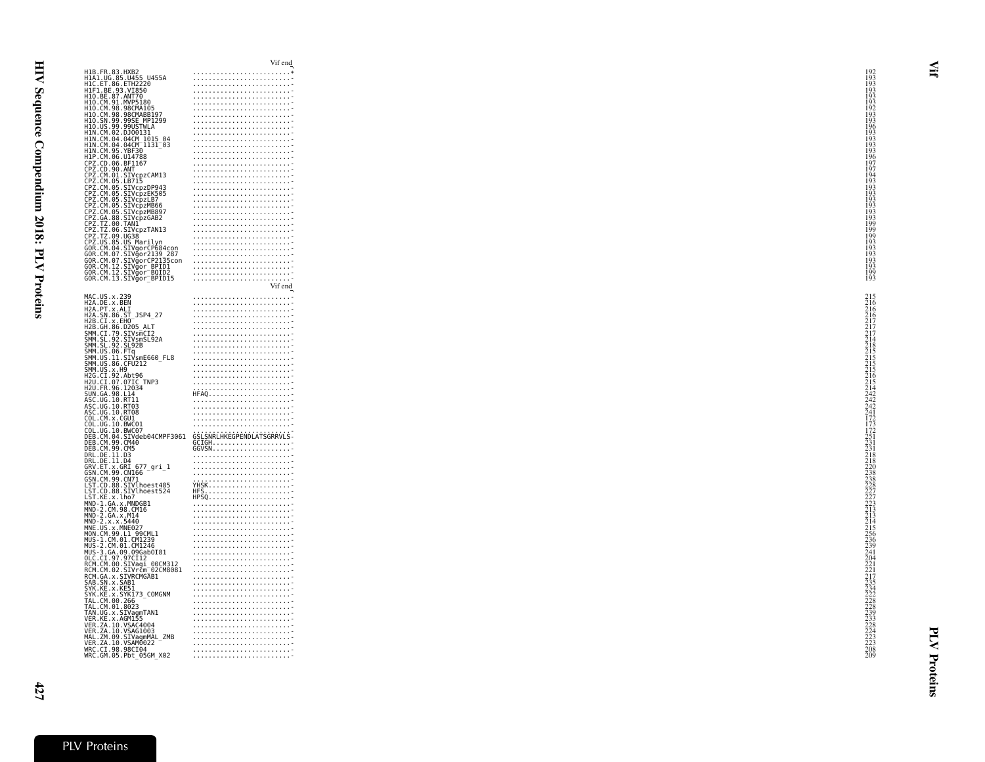| H1B.FR.83.HXB2<br>H1A1.UG.85.U455 U455A<br>H1C.ET.86.ETH2220                                                                                                                                                                                                                                                                                                                                                                                                                                                                                                                                                                                                                                                                                                                                                                                                                                                                                                                                                                                  |                                                                                                                                                                                                                                                                                                                                                                     |  |
|-----------------------------------------------------------------------------------------------------------------------------------------------------------------------------------------------------------------------------------------------------------------------------------------------------------------------------------------------------------------------------------------------------------------------------------------------------------------------------------------------------------------------------------------------------------------------------------------------------------------------------------------------------------------------------------------------------------------------------------------------------------------------------------------------------------------------------------------------------------------------------------------------------------------------------------------------------------------------------------------------------------------------------------------------|---------------------------------------------------------------------------------------------------------------------------------------------------------------------------------------------------------------------------------------------------------------------------------------------------------------------------------------------------------------------|--|
|                                                                                                                                                                                                                                                                                                                                                                                                                                                                                                                                                                                                                                                                                                                                                                                                                                                                                                                                                                                                                                               |                                                                                                                                                                                                                                                                                                                                                                     |  |
|                                                                                                                                                                                                                                                                                                                                                                                                                                                                                                                                                                                                                                                                                                                                                                                                                                                                                                                                                                                                                                               |                                                                                                                                                                                                                                                                                                                                                                     |  |
| H1F1.BE.93.VI850                                                                                                                                                                                                                                                                                                                                                                                                                                                                                                                                                                                                                                                                                                                                                                                                                                                                                                                                                                                                                              |                                                                                                                                                                                                                                                                                                                                                                     |  |
|                                                                                                                                                                                                                                                                                                                                                                                                                                                                                                                                                                                                                                                                                                                                                                                                                                                                                                                                                                                                                                               |                                                                                                                                                                                                                                                                                                                                                                     |  |
| H10.BE.87.ANT70<br>H10.CM.91.MVP5180                                                                                                                                                                                                                                                                                                                                                                                                                                                                                                                                                                                                                                                                                                                                                                                                                                                                                                                                                                                                          |                                                                                                                                                                                                                                                                                                                                                                     |  |
| H10.CM.98.98CMA105                                                                                                                                                                                                                                                                                                                                                                                                                                                                                                                                                                                                                                                                                                                                                                                                                                                                                                                                                                                                                            |                                                                                                                                                                                                                                                                                                                                                                     |  |
| H10.CM.98.98CMABB197                                                                                                                                                                                                                                                                                                                                                                                                                                                                                                                                                                                                                                                                                                                                                                                                                                                                                                                                                                                                                          |                                                                                                                                                                                                                                                                                                                                                                     |  |
| H10.SN.99.99SE_MP1299<br>H10.SN.99.99SE_MP1299<br>H10.US.99.99USTWLA                                                                                                                                                                                                                                                                                                                                                                                                                                                                                                                                                                                                                                                                                                                                                                                                                                                                                                                                                                          |                                                                                                                                                                                                                                                                                                                                                                     |  |
|                                                                                                                                                                                                                                                                                                                                                                                                                                                                                                                                                                                                                                                                                                                                                                                                                                                                                                                                                                                                                                               |                                                                                                                                                                                                                                                                                                                                                                     |  |
| HIN.CM.02.DJ00131                                                                                                                                                                                                                                                                                                                                                                                                                                                                                                                                                                                                                                                                                                                                                                                                                                                                                                                                                                                                                             |                                                                                                                                                                                                                                                                                                                                                                     |  |
| HIN.CM.04.04CM 1015 04                                                                                                                                                                                                                                                                                                                                                                                                                                                                                                                                                                                                                                                                                                                                                                                                                                                                                                                                                                                                                        |                                                                                                                                                                                                                                                                                                                                                                     |  |
| HIN.CM.04.04CM=1131=03<br>HIN.CM.04.04CM=1131=03<br>HIN.CM.95.YBF30                                                                                                                                                                                                                                                                                                                                                                                                                                                                                                                                                                                                                                                                                                                                                                                                                                                                                                                                                                           |                                                                                                                                                                                                                                                                                                                                                                     |  |
|                                                                                                                                                                                                                                                                                                                                                                                                                                                                                                                                                                                                                                                                                                                                                                                                                                                                                                                                                                                                                                               |                                                                                                                                                                                                                                                                                                                                                                     |  |
| H1P.CM.06.U14788<br>CPZ.CD.06.BF1167                                                                                                                                                                                                                                                                                                                                                                                                                                                                                                                                                                                                                                                                                                                                                                                                                                                                                                                                                                                                          |                                                                                                                                                                                                                                                                                                                                                                     |  |
| CPZ.CD.90.ANT<br>CPZ.CD.90.ANT<br>CPZ.CM.01.SIVcpzCAM13                                                                                                                                                                                                                                                                                                                                                                                                                                                                                                                                                                                                                                                                                                                                                                                                                                                                                                                                                                                       |                                                                                                                                                                                                                                                                                                                                                                     |  |
|                                                                                                                                                                                                                                                                                                                                                                                                                                                                                                                                                                                                                                                                                                                                                                                                                                                                                                                                                                                                                                               |                                                                                                                                                                                                                                                                                                                                                                     |  |
|                                                                                                                                                                                                                                                                                                                                                                                                                                                                                                                                                                                                                                                                                                                                                                                                                                                                                                                                                                                                                                               |                                                                                                                                                                                                                                                                                                                                                                     |  |
| CPZ.CM.05.LB715<br>CPZ.CM.05.SIVcpzDP943                                                                                                                                                                                                                                                                                                                                                                                                                                                                                                                                                                                                                                                                                                                                                                                                                                                                                                                                                                                                      |                                                                                                                                                                                                                                                                                                                                                                     |  |
|                                                                                                                                                                                                                                                                                                                                                                                                                                                                                                                                                                                                                                                                                                                                                                                                                                                                                                                                                                                                                                               |                                                                                                                                                                                                                                                                                                                                                                     |  |
| CPZ.CM.05.SIVcpzEK505<br>CPZ.CM.05.SIVcpzEK505<br>CPZ.CM.05.SIVcpzLB7                                                                                                                                                                                                                                                                                                                                                                                                                                                                                                                                                                                                                                                                                                                                                                                                                                                                                                                                                                         |                                                                                                                                                                                                                                                                                                                                                                     |  |
| ČPŽ.ČM.05.ŠĪVcpzMB66<br>CPZ.CM.05.SIVcpzMB897                                                                                                                                                                                                                                                                                                                                                                                                                                                                                                                                                                                                                                                                                                                                                                                                                                                                                                                                                                                                 |                                                                                                                                                                                                                                                                                                                                                                     |  |
|                                                                                                                                                                                                                                                                                                                                                                                                                                                                                                                                                                                                                                                                                                                                                                                                                                                                                                                                                                                                                                               |                                                                                                                                                                                                                                                                                                                                                                     |  |
| CPZ.CM.05.SIVCp2MB897<br>CPZ.CA.88.SIVCp2GAB2<br>CPZ.TZ.00.TANI2<br>CPZ.TZ.00.SIVCp2TAN13<br>CPZ.TZ.00.SIG387<br>CPZ.US.85.US<br>GAR.CM.04.SIVgorCP684con<br>GOR.CM.07.SIVgorCP2135con<br>GOR.CM.07.SIVgorCP2135con<br>GOR.CM.07.SIVgorCP2135con<br>GOR.CM.1                                                                                                                                                                                                                                                                                                                                                                                                                                                                                                                                                                                                                                                                                                                                                                                  |                                                                                                                                                                                                                                                                                                                                                                     |  |
|                                                                                                                                                                                                                                                                                                                                                                                                                                                                                                                                                                                                                                                                                                                                                                                                                                                                                                                                                                                                                                               |                                                                                                                                                                                                                                                                                                                                                                     |  |
|                                                                                                                                                                                                                                                                                                                                                                                                                                                                                                                                                                                                                                                                                                                                                                                                                                                                                                                                                                                                                                               |                                                                                                                                                                                                                                                                                                                                                                     |  |
|                                                                                                                                                                                                                                                                                                                                                                                                                                                                                                                                                                                                                                                                                                                                                                                                                                                                                                                                                                                                                                               |                                                                                                                                                                                                                                                                                                                                                                     |  |
|                                                                                                                                                                                                                                                                                                                                                                                                                                                                                                                                                                                                                                                                                                                                                                                                                                                                                                                                                                                                                                               |                                                                                                                                                                                                                                                                                                                                                                     |  |
|                                                                                                                                                                                                                                                                                                                                                                                                                                                                                                                                                                                                                                                                                                                                                                                                                                                                                                                                                                                                                                               |                                                                                                                                                                                                                                                                                                                                                                     |  |
|                                                                                                                                                                                                                                                                                                                                                                                                                                                                                                                                                                                                                                                                                                                                                                                                                                                                                                                                                                                                                                               |                                                                                                                                                                                                                                                                                                                                                                     |  |
|                                                                                                                                                                                                                                                                                                                                                                                                                                                                                                                                                                                                                                                                                                                                                                                                                                                                                                                                                                                                                                               |                                                                                                                                                                                                                                                                                                                                                                     |  |
|                                                                                                                                                                                                                                                                                                                                                                                                                                                                                                                                                                                                                                                                                                                                                                                                                                                                                                                                                                                                                                               |                                                                                                                                                                                                                                                                                                                                                                     |  |
|                                                                                                                                                                                                                                                                                                                                                                                                                                                                                                                                                                                                                                                                                                                                                                                                                                                                                                                                                                                                                                               |                                                                                                                                                                                                                                                                                                                                                                     |  |
|                                                                                                                                                                                                                                                                                                                                                                                                                                                                                                                                                                                                                                                                                                                                                                                                                                                                                                                                                                                                                                               | Vif end                                                                                                                                                                                                                                                                                                                                                             |  |
|                                                                                                                                                                                                                                                                                                                                                                                                                                                                                                                                                                                                                                                                                                                                                                                                                                                                                                                                                                                                                                               |                                                                                                                                                                                                                                                                                                                                                                     |  |
|                                                                                                                                                                                                                                                                                                                                                                                                                                                                                                                                                                                                                                                                                                                                                                                                                                                                                                                                                                                                                                               |                                                                                                                                                                                                                                                                                                                                                                     |  |
|                                                                                                                                                                                                                                                                                                                                                                                                                                                                                                                                                                                                                                                                                                                                                                                                                                                                                                                                                                                                                                               |                                                                                                                                                                                                                                                                                                                                                                     |  |
| MAC.US.x.239<br>H2A.DE.x.BEN<br>H2A.PT.x.ALI<br>H2A.SN.86.ST_JSP4_27<br>H2B.CI.x.EH0<br>H2B.CI.x.EH0                                                                                                                                                                                                                                                                                                                                                                                                                                                                                                                                                                                                                                                                                                                                                                                                                                                                                                                                          |                                                                                                                                                                                                                                                                                                                                                                     |  |
|                                                                                                                                                                                                                                                                                                                                                                                                                                                                                                                                                                                                                                                                                                                                                                                                                                                                                                                                                                                                                                               |                                                                                                                                                                                                                                                                                                                                                                     |  |
|                                                                                                                                                                                                                                                                                                                                                                                                                                                                                                                                                                                                                                                                                                                                                                                                                                                                                                                                                                                                                                               |                                                                                                                                                                                                                                                                                                                                                                     |  |
|                                                                                                                                                                                                                                                                                                                                                                                                                                                                                                                                                                                                                                                                                                                                                                                                                                                                                                                                                                                                                                               |                                                                                                                                                                                                                                                                                                                                                                     |  |
|                                                                                                                                                                                                                                                                                                                                                                                                                                                                                                                                                                                                                                                                                                                                                                                                                                                                                                                                                                                                                                               |                                                                                                                                                                                                                                                                                                                                                                     |  |
| H2B.GH.86.D205_ALT<br>SMM.CI.79.SIVsmCI2<br>SMM.SL.92.SIVsmSL92A<br>SMM.SL.92.SL92B                                                                                                                                                                                                                                                                                                                                                                                                                                                                                                                                                                                                                                                                                                                                                                                                                                                                                                                                                           |                                                                                                                                                                                                                                                                                                                                                                     |  |
|                                                                                                                                                                                                                                                                                                                                                                                                                                                                                                                                                                                                                                                                                                                                                                                                                                                                                                                                                                                                                                               |                                                                                                                                                                                                                                                                                                                                                                     |  |
|                                                                                                                                                                                                                                                                                                                                                                                                                                                                                                                                                                                                                                                                                                                                                                                                                                                                                                                                                                                                                                               |                                                                                                                                                                                                                                                                                                                                                                     |  |
|                                                                                                                                                                                                                                                                                                                                                                                                                                                                                                                                                                                                                                                                                                                                                                                                                                                                                                                                                                                                                                               |                                                                                                                                                                                                                                                                                                                                                                     |  |
|                                                                                                                                                                                                                                                                                                                                                                                                                                                                                                                                                                                                                                                                                                                                                                                                                                                                                                                                                                                                                                               |                                                                                                                                                                                                                                                                                                                                                                     |  |
| Эли1. Э.: Э3: Э.: Э.: Э.:<br>SMM. US. 06. FTq<br>SMM. US. 11. SIVsmE660_FL8<br>SMM. US. X. H9<br>SMM. US. X. H9<br>H2G. CI. 92. Abt96_rup?                                                                                                                                                                                                                                                                                                                                                                                                                                                                                                                                                                                                                                                                                                                                                                                                                                                                                                    |                                                                                                                                                                                                                                                                                                                                                                     |  |
| H2U.CI.07.07IC TNP3<br>H2U.FR.96.12034                                                                                                                                                                                                                                                                                                                                                                                                                                                                                                                                                                                                                                                                                                                                                                                                                                                                                                                                                                                                        |                                                                                                                                                                                                                                                                                                                                                                     |  |
|                                                                                                                                                                                                                                                                                                                                                                                                                                                                                                                                                                                                                                                                                                                                                                                                                                                                                                                                                                                                                                               |                                                                                                                                                                                                                                                                                                                                                                     |  |
|                                                                                                                                                                                                                                                                                                                                                                                                                                                                                                                                                                                                                                                                                                                                                                                                                                                                                                                                                                                                                                               |                                                                                                                                                                                                                                                                                                                                                                     |  |
|                                                                                                                                                                                                                                                                                                                                                                                                                                                                                                                                                                                                                                                                                                                                                                                                                                                                                                                                                                                                                                               |                                                                                                                                                                                                                                                                                                                                                                     |  |
|                                                                                                                                                                                                                                                                                                                                                                                                                                                                                                                                                                                                                                                                                                                                                                                                                                                                                                                                                                                                                                               |                                                                                                                                                                                                                                                                                                                                                                     |  |
|                                                                                                                                                                                                                                                                                                                                                                                                                                                                                                                                                                                                                                                                                                                                                                                                                                                                                                                                                                                                                                               |                                                                                                                                                                                                                                                                                                                                                                     |  |
|                                                                                                                                                                                                                                                                                                                                                                                                                                                                                                                                                                                                                                                                                                                                                                                                                                                                                                                                                                                                                                               |                                                                                                                                                                                                                                                                                                                                                                     |  |
|                                                                                                                                                                                                                                                                                                                                                                                                                                                                                                                                                                                                                                                                                                                                                                                                                                                                                                                                                                                                                                               |                                                                                                                                                                                                                                                                                                                                                                     |  |
|                                                                                                                                                                                                                                                                                                                                                                                                                                                                                                                                                                                                                                                                                                                                                                                                                                                                                                                                                                                                                                               |                                                                                                                                                                                                                                                                                                                                                                     |  |
|                                                                                                                                                                                                                                                                                                                                                                                                                                                                                                                                                                                                                                                                                                                                                                                                                                                                                                                                                                                                                                               |                                                                                                                                                                                                                                                                                                                                                                     |  |
|                                                                                                                                                                                                                                                                                                                                                                                                                                                                                                                                                                                                                                                                                                                                                                                                                                                                                                                                                                                                                                               |                                                                                                                                                                                                                                                                                                                                                                     |  |
|                                                                                                                                                                                                                                                                                                                                                                                                                                                                                                                                                                                                                                                                                                                                                                                                                                                                                                                                                                                                                                               |                                                                                                                                                                                                                                                                                                                                                                     |  |
|                                                                                                                                                                                                                                                                                                                                                                                                                                                                                                                                                                                                                                                                                                                                                                                                                                                                                                                                                                                                                                               |                                                                                                                                                                                                                                                                                                                                                                     |  |
|                                                                                                                                                                                                                                                                                                                                                                                                                                                                                                                                                                                                                                                                                                                                                                                                                                                                                                                                                                                                                                               |                                                                                                                                                                                                                                                                                                                                                                     |  |
|                                                                                                                                                                                                                                                                                                                                                                                                                                                                                                                                                                                                                                                                                                                                                                                                                                                                                                                                                                                                                                               |                                                                                                                                                                                                                                                                                                                                                                     |  |
|                                                                                                                                                                                                                                                                                                                                                                                                                                                                                                                                                                                                                                                                                                                                                                                                                                                                                                                                                                                                                                               |                                                                                                                                                                                                                                                                                                                                                                     |  |
|                                                                                                                                                                                                                                                                                                                                                                                                                                                                                                                                                                                                                                                                                                                                                                                                                                                                                                                                                                                                                                               |                                                                                                                                                                                                                                                                                                                                                                     |  |
|                                                                                                                                                                                                                                                                                                                                                                                                                                                                                                                                                                                                                                                                                                                                                                                                                                                                                                                                                                                                                                               |                                                                                                                                                                                                                                                                                                                                                                     |  |
|                                                                                                                                                                                                                                                                                                                                                                                                                                                                                                                                                                                                                                                                                                                                                                                                                                                                                                                                                                                                                                               |                                                                                                                                                                                                                                                                                                                                                                     |  |
|                                                                                                                                                                                                                                                                                                                                                                                                                                                                                                                                                                                                                                                                                                                                                                                                                                                                                                                                                                                                                                               |                                                                                                                                                                                                                                                                                                                                                                     |  |
|                                                                                                                                                                                                                                                                                                                                                                                                                                                                                                                                                                                                                                                                                                                                                                                                                                                                                                                                                                                                                                               | $\begin{picture}(10,10) \put(0,0){\vector(1,0){100}} \put(10,0){\vector(1,0){100}} \put(10,0){\vector(1,0){100}} \put(10,0){\vector(1,0){100}} \put(10,0){\vector(1,0){100}} \put(10,0){\vector(1,0){100}} \put(10,0){\vector(1,0){100}} \put(10,0){\vector(1,0){100}} \put(10,0){\vector(1,0){100}} \put(10,0){\vector(1,0){100}} \put(10,0){\vector(1,0){100}} \$ |  |
|                                                                                                                                                                                                                                                                                                                                                                                                                                                                                                                                                                                                                                                                                                                                                                                                                                                                                                                                                                                                                                               |                                                                                                                                                                                                                                                                                                                                                                     |  |
|                                                                                                                                                                                                                                                                                                                                                                                                                                                                                                                                                                                                                                                                                                                                                                                                                                                                                                                                                                                                                                               |                                                                                                                                                                                                                                                                                                                                                                     |  |
|                                                                                                                                                                                                                                                                                                                                                                                                                                                                                                                                                                                                                                                                                                                                                                                                                                                                                                                                                                                                                                               |                                                                                                                                                                                                                                                                                                                                                                     |  |
|                                                                                                                                                                                                                                                                                                                                                                                                                                                                                                                                                                                                                                                                                                                                                                                                                                                                                                                                                                                                                                               |                                                                                                                                                                                                                                                                                                                                                                     |  |
|                                                                                                                                                                                                                                                                                                                                                                                                                                                                                                                                                                                                                                                                                                                                                                                                                                                                                                                                                                                                                                               |                                                                                                                                                                                                                                                                                                                                                                     |  |
|                                                                                                                                                                                                                                                                                                                                                                                                                                                                                                                                                                                                                                                                                                                                                                                                                                                                                                                                                                                                                                               |                                                                                                                                                                                                                                                                                                                                                                     |  |
|                                                                                                                                                                                                                                                                                                                                                                                                                                                                                                                                                                                                                                                                                                                                                                                                                                                                                                                                                                                                                                               |                                                                                                                                                                                                                                                                                                                                                                     |  |
|                                                                                                                                                                                                                                                                                                                                                                                                                                                                                                                                                                                                                                                                                                                                                                                                                                                                                                                                                                                                                                               |                                                                                                                                                                                                                                                                                                                                                                     |  |
|                                                                                                                                                                                                                                                                                                                                                                                                                                                                                                                                                                                                                                                                                                                                                                                                                                                                                                                                                                                                                                               |                                                                                                                                                                                                                                                                                                                                                                     |  |
|                                                                                                                                                                                                                                                                                                                                                                                                                                                                                                                                                                                                                                                                                                                                                                                                                                                                                                                                                                                                                                               |                                                                                                                                                                                                                                                                                                                                                                     |  |
|                                                                                                                                                                                                                                                                                                                                                                                                                                                                                                                                                                                                                                                                                                                                                                                                                                                                                                                                                                                                                                               |                                                                                                                                                                                                                                                                                                                                                                     |  |
|                                                                                                                                                                                                                                                                                                                                                                                                                                                                                                                                                                                                                                                                                                                                                                                                                                                                                                                                                                                                                                               |                                                                                                                                                                                                                                                                                                                                                                     |  |
|                                                                                                                                                                                                                                                                                                                                                                                                                                                                                                                                                                                                                                                                                                                                                                                                                                                                                                                                                                                                                                               |                                                                                                                                                                                                                                                                                                                                                                     |  |
|                                                                                                                                                                                                                                                                                                                                                                                                                                                                                                                                                                                                                                                                                                                                                                                                                                                                                                                                                                                                                                               |                                                                                                                                                                                                                                                                                                                                                                     |  |
|                                                                                                                                                                                                                                                                                                                                                                                                                                                                                                                                                                                                                                                                                                                                                                                                                                                                                                                                                                                                                                               |                                                                                                                                                                                                                                                                                                                                                                     |  |
|                                                                                                                                                                                                                                                                                                                                                                                                                                                                                                                                                                                                                                                                                                                                                                                                                                                                                                                                                                                                                                               |                                                                                                                                                                                                                                                                                                                                                                     |  |
|                                                                                                                                                                                                                                                                                                                                                                                                                                                                                                                                                                                                                                                                                                                                                                                                                                                                                                                                                                                                                                               |                                                                                                                                                                                                                                                                                                                                                                     |  |
|                                                                                                                                                                                                                                                                                                                                                                                                                                                                                                                                                                                                                                                                                                                                                                                                                                                                                                                                                                                                                                               |                                                                                                                                                                                                                                                                                                                                                                     |  |
|                                                                                                                                                                                                                                                                                                                                                                                                                                                                                                                                                                                                                                                                                                                                                                                                                                                                                                                                                                                                                                               |                                                                                                                                                                                                                                                                                                                                                                     |  |
|                                                                                                                                                                                                                                                                                                                                                                                                                                                                                                                                                                                                                                                                                                                                                                                                                                                                                                                                                                                                                                               |                                                                                                                                                                                                                                                                                                                                                                     |  |
| H20.1-N-30.1203-<br>ASC.UG.10.RT11<br>ASC.UG.10.RT11<br>ASC.UG.10.RT08<br>ASC.UG.10.RT08<br>COL.CM.x.CGU1.<br>COL.UG.10.BWC01<br>COL.UG.10.BWC07<br>DEB.CM.04.SIVdeb04CMPF3061<br>DEB.CM.99.CM40<br>DEB.CM.99.CM5<br>DRL.DE.11.D3<br>DRL.DE.11.D4<br>GRV.ET.x.GRI 677_gri_1<br>GSN.CM.99.CN166<br>GSN.CM.99.CN71<br>LST.CD.88.SIVIhoest485<br>LST.CD.88.SIVIhoest524<br>LST.KE.x.lho7<br>MND-1.GA.x.MNDGB1<br>MND-2.CM.98.CM16<br>MND-2.GA.x.M14<br>MND-2.x.x.5440<br>MND-2.x.x.5440<br>MUS-1.CM.01.CM1239<br>MUS-1.CM.01.CM1239<br>MUS-2.CM.01.CM1246<br>MUS-2.GA.09.09GabOI81<br>OLC.CI.97.97CI12<br>RCM.CM.00.SIVagi_00CM312<br>RCM.CM.00.SIVagi_00CM312<br>RCM.CM.02.SIVrcm <sup>-</sup> 02CM8081<br>R.M.CM.02.SIVrcm<br>RCM.GA.x.SIVRCMGAB1<br>SYK.KE.x.SAB1<br>SYK.KE.x.SYKI73_COMGNM<br>TAL.CM.00.266<br>TAL.CM.00.266<br>TAN.UG.x.SIVagmTAN1<br>VER.7A.10.VSAC4004<br>VER.7A.10.VSAC4004<br>VER.2A.10.VSAC4004<br>VER.2A.10.VSAC4004<br>MAL.2M.09.SIVagmMAL_ZMB<br>VER.2A.10.VSAM0022<br>VER.2A.10.VSAM0022<br>WBC.CI.98.9Bt_06CM_YOR |                                                                                                                                                                                                                                                                                                                                                                     |  |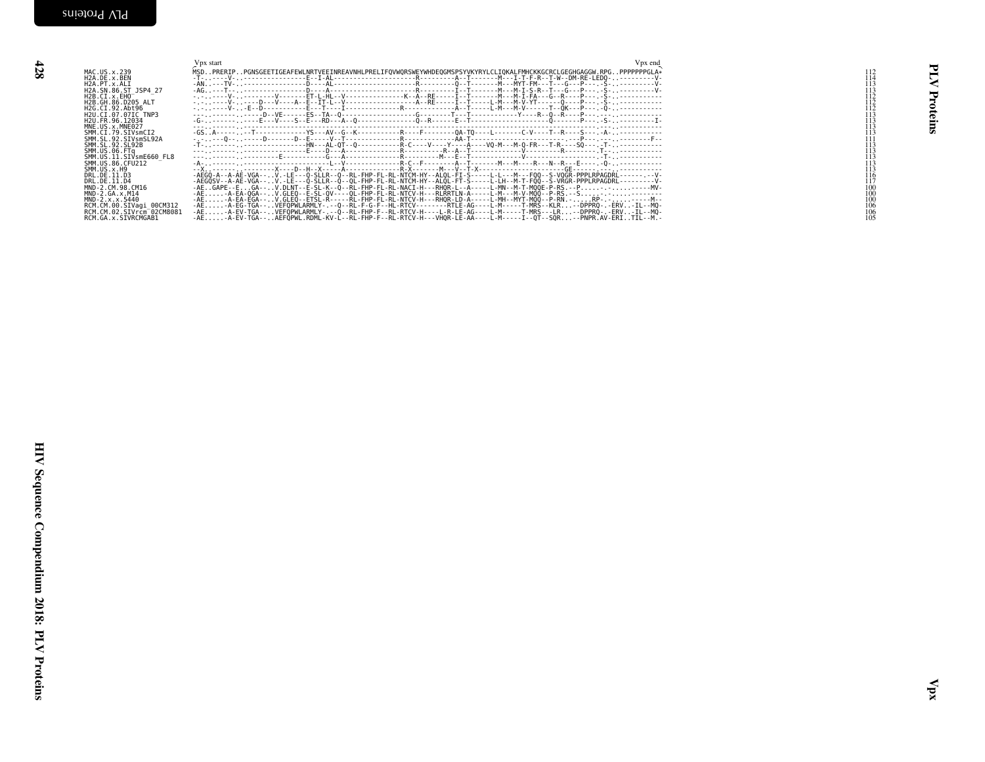<span id="page-25-0"></span>

| H2A. SN: 66. 11.25<br>H2A. C.I. x 6. EHO<br>H2B. C.I. x 6. EHO 2006<br>H2B. C.I. 122, 2006<br>H2B. C.I. 122, 2006<br>H2B. C.I. 122, 2006<br>H2B. C.I. 22, 2006<br>SMM: U.S. 22, 2007<br>SMM: U.S. 22, 2007<br>SMM: U.S. 22, 2007<br>SMM: U.S. 2007<br>SMM: U.S. | Vpx start | Vpx end<br>$\begin{array}{c} 113 \\ 113 \\ 113 \\ 113 \\ 113 \\ 113 \\ 114 \\ 115 \end{array}$<br>$\frac{116}{117}$<br>$\frac{10}{100}$<br>$\begin{array}{c} 100 \\ 100 \\ 100 \\ 106 \\ 106 \\ 105 \end{array}$ | 림<br>⋜<br>Proteins |
|-----------------------------------------------------------------------------------------------------------------------------------------------------------------------------------------------------------------------------------------------------------------|-----------|------------------------------------------------------------------------------------------------------------------------------------------------------------------------------------------------------------------|--------------------|
|                                                                                                                                                                                                                                                                 |           |                                                                                                                                                                                                                  | Й                  |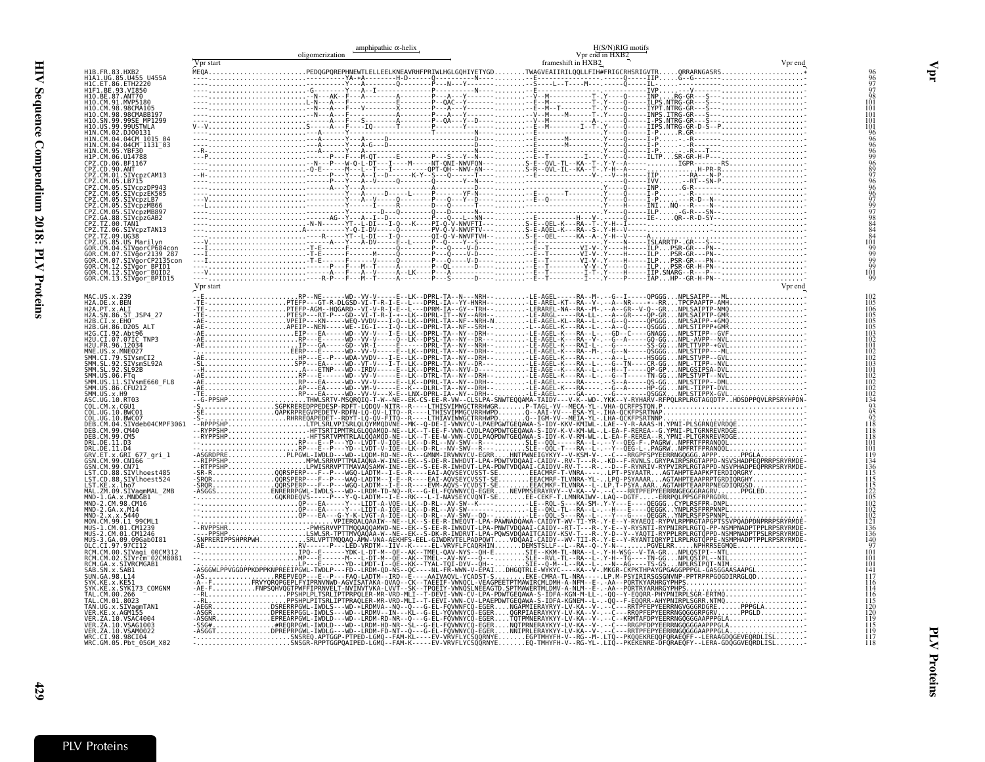<span id="page-26-0"></span>

|                                                                                                                                                                                                                                                                 |           | amphipathic $\alpha$ -helix<br>oligomerization | H(S/N)RIG motifs<br>Vpr end in HXB2 |         |
|-----------------------------------------------------------------------------------------------------------------------------------------------------------------------------------------------------------------------------------------------------------------|-----------|------------------------------------------------|-------------------------------------|---------|
| H1B.FR.83.HXB2<br>H1A1.UG.85.U455 U455A                                                                                                                                                                                                                         | Vpr start |                                                | frameshift in HXB2                  | Vpr end |
| HIC.ET.86.ETH2220<br>H1F1.BE.93.VI850<br>H10.BE.87.ANT70                                                                                                                                                                                                        |           |                                                |                                     |         |
| H10.CM.91.MVP5180<br>H10.CM.98.98CMA105<br>H10.CM.98.98CMABB197                                                                                                                                                                                                 |           |                                                |                                     |         |
| H10.SN.99.99SE MP1299<br>H10.US.99.99USTWLA<br>H10.US.99.99USTWLA<br>H1N.CM.02.DJ00131<br>H1N.CM.04.04CM_1015_04<br>H1N.CM.04.04CM_1131_03                                                                                                                      |           |                                                |                                     |         |
|                                                                                                                                                                                                                                                                 |           |                                                |                                     |         |
| H1N. CM. 04. 04CM" 1131_03<br>H1P. CM. 05. YBF30<br>CPZ. CD. 06. UH788<br>CPZ. CD. 06. BF1167<br>CPZ. CM. 05. LEV. CM. 200113<br>CPZ. CM. 05. STV.<br>CPZ. CM. 05. STV.<br>CPZ. CM. 05. STV.<br>CPZ. CM. 05. STV.<br>CPZ. CM. 05. STV.<br>CPZ. CM. 05. STV.<br> |           |                                                |                                     |         |
|                                                                                                                                                                                                                                                                 |           |                                                |                                     |         |
|                                                                                                                                                                                                                                                                 |           |                                                |                                     |         |
|                                                                                                                                                                                                                                                                 |           |                                                |                                     |         |
| L'E.LOM : S. SIVCPZMB89<br>CPZ.TZ.00.88.5IVCPZGAB2<br>CPZ.TZ.00.5IVCPZTAN13<br>CPZ.TZ.00.5IVCPZTAN13<br>CPZ.TZ.09.UGS8<br>CPZ.US.85.US Marilyn<br>GOR.CM.04.5IVGorCP139_287<br>GOR.CM.07.5IVGorCP139_287<br>GOR.CM.07.5IVGorCP139_287<br>GOR.CM.07.5IVGor       |           |                                                |                                     |         |
|                                                                                                                                                                                                                                                                 |           |                                                |                                     |         |
| GOR.CM.12.SIVgor_BPID1<br>GOR.CM.12.SIVgor_BPID1<br>GOR.CM.12.SIVgor_BOID2<br>GOR.CM.13.SIVgor_BPID15                                                                                                                                                           | Vpr start |                                                |                                     |         |
| MAC.US.x.239<br>H2A.DE.x.BEN<br>H2A.PT.x.ALI                                                                                                                                                                                                                    |           |                                                |                                     |         |
|                                                                                                                                                                                                                                                                 |           |                                                |                                     |         |
|                                                                                                                                                                                                                                                                 |           |                                                |                                     |         |
|                                                                                                                                                                                                                                                                 |           |                                                |                                     |         |
|                                                                                                                                                                                                                                                                 |           |                                                |                                     |         |
|                                                                                                                                                                                                                                                                 |           |                                                |                                     |         |
| H2A: BT: X: XLT<br>12A: SIN: 86: ST_3SP4_27<br>12B: CL1. X: EHOO<br>12C: CL1. X: EHOO<br>12C: CL1. 2C. 2C. 2C. 2C. 2N<br>12C: CL1. 92: AD190<br>12C: FR. 96: 12033<br>12M: CL1. 79: ST_2037<br>SMM: CL1. 79: ST_2037<br>SMM: CL1. 79: ST_2032<br>SMM: SL. 92    |           |                                                |                                     |         |
| COL.UG.10.BWC07<br>COL.UG.10.BWC07<br>DEB.CM.04.SIVdeb04CMPF3061<br>DEB.CM.99.CM40<br>DEB.CM.99.CM5                                                                                                                                                             |           |                                                |                                     |         |
| DEB.CM:99.CM5<br>DRL.DE.11.D3<br>DRL.DE.11.D4<br>GRV.ET.x.GRI 677_gri_1<br>GSN.CM.99.CN70<br>CSN.CM.99.CN71<br>LST.CD.88.SIVlhoest4852<br>LST.CD.88.SIVlhoest4852                                                                                               |           |                                                |                                     |         |
|                                                                                                                                                                                                                                                                 |           |                                                |                                     |         |
| LST.CD.88.SIVlhoest524<br>LST.KE.x.lho7<br>MAL.ZM.09.SIVagmMAL_ZMB                                                                                                                                                                                              |           |                                                |                                     |         |
| MND-1.GA.x.MNDGB1<br>MND-2.CM.98.CM16                                                                                                                                                                                                                           |           |                                                |                                     |         |
| MND-2.GA.x.M14<br>MND-2.x.x.5440<br>MND-2.x.x.5440<br>MON.CM.99.L1_99CML1                                                                                                                                                                                       |           |                                                |                                     |         |
| MUN.CM: 99.L1 990ML1<br>MUS-1.CM.01.CM1239<br>MUS-3.GA.09.09Gab0I81<br>MUS-3.GA.09.09Gab0I81<br>RCM.CM.00.SIVagi_00CM312<br>RCM.CM.00.SIVagi_00CM312<br>RCM.CM.02.SIVrcm_02CM8081                                                                               |           |                                                |                                     |         |
| RCM.GA.x.SIVRCMGABI<br>SAB.SN.x.SAB1                                                                                                                                                                                                                            |           |                                                |                                     |         |
| SUN. GA. 98. L14<br>SYK.KE.x.KE51                                                                                                                                                                                                                               |           |                                                |                                     |         |
|                                                                                                                                                                                                                                                                 |           |                                                |                                     |         |
| TAN.UG.x.SIVagmTAN1                                                                                                                                                                                                                                             |           |                                                |                                     |         |
| VER.ZA.10.VSAG1003<br>VER.ZA.10.VSAM0022                                                                                                                                                                                                                        |           |                                                |                                     |         |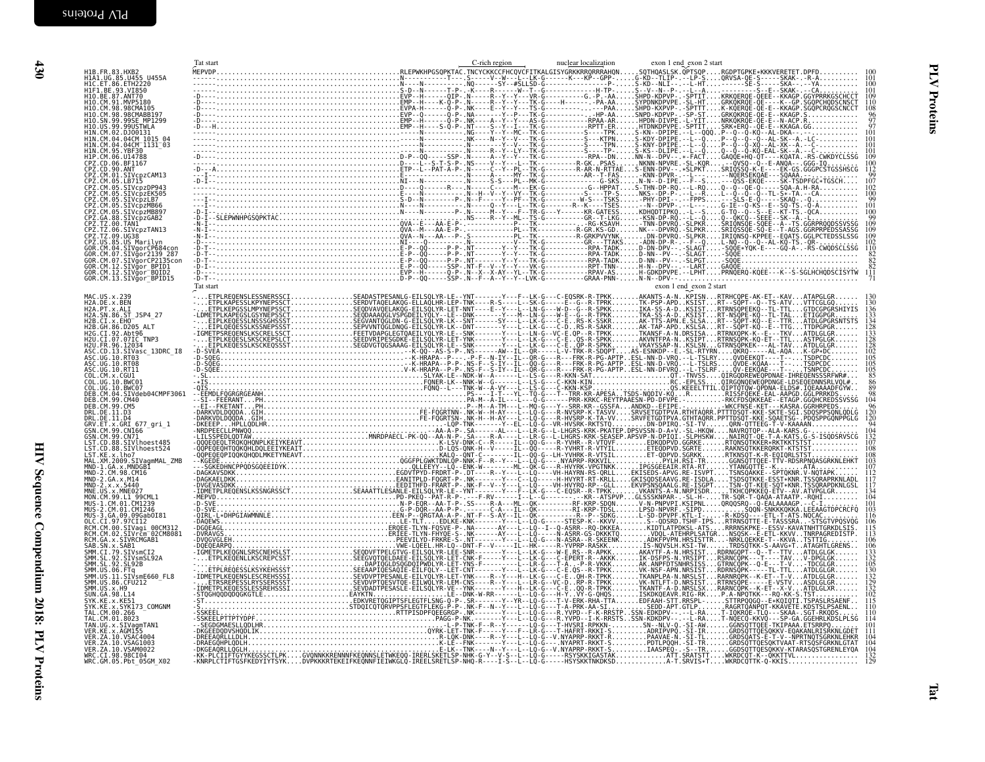<span id="page-27-0"></span>

| H1B.FR.83.HXB2<br>H1A1.UG.85.U455 U455A<br>H1C.ET.86.ETH2220                                                                                                                                                                                                | Tat start | C-rich region | nuclear localization | exon 1 end exon 2 start |                   |
|-------------------------------------------------------------------------------------------------------------------------------------------------------------------------------------------------------------------------------------------------------------|-----------|---------------|----------------------|-------------------------|-------------------|
| HIF1.BE.93.VI850<br>H10.BE.87.ANT70                                                                                                                                                                                                                         |           |               |                      |                         |                   |
| H10.CM.91.MVP5180<br>H10.CM.98.98CMA105                                                                                                                                                                                                                     |           |               |                      |                         |                   |
| H10.CM.98.98CMABB197<br>HIŎ.ŠN.99.99SE MPĪŽ99<br>H1O.US.99.99USTWLA                                                                                                                                                                                         |           |               |                      |                         |                   |
| HIN.CM.02.DJ00131<br>HIN.CM.04.04CM 1015 04                                                                                                                                                                                                                 |           |               |                      |                         |                   |
| H1N.CM.04.04CM 1131 03                                                                                                                                                                                                                                      |           |               |                      |                         |                   |
| HIN. CM. 94. 94CM<br>HIN. CM. 95. YBF30<br>CPZ. CD. 96. UH4788<br>CPZ. CD. 96. BF1167<br>CPZ. CD. 96. ANT<br>CPZ. CM. 01. STVCp2CAM13<br>CPZ. CM. 05. LB715<br>CPZ. CM. 05. SIVCp2DP943<br>CPZ. CM. 05. SIVCp2DP943<br>CPZ. CM. 05. SIVCp2DP943<br>CPZ. CM. |           |               |                      |                         |                   |
|                                                                                                                                                                                                                                                             |           |               |                      |                         |                   |
| CPZ.CM.05.SIVcpzMB66<br>CPZ.CM.05.SIVcpzMB66<br>CPZ.CM.05.SIVcpzMB897                                                                                                                                                                                       |           |               |                      |                         |                   |
|                                                                                                                                                                                                                                                             |           |               |                      |                         |                   |
| CPZ.CM.05.5lVcpzMB89/<br>CPZ.T2.00.88.5lVcpzGAB2<br>CPZ.TZ.00.5lVcpzTAN13<br>CPZ.TZ.00.5lVcpzTAN13<br>CPZ.TZ.00.5lVcpzTAN13<br>CPZ.US.85.US Marilyn<br>GOR.CM.07.5lVgorCP139_287<br>GOR.CM.07.5lVgorCP139_287<br>GOR.CM.12.5lVgorCP139_287<br>GOR.CM.12.5   |           |               |                      |                         |                   |
|                                                                                                                                                                                                                                                             |           |               |                      |                         |                   |
|                                                                                                                                                                                                                                                             |           |               |                      |                         |                   |
| GOR.CM.13.SIVğor <sup>-</sup> BPID15                                                                                                                                                                                                                        | Tat start |               |                      | exon 1 end exon 2 start |                   |
| MAC.US.x.239<br>H2A.DE.x.BEN                                                                                                                                                                                                                                |           |               |                      |                         |                   |
| H2A.PT.x.ALI<br>H2A.SN.86.ST JSP4 27<br>H2B.CI.x.EHO                                                                                                                                                                                                        |           |               |                      |                         | 133<br>134        |
| H2B.GH.86.D205 ALT<br>H2G.CI.92.Abt96<br>H2U.CI.07.07IC_TNP3                                                                                                                                                                                                |           |               |                      |                         |                   |
| H2U.FR.96.12034                                                                                                                                                                                                                                             |           |               |                      |                         |                   |
| H2O: TN: 30: T2O3<br>ASC.CD.13.SIVaSc_13DRC_I8<br>ASC.UG.10.RT03<br>ASC.UG.10.RT08<br>ASC.UG.10.RT11                                                                                                                                                        |           |               |                      |                         | 105<br>105        |
| COL.CM.x.CGU1<br>COL.UG.10.BWC01                                                                                                                                                                                                                            |           |               |                      |                         |                   |
| COL.UG.10.BWC07<br>СЕВ.СМ. 04. STVdeb04CMPF3061<br>DEB.CM.99.CM40<br>DEB.CM.99.CM5                                                                                                                                                                          |           |               |                      |                         | 104               |
| DRL.DE.11.D3                                                                                                                                                                                                                                                |           |               |                      |                         |                   |
| DRL.DE.11.D4<br>GRV.ET.x.GRI 677_gri_1<br>GSN.CM.99.CN166<br>GSN.CM.99.CN71                                                                                                                                                                                 |           |               |                      |                         |                   |
| LST.CD.88.SIVlhoest485<br>LST.CD.88.SIVlhoest524                                                                                                                                                                                                            |           |               |                      |                         |                   |
| LST.KE.x.lho7<br>mAL.XM.2009.SIVagmMAL_ZMB<br>MND-1.GA.x.MNDGB1<br>MND-2.CM.98.CM16                                                                                                                                                                         |           |               |                      |                         |                   |
| MND-2.GA.x.M14                                                                                                                                                                                                                                              |           |               |                      |                         |                   |
| MND-2.x.x.5440                                                                                                                                                                                                                                              |           |               |                      |                         | 134<br>104        |
| MNE.US.x.MNE027<br>MON.CM.99.L1 99CML1<br>MUS-1.CM.01.CM1239<br>MUS-2.CM.01.CM1246                                                                                                                                                                          |           |               |                      |                         | 101               |
| MUS - 2. cM: 09. 09Gab0I81<br>OLC. CI. 97. 97CI12<br>OLC. CI. 97. 97CI12<br>RCM. CM. 00. SIVacar 00CM312<br>RCM. GA. x. SIVRCMGAB1<br>PCM. GA. x. SIVRCMGAB1                                                                                                |           |               |                      |                         | 115<br>113        |
| SAB.SN.x.SAB1                                                                                                                                                                                                                                               |           |               |                      |                         |                   |
| 3MB .3V. 2.3MB<br>SMM .SL.92 .SIVsmCI2<br>SMM .SL.92 .SIVsmSL92A<br>SMM .US.06 .FTq<br>SMM .US.11 .SIVsmE660_FL8                                                                                                                                            |           |               |                      |                         | $\frac{133}{132}$ |
|                                                                                                                                                                                                                                                             |           |               |                      |                         | 130<br>132        |
| SMM.US.86.CFU212<br>SMM.US.x.H9                                                                                                                                                                                                                             |           |               |                      |                         |                   |
| 3: 11: 03. 03. 11: 14<br>SYK.KE.x.KE51<br>SYK.KE.x.SYK173_COMGNM<br>TAL.CM.00.266_                                                                                                                                                                          |           |               |                      |                         | 115<br>110        |
| TAL.CM.01.8023<br>TAN.UG.x.SIVagmTAN1                                                                                                                                                                                                                       |           |               |                      |                         | 110               |
| VER.KE.x.AGM155<br>VER. ZA. 10. VSAČ4004<br>VER. ZA. 10. VSAG1003                                                                                                                                                                                           |           |               |                      |                         |                   |
| VER. ZA. 10. VSAM0022<br>WRC.CI.98.98CI04                                                                                                                                                                                                                   |           |               |                      |                         |                   |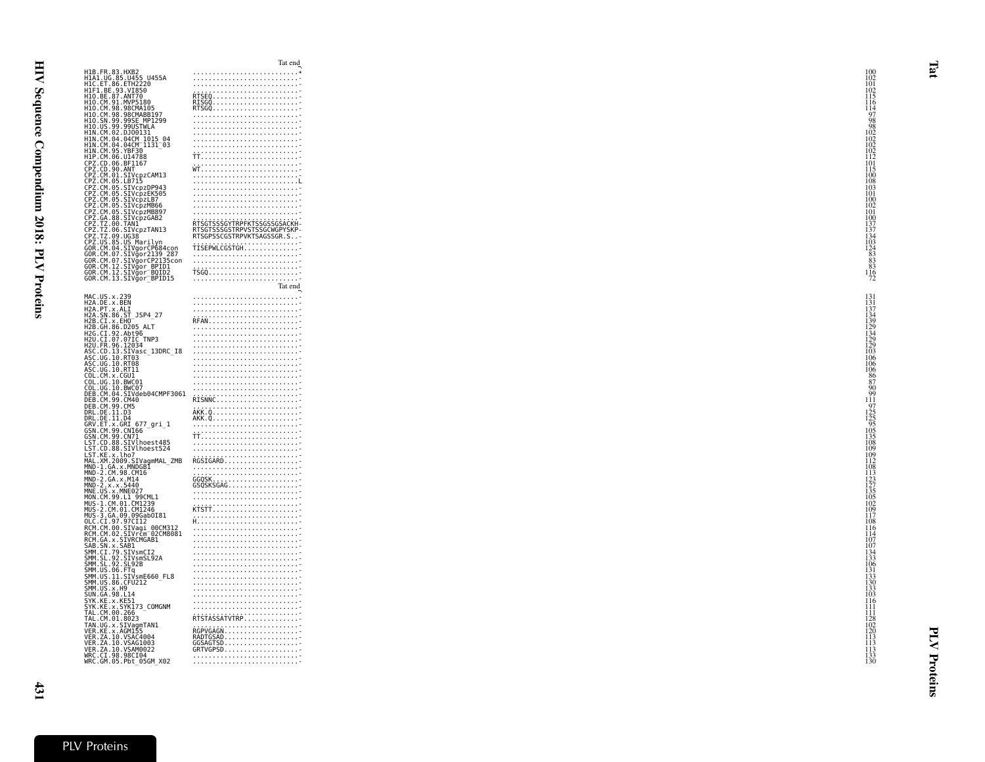...........................\*H1B.FR.83.HXB2<br>H1A1.UG.85.U455 U455A ...........................- <sup>102</sup> H1C.ET.86.ETH2220 ...........................- <sup>101</sup> ...........................- <sup>102</sup> RTSEQ......................- <sup>115</sup> RISGQ......................- <sup>116</sup> RTSGQ......................- <sup>114</sup> ...........................- <sup>97</sup> ...........................- <sup>98</sup> H1O.US.99.99USTWLAH1F1.BE.93.VI850H1O.BE.87.ANT70<br>H1O.CM.91.MVP5180 H1O.CM.98.98CMA105<br>H1O.CM.98.98CMABB197 H1O.SN.99.99SE\_MP1299 ...........................- <sup>98</sup> ...........................- <sup>102</sup> H1N.CM.02.DJ00131<br>H1N.CM.04.04CM\_1015\_04 ...........................- <sup>102</sup> H1N.CM.04.04CM\_1131\_03 ...........................- <sup>102</sup> H1N.CM.95.YBF30 ...........................- <sup>102</sup> TT.........................- <sup>112</sup> ...........................- <sup>101</sup> WT.........................- <sup>115</sup> ...........................- <sup>100</sup> CPZ.CM.05.LB715 ...........................L <sup>108</sup> ...........................- <sup>103</sup> CPZ.CM.05.SIVcpzEK505 ...........................- <sup>101</sup> CPZ.CM.05.SIVcpzLB7H1P.CM.06.U14788<br>CPZ.CD.06.BF1167 CPZ.CD.90.ANT<br>CPZ.CM.01.SIVcpzCAM13 CPZ.CM.01.318715<br>CPZ.CM.05.SIVcpzDP943<br>CPZ.CM.05.SIVcpzEK505 ...........................- <sup>100</sup> CPZ.CM.05.SIVcpzMB66 ...........................- <sup>102</sup> CPZ.CM.05.SIVcpzMB897 ...........................- <sup>101</sup> CPZ.GA.88.SIVcpzGAB2 ...........................- <sup>100</sup> CPZ.TZ.00.TAN1 RTSGTSSSGYTRPFKTSSGSSGSACKH- <sup>137</sup> RTSGTSSSGSTRPVSTSSGCWGPYSKP- <sup>137</sup> CPZ.TZ.09.UG38 RTSGPSSCGSTRPVKTSAGSSGR.S..- <sup>134</sup> CPZ.TZ.06.SIVcpzTAN13CPZ.US.85.US\_MarilynTRE..03.03.03.1811169...<br>GOR.CM.04.SIVgorCP684con<br>GOR.CM.07.SIVgor2139\_287 ...........................- <sup>83</sup> GOR.CM.07.SIVgorCP2135con ...........................- <sup>83</sup> GOR.CM.12.SIVgor\_BPID1 ...........................- <sup>83</sup> GOR.CM.12.SIVgor\_BQID2 TSGQ.......................- <sup>116</sup> GOR.CM.13.SIVgor\_BPID15 ...........................- <sup>72</sup> Tat end $\frac{9}{131}$ <br>N MAC.US.x.239<br>H2A.DE.x.BEN H2A.PT.x.ALI<br>H2A.SN.86.ST\_JSP4\_27 H2A. PT. x. ALI<br>H2A. SN. 86. ST\_JSP4\_27<br>H2B. GH. 86. D205\_ALT<br>H2C. GT. x. EHO = REAL FRANCISCO = REAL FRANCISCO = REAL FRANCISCO = REAL FRANCISCO = REAL FRANCISCO = REAL FR<br>H2B. GH. 86. D205 ALT FRANCISCO = REAL FRANCISCO H2B.CI.x.EH0<br>H2B.CI.x.EH0<br>H2B.GH.86.D205\_ALT H2U.CI.07.07IC\_TNP3ASC.CD.13.SIVasc\_13DRC\_I8ASC.UG.19.31Va:<br>ASC.UG.10.RT03<br>ASC.UG.10.RT08 ASC.UG.10.RT11<br>COL.CM.x.CGU1 COL.UG.10.BWC01<br>COL.UG.10.BWC07<br>DEB.CM.04.SIVdeb04CMPF3061<br>DEB.CM.99.CM40 ...........................- <sup>90</sup> ...........................- <sup>99</sup> RISNNC.....................- <sup>111</sup> ...........................- <sup>97</sup> AKK.Q......................- <sup>125</sup> AKK.Q......................- <sup>125</sup> ...........................- <sup>95</sup> GSN.CM.99.CN166 ...........................- <sup>105</sup> TT.........................- <sup>135</sup> DEB.CM.99.CM5<br>DRL.DE.11.D3 DRL.DE.11.D4<br>GRV.ET.x.GRI\_677\_gri\_1 GSN.CM.99.CN71<br>LST.CD.88.SIVlhoest485 LST. CD. 88. SIVINGE-81485<br>NAI. XM, 2005 SIVINGE PRESERVED AND RELEASE CONTROL INTERNATIONAL CONTROL INTERNATIONAL CONTROL INTERNATIONAL<br>MAID 1.6A. X. MADGED AND CONTROL CONTROL CONTROL INTERNATIONAL CONTROL CONTROL INTERN LST.CD.88.SIVlhoest524<br>LST.KE.x.lho7 MAL.XM.2009.SIVagmMAL\_ZMBMND-2.CM.98.CM16<br>MND-2.GA.x.M14<br>MND-2.x.x.5440<br>MNE.US.x.MNE027<br>MON.CM.99.L1\_99CML1 MUS-2.CM.01.CM1246<br>MUS-3.GA.09.09GabOI81 OLC.CI.97.97CI12<br>RCM.CM.00.SIVagi\_00CM312 SAB.SN.x.SAB1<br>SMM.CI.79.SIVsmCI2<br>SMM.SL.92.SIVsmSL92A<br>SMM.SL.92.SL92B ...........................- <sup>107</sup> ...........................- <sup>134</sup> ...........................- <sup>133</sup> SMM.US.06.FTq<br>SMM.US.11.SIVsmE660 FL8 ...........................- <sup>131</sup> SMM.US.11.SIVsmE660\_FL8 ...........................- <sup>133</sup> SMM.US.86.CFU212 ...........................- <sup>130</sup> SMM.US.x.H9<br>SUN.GA.98.L14<br>SYK.KE.x.KE51 9 и противательность с последников с противательность с противательность и противательность и противательность<br>С 133 4  $\frac{103}{111}$   $\frac{103}{116}$   $\frac{103}{116}$   $\frac{103}{116}$   $\frac{103}{116}$   $\frac{103}{116}$   $\frac{103}{116}$   $\frac{103}{116}$   $\frac{103}{116}$   $\frac{103}{116}$   $\frac{103}{116}$   $\frac{103}{116}$   $\frac{103}{116}$   $\frac{103}{116}$   $\frac{103}{116}$   $\frac{103}{1$ SYK.KE.x.SYK173\_COMGNM<br>TAL.CM.00.266 ...........................- <sup>111</sup> TAL.CM.00.266 ...........................- <sup>111</sup> RTSTASSATVTRP..............- <sup>128</sup> TAL.CM.01.8023<br>TAN.UG.x.SIVagmTAN1 ...........................- <sup>102</sup> VER.KE.x.AGM155 RGPVGAGN...................- <sup>120</sup> VER.KE.X.AGM155<br>VER.KE.X.AGM155 VER.ZA.10.VSAG1003<br>VER.ZA.10.VSAM0022<br>WRC.CI.98.98CI04<br>WRC.GM.05.Pbt\_05GM\_X02 ...........................- <sup>133</sup> ...........................- <sup>130</sup>

Tat end

 ...........................- <sup>103</sup> GOR.CM.04.SIVgorCP684con ...........................- <sup>87</sup>  $\frac{1114}{107}$ <br> $\frac{114}{107}$ <br> $\frac{134}{134}$ <br> $\frac{134}{134}$  RADTGSAD...................- <sup>113</sup> GGSAGTSD...................- <sup>113</sup> GRTVGPSD...................- <sup>113</sup>

 $\frac{100}{100}$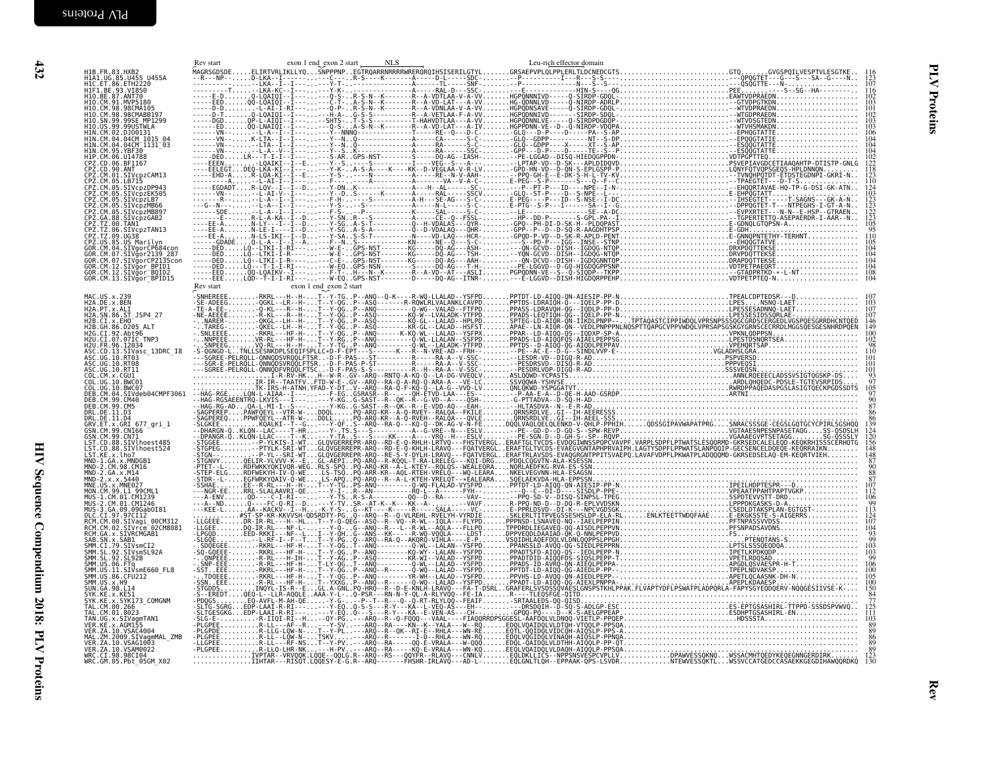<span id="page-29-0"></span>

| H1B.FR.83.HXB2<br>H1A1.UG.85.U455 U455A<br>H1C.ET.86.ETH2220                                                                                                                                                                                                |                                   |  |  |  |  | $\frac{123}{107}$                      |
|-------------------------------------------------------------------------------------------------------------------------------------------------------------------------------------------------------------------------------------------------------------|-----------------------------------|--|--|--|--|----------------------------------------|
| HIF1.BE.93.VI850                                                                                                                                                                                                                                            |                                   |  |  |  |  | $\frac{116}{102}$                      |
| H11.BE.87.ANT70<br>H10.CM.91.MVP5180<br>H10.CM.98.98CMA105<br>H10.CM.98.98CMA105                                                                                                                                                                            |                                   |  |  |  |  |                                        |
| H10.SN.99.99SE MP1299<br>H10.US.99.99USTWLA<br>H1N.CM.02.0J00131                                                                                                                                                                                            |                                   |  |  |  |  | 103                                    |
|                                                                                                                                                                                                                                                             |                                   |  |  |  |  | 106<br>104<br>104                      |
| H1N. CM. 04. 04CM 1015 04<br>H1N. CM. 04. 04CM 1131 03<br>H1N. CM. 95. YBF30                                                                                                                                                                                |                                   |  |  |  |  | iŏ4                                    |
| HIII: CM: 05: Viersion<br>CPC: CM: 06: UI4788<br>CPC: CM: 06: UI4788<br>CPC: CM: 06: UI4788<br>CPC: CM: 06: LEVIE<br>CPC: CM: 05: SIVCPZPE4<br>CPC: CM: 06: SIVCPZPE4<br>CPC: CM: 06: SIVCPZPE6<br>CPC: CM: 06: SIVCPZPE6<br>CPC: CM: 06: SIVCPZPE6<br>CPC: |                                   |  |  |  |  | $\frac{0}{2}$<br>118<br>123            |
|                                                                                                                                                                                                                                                             |                                   |  |  |  |  | 110<br>124                             |
|                                                                                                                                                                                                                                                             |                                   |  |  |  |  |                                        |
|                                                                                                                                                                                                                                                             |                                   |  |  |  |  | 103<br>123<br>123<br>122<br>122        |
|                                                                                                                                                                                                                                                             |                                   |  |  |  |  | $\frac{105}{95}$<br>$110$              |
| CPZ.TZ.09.UG38<br>CPZ.US.85.US Marilyn<br>GOR.CM.04.SIVgorCP684con<br>GOR.CM.07.SIVgorCP684con                                                                                                                                                              |                                   |  |  |  |  | $\frac{105}{104}$                      |
| GOR.CM.07.SIVgorCP2135con                                                                                                                                                                                                                                   |                                   |  |  |  |  | 104                                    |
| GOR.CM.12.SIVğor BPID1<br>GOR.CM.12.SIVgor BOID2<br>GOR.CM.13.SIVgor BPID15                                                                                                                                                                                 |                                   |  |  |  |  | 104<br>108                             |
|                                                                                                                                                                                                                                                             | Rev start exon 1 end exon 2 start |  |  |  |  |                                        |
| MAC.US.x.239                                                                                                                                                                                                                                                |                                   |  |  |  |  | $\frac{103}{107}$                      |
| HAC. DE. x . 8EN<br>H2A . DE. x . ALI<br>H2A . PT . x . ALI<br>H2A . CT . x . EHO<br>H2B . CT . x . EHO<br>H2B . GH . 86 . D205 . ALT<br>H2B . GH . 86 . D205 .                                                                                             |                                   |  |  |  |  | 107<br>$\frac{146}{149}$               |
| H2G.CI.92.Abt96<br>H2G.CI.92.Abt96<br>H2U.CI.07.07IC TNP3                                                                                                                                                                                                   |                                   |  |  |  |  |                                        |
|                                                                                                                                                                                                                                                             |                                   |  |  |  |  | 102<br>$\frac{98}{110}$                |
| H2U. FR. 96. 12034<br>ASC. CD. 13. SIVasc_13DRC_I8<br>ASC. UG. 10. RT03<br>ASC. UG. 10. RT08                                                                                                                                                                |                                   |  |  |  |  |                                        |
| ASC. UG. 10. RT08<br>COL. CM. X. CGU1<br>COL. UG. 10. BWC01<br>COL. UG. 10. BWC01<br>DEB. CM. 04. STVdeb04CMPF3061<br>DEB. CM. 09. CM40<br>DEB. CM. 09. CM40                                                                                                |                                   |  |  |  |  | $\frac{93}{97}$                        |
|                                                                                                                                                                                                                                                             |                                   |  |  |  |  | $\frac{105}{97}$                       |
| DEB. CM. 99. CM5                                                                                                                                                                                                                                            |                                   |  |  |  |  | 90<br>86                               |
| DRL.DE.11.D3<br>DRL.DE.11.D4<br>GRV.ET.x.GRI 677_gri_1<br>GSN.CM.99.CN166                                                                                                                                                                                   |                                   |  |  |  |  |                                        |
| GSN.CM.99.CN71                                                                                                                                                                                                                                              |                                   |  |  |  |  | 124<br>i2ó                             |
| UST.CD.88.SIV1hoest485<br>LST.CD.88.SIVlhoest524<br>LST.CD.88.SIVlhoest524<br>MND-1.GA.x.MNDGB1<br>MND-2.CM.98.CM16                                                                                                                                         |                                   |  |  |  |  | 148<br>148<br>87<br>90                 |
|                                                                                                                                                                                                                                                             |                                   |  |  |  |  |                                        |
| MND-2.CH.96.N.M14<br>MND-2.CA.x.M14<br>MND-2.x.x.5440<br>MNE.US.x.MNE027<br>MON.CM.99.L1_99CML1<br>MUS-1.CM.01.CM1239                                                                                                                                       |                                   |  |  |  |  |                                        |
|                                                                                                                                                                                                                                                             |                                   |  |  |  |  | $\frac{112}{106}$                      |
| MUS-2.CM.01.CM1246<br>MUS-3.GA.09.09Gab0I81<br>OLC.CI.97.97CI12                                                                                                                                                                                             |                                   |  |  |  |  | $\frac{113}{124}$<br>$\frac{124}{107}$ |
| RCM.CM. 00: SIVagi 00CM312<br>RCM.CM.02. SIVrcm=02CM8081<br>RCM.GA.x. SIVRCMGAB1                                                                                                                                                                            |                                   |  |  |  |  |                                        |
| RUM JOR XX SIVREMGABI<br>SAB SN. XX SAB1<br>SMM .CI .79 . SIVSmCI2<br>SMM .SL .92 . SIVSmSL92A<br>SMM .US .06 .FTq<br>SMM .US .11 . SIVSmE660_FL8<br>SMM .US .11 . SIVSmE660_FL8                                                                            |                                   |  |  |  |  | $\frac{93}{99}$<br>103                 |
|                                                                                                                                                                                                                                                             |                                   |  |  |  |  | 103<br>106                             |
| SMM. US.86. CFU212                                                                                                                                                                                                                                          |                                   |  |  |  |  | 105                                    |
| SMM. US. x. H9<br>SUN. GA. 98. L14                                                                                                                                                                                                                          |                                   |  |  |  |  | 150                                    |
| SYK.KE.X.KE51<br>SYK.KE.x.SYK173_COMGNM<br>TAL.CM.00.266_                                                                                                                                                                                                   |                                   |  |  |  |  | $\frac{84}{77}$                        |
| TAL.CM.01.8023<br>TAN.UG.x.SIVaqmTAN1                                                                                                                                                                                                                       |                                   |  |  |  |  | Ħ                                      |
| VER.KE.x.AGM155<br>VER. 2A. 10. VSAC4004<br>MAL. ZM. 2009. SIVagmMAL_ZMB<br>VER. ZA. 10. VSAG1003                                                                                                                                                           |                                   |  |  |  |  | $\frac{89}{86}$                        |
| VER. ZA. 10. VSAM0022<br>WRC. CI. 98. 98CI04                                                                                                                                                                                                                |                                   |  |  |  |  |                                        |
| WRC.GM.05.Pbt 05GM X02                                                                                                                                                                                                                                      |                                   |  |  |  |  | 130                                    |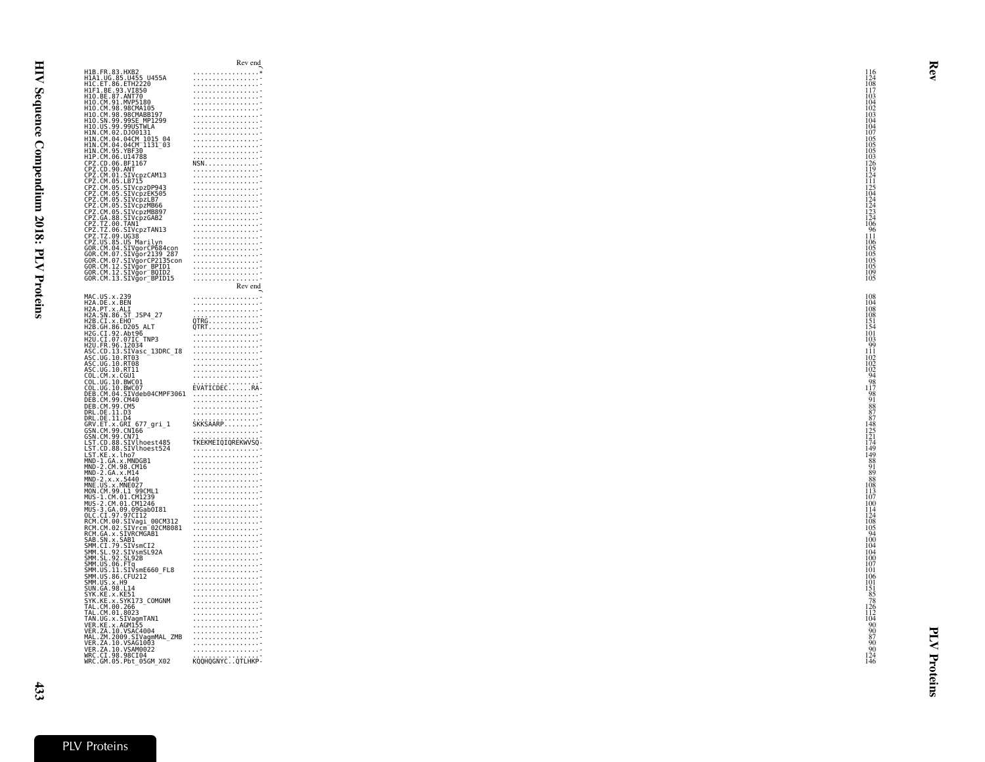| H1B.FR.83.HXB2<br>H1A1.UG.85.U455 U455A<br>.<br>HÍC.ET.86.ETHŽŽ20<br>H1F1.BE.93.VI850<br>. <del>.</del><br>H10.BE.87.ANT70<br>H10.CM.91.MVP5180<br>. <del>.</del><br>H10.CM.98.98CMA105<br>.<br>H10.CM.98.98CMABB197<br>H10.CM.99.99SE_MP1299<br>H10.US.99.99USTWLA<br>H1N.CM.02.DJ00131<br>.<br>HIN.CM.04.04CM_1015_04<br>HIN.CM.04.04CM_1131_03<br>.<br>H1N.CM.95.YBF30<br>H1P.CM.06.U14788<br>H1P. CM. 06. U14788<br>CPZ. CD. 06. BF1167<br>CPZ. CM. 01. STVcpzCAM13<br>CPZ. CM. 01. STVcpzCAM13<br>CPZ. CM. 05. STVcpzDP943<br>CPZ. CM. 05. STVcpzLB7<br>CPZ. CM. 05. STVcpzLB7<br>CPZ. CM. 05. STVcpzUB66<br>CPZ. CM. 05. STVcpzMB897<br>CPZ. CM. 05.<br>. <del>.</del><br>. <del>.</del><br>LPZ.CM.05.SIVCp2MB897<br>CPZ.CM.05.SIVCp2MB897<br>CPZ.TZ.00.38.SIVCp2GAB2<br>CPZ.TZ.00.TANI<br>CPZ.TZ.00.SIVCp2TAN13<br>CPZ.TZ.09.UG38<br>CPZ.US.85.US<br>GOR.CM.04.SIVQorCP584Con<br>GOR.CM.04.SIVQorCP584Con<br>GOR.CM.04.SIVQorCP2135Con<br>. <del>.</del><br>. <del>.</del><br>GOR.CM.07.SIVgorCP2135con<br>GOR.CM.07.SIVgorCP2135con<br>GOR.CM.12.SIVgor_BPID1<br>GOR.CM.12.SIVğor-BOID2<br>GOR.CM.13.SIVgor-BPID15<br>.<br>. <del>.</del><br>MAC.US.x.239<br>H2A.DE.x.BEN<br>H2A.PT.x.ALI<br>H2A.SN.86.ST_JSP4_27<br>$\begin{array}{ccc}\n & \cdots & \cdots & \cdots & \cdots & \cdots \\  & \vdots & \ddots & \vdots & \ddots & \vdots \\  & \ddots & \ddots & \ddots & \ddots & \vdots \\  & \ddots & \ddots & \ddots & \ddots & \ddots & \vdots \\  & \ddots & \ddots & \ddots & \ddots & \ddots & \ddots & \vdots \\  & \ddots & \ddots & \ddots & \ddots & \ddots & \ddots & \vdots \\  & \ddots & \ddots & \ddots & \ddots & \ddots & \ddots & \ddots & \vdots \\  & \ddots & \ddots & \ddots & \ddots & \ddots & \ddots & \ddots & \vdots \\ $<br>H2B.CI.x.0H0<br>H2B.CI.x.EH0<br>H2B.CH.86.D205 ALT<br>H2C.CI.92.Abt96<br>H2U.CI.07.07IC_TNP3<br>H2U.FR.96.12034<br>A2U.FR.96.12034<br>ASC.CD.13.SIVasc_13DRC_I8<br>ASC.UG.10.RT03<br>ASC.UG.10.RT03<br>ASC.UG.10.RT11<br>COL.CM.x.CGUI<br>COL.CM.x.CGUI<br>COL.UG.10.BWC01<br>EVATICDECRA<br>ČŎĹ.ŬĞ.10.BWČŎ7<br>DEB.CM.04.SIVdeb04CMPF3061<br>DEB.CM.99.CM40<br>DEB.CM.99.CM5<br>. <del>.</del><br>. <del>.</del><br>DRL.DE.11.D3<br>DRL.DE.11.D4<br>SKKSAARP<br>GRV.ET.x.GRI 677_gri_1<br>GSN.CM.99.CN166<br>. <del>.</del><br>GSN.CM.99.CN71<br>TKEKMEIQIQREKWVSQ-<br>LST.CD.88.SIVlhoest485<br>LST.CD.88.SIVlhoest524<br>. <del>.</del><br>LST.KE.x.lho7<br>MND-1.GA.x.MNDGB1<br>MND-2.CM.98.CM16<br>MND-2.GA.x.M14<br>MND-2.x.x.5440<br>.<br>MND-2. x, x, M14<br>MND-2. x, x, S444<br>MND-2. x, x, S446<br>MND-CM, 2011<br>MNC-2. MONE AND AND 2012<br>MNS-2. CM, 01. CM2.<br>MNS-2. CM, 01. CM2.<br>MNS-2. CM, 01. CM2.<br>MNS-2. CM, 01. CM2.<br>RNM-CM, 00. STURE AND 2020<br>RNM-CM, 00. STURE AND 20<br>. <del>.</del><br>.<br>. <del>.</del><br>. <del>.</del><br>. <del>.</del><br>. <del>.</del><br>. <del>.</del><br>. <del>.</del><br>mAL.∠M.∠ww9.siragummL_4<br>VER.ZA.10.VSAG1003<br>VER.ZA.10.VSAM0022<br>WRC.CI.98.98CI04<br>WRC.GM.05.Pbt_05GM_X02<br>. <del>.</del><br>. <del>.</del><br>KOQHQGNYC. QTLHKP- |  | Rev end        |
|---------------------------------------------------------------------------------------------------------------------------------------------------------------------------------------------------------------------------------------------------------------------------------------------------------------------------------------------------------------------------------------------------------------------------------------------------------------------------------------------------------------------------------------------------------------------------------------------------------------------------------------------------------------------------------------------------------------------------------------------------------------------------------------------------------------------------------------------------------------------------------------------------------------------------------------------------------------------------------------------------------------------------------------------------------------------------------------------------------------------------------------------------------------------------------------------------------------------------------------------------------------------------------------------------------------------------------------------------------------------------------------------------------------------------------------------------------------------------------------------------------------------------------------------------------------------------------------------------------------------------------------------------------------------------------------------------------------------------------------------------------------------------------------------------------------------------------------------------------------------------------------------------------------------------------------------------------------------------------------------------------------------------------------------------------------------------------------------------------------------------------------------------------------------------------------------------------------------------------------------------------------------------------------------------------------------------------------------------------------------------------------------------------------------------------------------------------------------------------------------------------------------------------------------------------------------------------------------------------------------------------------------------------------------------------------------------------------------------------------------------------------------------------------------------------------------------------------------------------------------------------------------------------------------------------------------------------------------------------------------------------------------------------------------------------------------------------------------------|--|----------------|
|                                                                                                                                                                                                                                                                                                                                                                                                                                                                                                                                                                                                                                                                                                                                                                                                                                                                                                                                                                                                                                                                                                                                                                                                                                                                                                                                                                                                                                                                                                                                                                                                                                                                                                                                                                                                                                                                                                                                                                                                                                                                                                                                                                                                                                                                                                                                                                                                                                                                                                                                                                                                                                                                                                                                                                                                                                                                                                                                                                                                                                                                                                   |  | .              |
|                                                                                                                                                                                                                                                                                                                                                                                                                                                                                                                                                                                                                                                                                                                                                                                                                                                                                                                                                                                                                                                                                                                                                                                                                                                                                                                                                                                                                                                                                                                                                                                                                                                                                                                                                                                                                                                                                                                                                                                                                                                                                                                                                                                                                                                                                                                                                                                                                                                                                                                                                                                                                                                                                                                                                                                                                                                                                                                                                                                                                                                                                                   |  | . <del>.</del> |
|                                                                                                                                                                                                                                                                                                                                                                                                                                                                                                                                                                                                                                                                                                                                                                                                                                                                                                                                                                                                                                                                                                                                                                                                                                                                                                                                                                                                                                                                                                                                                                                                                                                                                                                                                                                                                                                                                                                                                                                                                                                                                                                                                                                                                                                                                                                                                                                                                                                                                                                                                                                                                                                                                                                                                                                                                                                                                                                                                                                                                                                                                                   |  |                |
|                                                                                                                                                                                                                                                                                                                                                                                                                                                                                                                                                                                                                                                                                                                                                                                                                                                                                                                                                                                                                                                                                                                                                                                                                                                                                                                                                                                                                                                                                                                                                                                                                                                                                                                                                                                                                                                                                                                                                                                                                                                                                                                                                                                                                                                                                                                                                                                                                                                                                                                                                                                                                                                                                                                                                                                                                                                                                                                                                                                                                                                                                                   |  | . <del>.</del> |
|                                                                                                                                                                                                                                                                                                                                                                                                                                                                                                                                                                                                                                                                                                                                                                                                                                                                                                                                                                                                                                                                                                                                                                                                                                                                                                                                                                                                                                                                                                                                                                                                                                                                                                                                                                                                                                                                                                                                                                                                                                                                                                                                                                                                                                                                                                                                                                                                                                                                                                                                                                                                                                                                                                                                                                                                                                                                                                                                                                                                                                                                                                   |  |                |
|                                                                                                                                                                                                                                                                                                                                                                                                                                                                                                                                                                                                                                                                                                                                                                                                                                                                                                                                                                                                                                                                                                                                                                                                                                                                                                                                                                                                                                                                                                                                                                                                                                                                                                                                                                                                                                                                                                                                                                                                                                                                                                                                                                                                                                                                                                                                                                                                                                                                                                                                                                                                                                                                                                                                                                                                                                                                                                                                                                                                                                                                                                   |  | .              |
|                                                                                                                                                                                                                                                                                                                                                                                                                                                                                                                                                                                                                                                                                                                                                                                                                                                                                                                                                                                                                                                                                                                                                                                                                                                                                                                                                                                                                                                                                                                                                                                                                                                                                                                                                                                                                                                                                                                                                                                                                                                                                                                                                                                                                                                                                                                                                                                                                                                                                                                                                                                                                                                                                                                                                                                                                                                                                                                                                                                                                                                                                                   |  |                |
|                                                                                                                                                                                                                                                                                                                                                                                                                                                                                                                                                                                                                                                                                                                                                                                                                                                                                                                                                                                                                                                                                                                                                                                                                                                                                                                                                                                                                                                                                                                                                                                                                                                                                                                                                                                                                                                                                                                                                                                                                                                                                                                                                                                                                                                                                                                                                                                                                                                                                                                                                                                                                                                                                                                                                                                                                                                                                                                                                                                                                                                                                                   |  | .              |
|                                                                                                                                                                                                                                                                                                                                                                                                                                                                                                                                                                                                                                                                                                                                                                                                                                                                                                                                                                                                                                                                                                                                                                                                                                                                                                                                                                                                                                                                                                                                                                                                                                                                                                                                                                                                                                                                                                                                                                                                                                                                                                                                                                                                                                                                                                                                                                                                                                                                                                                                                                                                                                                                                                                                                                                                                                                                                                                                                                                                                                                                                                   |  |                |
|                                                                                                                                                                                                                                                                                                                                                                                                                                                                                                                                                                                                                                                                                                                                                                                                                                                                                                                                                                                                                                                                                                                                                                                                                                                                                                                                                                                                                                                                                                                                                                                                                                                                                                                                                                                                                                                                                                                                                                                                                                                                                                                                                                                                                                                                                                                                                                                                                                                                                                                                                                                                                                                                                                                                                                                                                                                                                                                                                                                                                                                                                                   |  |                |
|                                                                                                                                                                                                                                                                                                                                                                                                                                                                                                                                                                                                                                                                                                                                                                                                                                                                                                                                                                                                                                                                                                                                                                                                                                                                                                                                                                                                                                                                                                                                                                                                                                                                                                                                                                                                                                                                                                                                                                                                                                                                                                                                                                                                                                                                                                                                                                                                                                                                                                                                                                                                                                                                                                                                                                                                                                                                                                                                                                                                                                                                                                   |  |                |
|                                                                                                                                                                                                                                                                                                                                                                                                                                                                                                                                                                                                                                                                                                                                                                                                                                                                                                                                                                                                                                                                                                                                                                                                                                                                                                                                                                                                                                                                                                                                                                                                                                                                                                                                                                                                                                                                                                                                                                                                                                                                                                                                                                                                                                                                                                                                                                                                                                                                                                                                                                                                                                                                                                                                                                                                                                                                                                                                                                                                                                                                                                   |  | . <del>.</del> |
|                                                                                                                                                                                                                                                                                                                                                                                                                                                                                                                                                                                                                                                                                                                                                                                                                                                                                                                                                                                                                                                                                                                                                                                                                                                                                                                                                                                                                                                                                                                                                                                                                                                                                                                                                                                                                                                                                                                                                                                                                                                                                                                                                                                                                                                                                                                                                                                                                                                                                                                                                                                                                                                                                                                                                                                                                                                                                                                                                                                                                                                                                                   |  | . <del>.</del> |
|                                                                                                                                                                                                                                                                                                                                                                                                                                                                                                                                                                                                                                                                                                                                                                                                                                                                                                                                                                                                                                                                                                                                                                                                                                                                                                                                                                                                                                                                                                                                                                                                                                                                                                                                                                                                                                                                                                                                                                                                                                                                                                                                                                                                                                                                                                                                                                                                                                                                                                                                                                                                                                                                                                                                                                                                                                                                                                                                                                                                                                                                                                   |  | . <del>.</del> |
|                                                                                                                                                                                                                                                                                                                                                                                                                                                                                                                                                                                                                                                                                                                                                                                                                                                                                                                                                                                                                                                                                                                                                                                                                                                                                                                                                                                                                                                                                                                                                                                                                                                                                                                                                                                                                                                                                                                                                                                                                                                                                                                                                                                                                                                                                                                                                                                                                                                                                                                                                                                                                                                                                                                                                                                                                                                                                                                                                                                                                                                                                                   |  |                |
|                                                                                                                                                                                                                                                                                                                                                                                                                                                                                                                                                                                                                                                                                                                                                                                                                                                                                                                                                                                                                                                                                                                                                                                                                                                                                                                                                                                                                                                                                                                                                                                                                                                                                                                                                                                                                                                                                                                                                                                                                                                                                                                                                                                                                                                                                                                                                                                                                                                                                                                                                                                                                                                                                                                                                                                                                                                                                                                                                                                                                                                                                                   |  | . <del>.</del> |
|                                                                                                                                                                                                                                                                                                                                                                                                                                                                                                                                                                                                                                                                                                                                                                                                                                                                                                                                                                                                                                                                                                                                                                                                                                                                                                                                                                                                                                                                                                                                                                                                                                                                                                                                                                                                                                                                                                                                                                                                                                                                                                                                                                                                                                                                                                                                                                                                                                                                                                                                                                                                                                                                                                                                                                                                                                                                                                                                                                                                                                                                                                   |  | . <del>.</del> |
|                                                                                                                                                                                                                                                                                                                                                                                                                                                                                                                                                                                                                                                                                                                                                                                                                                                                                                                                                                                                                                                                                                                                                                                                                                                                                                                                                                                                                                                                                                                                                                                                                                                                                                                                                                                                                                                                                                                                                                                                                                                                                                                                                                                                                                                                                                                                                                                                                                                                                                                                                                                                                                                                                                                                                                                                                                                                                                                                                                                                                                                                                                   |  |                |
|                                                                                                                                                                                                                                                                                                                                                                                                                                                                                                                                                                                                                                                                                                                                                                                                                                                                                                                                                                                                                                                                                                                                                                                                                                                                                                                                                                                                                                                                                                                                                                                                                                                                                                                                                                                                                                                                                                                                                                                                                                                                                                                                                                                                                                                                                                                                                                                                                                                                                                                                                                                                                                                                                                                                                                                                                                                                                                                                                                                                                                                                                                   |  | .              |
|                                                                                                                                                                                                                                                                                                                                                                                                                                                                                                                                                                                                                                                                                                                                                                                                                                                                                                                                                                                                                                                                                                                                                                                                                                                                                                                                                                                                                                                                                                                                                                                                                                                                                                                                                                                                                                                                                                                                                                                                                                                                                                                                                                                                                                                                                                                                                                                                                                                                                                                                                                                                                                                                                                                                                                                                                                                                                                                                                                                                                                                                                                   |  | . <del>.</del> |
|                                                                                                                                                                                                                                                                                                                                                                                                                                                                                                                                                                                                                                                                                                                                                                                                                                                                                                                                                                                                                                                                                                                                                                                                                                                                                                                                                                                                                                                                                                                                                                                                                                                                                                                                                                                                                                                                                                                                                                                                                                                                                                                                                                                                                                                                                                                                                                                                                                                                                                                                                                                                                                                                                                                                                                                                                                                                                                                                                                                                                                                                                                   |  |                |
|                                                                                                                                                                                                                                                                                                                                                                                                                                                                                                                                                                                                                                                                                                                                                                                                                                                                                                                                                                                                                                                                                                                                                                                                                                                                                                                                                                                                                                                                                                                                                                                                                                                                                                                                                                                                                                                                                                                                                                                                                                                                                                                                                                                                                                                                                                                                                                                                                                                                                                                                                                                                                                                                                                                                                                                                                                                                                                                                                                                                                                                                                                   |  | .              |
|                                                                                                                                                                                                                                                                                                                                                                                                                                                                                                                                                                                                                                                                                                                                                                                                                                                                                                                                                                                                                                                                                                                                                                                                                                                                                                                                                                                                                                                                                                                                                                                                                                                                                                                                                                                                                                                                                                                                                                                                                                                                                                                                                                                                                                                                                                                                                                                                                                                                                                                                                                                                                                                                                                                                                                                                                                                                                                                                                                                                                                                                                                   |  |                |
|                                                                                                                                                                                                                                                                                                                                                                                                                                                                                                                                                                                                                                                                                                                                                                                                                                                                                                                                                                                                                                                                                                                                                                                                                                                                                                                                                                                                                                                                                                                                                                                                                                                                                                                                                                                                                                                                                                                                                                                                                                                                                                                                                                                                                                                                                                                                                                                                                                                                                                                                                                                                                                                                                                                                                                                                                                                                                                                                                                                                                                                                                                   |  | . <del>.</del> |
|                                                                                                                                                                                                                                                                                                                                                                                                                                                                                                                                                                                                                                                                                                                                                                                                                                                                                                                                                                                                                                                                                                                                                                                                                                                                                                                                                                                                                                                                                                                                                                                                                                                                                                                                                                                                                                                                                                                                                                                                                                                                                                                                                                                                                                                                                                                                                                                                                                                                                                                                                                                                                                                                                                                                                                                                                                                                                                                                                                                                                                                                                                   |  | Rev end        |
|                                                                                                                                                                                                                                                                                                                                                                                                                                                                                                                                                                                                                                                                                                                                                                                                                                                                                                                                                                                                                                                                                                                                                                                                                                                                                                                                                                                                                                                                                                                                                                                                                                                                                                                                                                                                                                                                                                                                                                                                                                                                                                                                                                                                                                                                                                                                                                                                                                                                                                                                                                                                                                                                                                                                                                                                                                                                                                                                                                                                                                                                                                   |  |                |
|                                                                                                                                                                                                                                                                                                                                                                                                                                                                                                                                                                                                                                                                                                                                                                                                                                                                                                                                                                                                                                                                                                                                                                                                                                                                                                                                                                                                                                                                                                                                                                                                                                                                                                                                                                                                                                                                                                                                                                                                                                                                                                                                                                                                                                                                                                                                                                                                                                                                                                                                                                                                                                                                                                                                                                                                                                                                                                                                                                                                                                                                                                   |  | . <del>.</del> |
|                                                                                                                                                                                                                                                                                                                                                                                                                                                                                                                                                                                                                                                                                                                                                                                                                                                                                                                                                                                                                                                                                                                                                                                                                                                                                                                                                                                                                                                                                                                                                                                                                                                                                                                                                                                                                                                                                                                                                                                                                                                                                                                                                                                                                                                                                                                                                                                                                                                                                                                                                                                                                                                                                                                                                                                                                                                                                                                                                                                                                                                                                                   |  | . <del>.</del> |
|                                                                                                                                                                                                                                                                                                                                                                                                                                                                                                                                                                                                                                                                                                                                                                                                                                                                                                                                                                                                                                                                                                                                                                                                                                                                                                                                                                                                                                                                                                                                                                                                                                                                                                                                                                                                                                                                                                                                                                                                                                                                                                                                                                                                                                                                                                                                                                                                                                                                                                                                                                                                                                                                                                                                                                                                                                                                                                                                                                                                                                                                                                   |  |                |
|                                                                                                                                                                                                                                                                                                                                                                                                                                                                                                                                                                                                                                                                                                                                                                                                                                                                                                                                                                                                                                                                                                                                                                                                                                                                                                                                                                                                                                                                                                                                                                                                                                                                                                                                                                                                                                                                                                                                                                                                                                                                                                                                                                                                                                                                                                                                                                                                                                                                                                                                                                                                                                                                                                                                                                                                                                                                                                                                                                                                                                                                                                   |  |                |
|                                                                                                                                                                                                                                                                                                                                                                                                                                                                                                                                                                                                                                                                                                                                                                                                                                                                                                                                                                                                                                                                                                                                                                                                                                                                                                                                                                                                                                                                                                                                                                                                                                                                                                                                                                                                                                                                                                                                                                                                                                                                                                                                                                                                                                                                                                                                                                                                                                                                                                                                                                                                                                                                                                                                                                                                                                                                                                                                                                                                                                                                                                   |  |                |
|                                                                                                                                                                                                                                                                                                                                                                                                                                                                                                                                                                                                                                                                                                                                                                                                                                                                                                                                                                                                                                                                                                                                                                                                                                                                                                                                                                                                                                                                                                                                                                                                                                                                                                                                                                                                                                                                                                                                                                                                                                                                                                                                                                                                                                                                                                                                                                                                                                                                                                                                                                                                                                                                                                                                                                                                                                                                                                                                                                                                                                                                                                   |  | . <del>.</del> |
|                                                                                                                                                                                                                                                                                                                                                                                                                                                                                                                                                                                                                                                                                                                                                                                                                                                                                                                                                                                                                                                                                                                                                                                                                                                                                                                                                                                                                                                                                                                                                                                                                                                                                                                                                                                                                                                                                                                                                                                                                                                                                                                                                                                                                                                                                                                                                                                                                                                                                                                                                                                                                                                                                                                                                                                                                                                                                                                                                                                                                                                                                                   |  | . <del>.</del> |
|                                                                                                                                                                                                                                                                                                                                                                                                                                                                                                                                                                                                                                                                                                                                                                                                                                                                                                                                                                                                                                                                                                                                                                                                                                                                                                                                                                                                                                                                                                                                                                                                                                                                                                                                                                                                                                                                                                                                                                                                                                                                                                                                                                                                                                                                                                                                                                                                                                                                                                                                                                                                                                                                                                                                                                                                                                                                                                                                                                                                                                                                                                   |  |                |
|                                                                                                                                                                                                                                                                                                                                                                                                                                                                                                                                                                                                                                                                                                                                                                                                                                                                                                                                                                                                                                                                                                                                                                                                                                                                                                                                                                                                                                                                                                                                                                                                                                                                                                                                                                                                                                                                                                                                                                                                                                                                                                                                                                                                                                                                                                                                                                                                                                                                                                                                                                                                                                                                                                                                                                                                                                                                                                                                                                                                                                                                                                   |  | . <del>.</del> |
|                                                                                                                                                                                                                                                                                                                                                                                                                                                                                                                                                                                                                                                                                                                                                                                                                                                                                                                                                                                                                                                                                                                                                                                                                                                                                                                                                                                                                                                                                                                                                                                                                                                                                                                                                                                                                                                                                                                                                                                                                                                                                                                                                                                                                                                                                                                                                                                                                                                                                                                                                                                                                                                                                                                                                                                                                                                                                                                                                                                                                                                                                                   |  | .              |
|                                                                                                                                                                                                                                                                                                                                                                                                                                                                                                                                                                                                                                                                                                                                                                                                                                                                                                                                                                                                                                                                                                                                                                                                                                                                                                                                                                                                                                                                                                                                                                                                                                                                                                                                                                                                                                                                                                                                                                                                                                                                                                                                                                                                                                                                                                                                                                                                                                                                                                                                                                                                                                                                                                                                                                                                                                                                                                                                                                                                                                                                                                   |  |                |
|                                                                                                                                                                                                                                                                                                                                                                                                                                                                                                                                                                                                                                                                                                                                                                                                                                                                                                                                                                                                                                                                                                                                                                                                                                                                                                                                                                                                                                                                                                                                                                                                                                                                                                                                                                                                                                                                                                                                                                                                                                                                                                                                                                                                                                                                                                                                                                                                                                                                                                                                                                                                                                                                                                                                                                                                                                                                                                                                                                                                                                                                                                   |  | . <del>.</del> |
|                                                                                                                                                                                                                                                                                                                                                                                                                                                                                                                                                                                                                                                                                                                                                                                                                                                                                                                                                                                                                                                                                                                                                                                                                                                                                                                                                                                                                                                                                                                                                                                                                                                                                                                                                                                                                                                                                                                                                                                                                                                                                                                                                                                                                                                                                                                                                                                                                                                                                                                                                                                                                                                                                                                                                                                                                                                                                                                                                                                                                                                                                                   |  |                |
|                                                                                                                                                                                                                                                                                                                                                                                                                                                                                                                                                                                                                                                                                                                                                                                                                                                                                                                                                                                                                                                                                                                                                                                                                                                                                                                                                                                                                                                                                                                                                                                                                                                                                                                                                                                                                                                                                                                                                                                                                                                                                                                                                                                                                                                                                                                                                                                                                                                                                                                                                                                                                                                                                                                                                                                                                                                                                                                                                                                                                                                                                                   |  | . <del>.</del> |
|                                                                                                                                                                                                                                                                                                                                                                                                                                                                                                                                                                                                                                                                                                                                                                                                                                                                                                                                                                                                                                                                                                                                                                                                                                                                                                                                                                                                                                                                                                                                                                                                                                                                                                                                                                                                                                                                                                                                                                                                                                                                                                                                                                                                                                                                                                                                                                                                                                                                                                                                                                                                                                                                                                                                                                                                                                                                                                                                                                                                                                                                                                   |  |                |
|                                                                                                                                                                                                                                                                                                                                                                                                                                                                                                                                                                                                                                                                                                                                                                                                                                                                                                                                                                                                                                                                                                                                                                                                                                                                                                                                                                                                                                                                                                                                                                                                                                                                                                                                                                                                                                                                                                                                                                                                                                                                                                                                                                                                                                                                                                                                                                                                                                                                                                                                                                                                                                                                                                                                                                                                                                                                                                                                                                                                                                                                                                   |  |                |
|                                                                                                                                                                                                                                                                                                                                                                                                                                                                                                                                                                                                                                                                                                                                                                                                                                                                                                                                                                                                                                                                                                                                                                                                                                                                                                                                                                                                                                                                                                                                                                                                                                                                                                                                                                                                                                                                                                                                                                                                                                                                                                                                                                                                                                                                                                                                                                                                                                                                                                                                                                                                                                                                                                                                                                                                                                                                                                                                                                                                                                                                                                   |  |                |
|                                                                                                                                                                                                                                                                                                                                                                                                                                                                                                                                                                                                                                                                                                                                                                                                                                                                                                                                                                                                                                                                                                                                                                                                                                                                                                                                                                                                                                                                                                                                                                                                                                                                                                                                                                                                                                                                                                                                                                                                                                                                                                                                                                                                                                                                                                                                                                                                                                                                                                                                                                                                                                                                                                                                                                                                                                                                                                                                                                                                                                                                                                   |  |                |
|                                                                                                                                                                                                                                                                                                                                                                                                                                                                                                                                                                                                                                                                                                                                                                                                                                                                                                                                                                                                                                                                                                                                                                                                                                                                                                                                                                                                                                                                                                                                                                                                                                                                                                                                                                                                                                                                                                                                                                                                                                                                                                                                                                                                                                                                                                                                                                                                                                                                                                                                                                                                                                                                                                                                                                                                                                                                                                                                                                                                                                                                                                   |  | .              |
|                                                                                                                                                                                                                                                                                                                                                                                                                                                                                                                                                                                                                                                                                                                                                                                                                                                                                                                                                                                                                                                                                                                                                                                                                                                                                                                                                                                                                                                                                                                                                                                                                                                                                                                                                                                                                                                                                                                                                                                                                                                                                                                                                                                                                                                                                                                                                                                                                                                                                                                                                                                                                                                                                                                                                                                                                                                                                                                                                                                                                                                                                                   |  |                |
|                                                                                                                                                                                                                                                                                                                                                                                                                                                                                                                                                                                                                                                                                                                                                                                                                                                                                                                                                                                                                                                                                                                                                                                                                                                                                                                                                                                                                                                                                                                                                                                                                                                                                                                                                                                                                                                                                                                                                                                                                                                                                                                                                                                                                                                                                                                                                                                                                                                                                                                                                                                                                                                                                                                                                                                                                                                                                                                                                                                                                                                                                                   |  |                |
|                                                                                                                                                                                                                                                                                                                                                                                                                                                                                                                                                                                                                                                                                                                                                                                                                                                                                                                                                                                                                                                                                                                                                                                                                                                                                                                                                                                                                                                                                                                                                                                                                                                                                                                                                                                                                                                                                                                                                                                                                                                                                                                                                                                                                                                                                                                                                                                                                                                                                                                                                                                                                                                                                                                                                                                                                                                                                                                                                                                                                                                                                                   |  |                |
|                                                                                                                                                                                                                                                                                                                                                                                                                                                                                                                                                                                                                                                                                                                                                                                                                                                                                                                                                                                                                                                                                                                                                                                                                                                                                                                                                                                                                                                                                                                                                                                                                                                                                                                                                                                                                                                                                                                                                                                                                                                                                                                                                                                                                                                                                                                                                                                                                                                                                                                                                                                                                                                                                                                                                                                                                                                                                                                                                                                                                                                                                                   |  | . <del>.</del> |
|                                                                                                                                                                                                                                                                                                                                                                                                                                                                                                                                                                                                                                                                                                                                                                                                                                                                                                                                                                                                                                                                                                                                                                                                                                                                                                                                                                                                                                                                                                                                                                                                                                                                                                                                                                                                                                                                                                                                                                                                                                                                                                                                                                                                                                                                                                                                                                                                                                                                                                                                                                                                                                                                                                                                                                                                                                                                                                                                                                                                                                                                                                   |  |                |
|                                                                                                                                                                                                                                                                                                                                                                                                                                                                                                                                                                                                                                                                                                                                                                                                                                                                                                                                                                                                                                                                                                                                                                                                                                                                                                                                                                                                                                                                                                                                                                                                                                                                                                                                                                                                                                                                                                                                                                                                                                                                                                                                                                                                                                                                                                                                                                                                                                                                                                                                                                                                                                                                                                                                                                                                                                                                                                                                                                                                                                                                                                   |  | . <del>.</del> |
|                                                                                                                                                                                                                                                                                                                                                                                                                                                                                                                                                                                                                                                                                                                                                                                                                                                                                                                                                                                                                                                                                                                                                                                                                                                                                                                                                                                                                                                                                                                                                                                                                                                                                                                                                                                                                                                                                                                                                                                                                                                                                                                                                                                                                                                                                                                                                                                                                                                                                                                                                                                                                                                                                                                                                                                                                                                                                                                                                                                                                                                                                                   |  | . <del>.</del> |
|                                                                                                                                                                                                                                                                                                                                                                                                                                                                                                                                                                                                                                                                                                                                                                                                                                                                                                                                                                                                                                                                                                                                                                                                                                                                                                                                                                                                                                                                                                                                                                                                                                                                                                                                                                                                                                                                                                                                                                                                                                                                                                                                                                                                                                                                                                                                                                                                                                                                                                                                                                                                                                                                                                                                                                                                                                                                                                                                                                                                                                                                                                   |  | . <del>.</del> |
|                                                                                                                                                                                                                                                                                                                                                                                                                                                                                                                                                                                                                                                                                                                                                                                                                                                                                                                                                                                                                                                                                                                                                                                                                                                                                                                                                                                                                                                                                                                                                                                                                                                                                                                                                                                                                                                                                                                                                                                                                                                                                                                                                                                                                                                                                                                                                                                                                                                                                                                                                                                                                                                                                                                                                                                                                                                                                                                                                                                                                                                                                                   |  | . <del>.</del> |
|                                                                                                                                                                                                                                                                                                                                                                                                                                                                                                                                                                                                                                                                                                                                                                                                                                                                                                                                                                                                                                                                                                                                                                                                                                                                                                                                                                                                                                                                                                                                                                                                                                                                                                                                                                                                                                                                                                                                                                                                                                                                                                                                                                                                                                                                                                                                                                                                                                                                                                                                                                                                                                                                                                                                                                                                                                                                                                                                                                                                                                                                                                   |  |                |
|                                                                                                                                                                                                                                                                                                                                                                                                                                                                                                                                                                                                                                                                                                                                                                                                                                                                                                                                                                                                                                                                                                                                                                                                                                                                                                                                                                                                                                                                                                                                                                                                                                                                                                                                                                                                                                                                                                                                                                                                                                                                                                                                                                                                                                                                                                                                                                                                                                                                                                                                                                                                                                                                                                                                                                                                                                                                                                                                                                                                                                                                                                   |  |                |
|                                                                                                                                                                                                                                                                                                                                                                                                                                                                                                                                                                                                                                                                                                                                                                                                                                                                                                                                                                                                                                                                                                                                                                                                                                                                                                                                                                                                                                                                                                                                                                                                                                                                                                                                                                                                                                                                                                                                                                                                                                                                                                                                                                                                                                                                                                                                                                                                                                                                                                                                                                                                                                                                                                                                                                                                                                                                                                                                                                                                                                                                                                   |  | . <del>.</del> |
|                                                                                                                                                                                                                                                                                                                                                                                                                                                                                                                                                                                                                                                                                                                                                                                                                                                                                                                                                                                                                                                                                                                                                                                                                                                                                                                                                                                                                                                                                                                                                                                                                                                                                                                                                                                                                                                                                                                                                                                                                                                                                                                                                                                                                                                                                                                                                                                                                                                                                                                                                                                                                                                                                                                                                                                                                                                                                                                                                                                                                                                                                                   |  | . <del>.</del> |
|                                                                                                                                                                                                                                                                                                                                                                                                                                                                                                                                                                                                                                                                                                                                                                                                                                                                                                                                                                                                                                                                                                                                                                                                                                                                                                                                                                                                                                                                                                                                                                                                                                                                                                                                                                                                                                                                                                                                                                                                                                                                                                                                                                                                                                                                                                                                                                                                                                                                                                                                                                                                                                                                                                                                                                                                                                                                                                                                                                                                                                                                                                   |  | .              |
|                                                                                                                                                                                                                                                                                                                                                                                                                                                                                                                                                                                                                                                                                                                                                                                                                                                                                                                                                                                                                                                                                                                                                                                                                                                                                                                                                                                                                                                                                                                                                                                                                                                                                                                                                                                                                                                                                                                                                                                                                                                                                                                                                                                                                                                                                                                                                                                                                                                                                                                                                                                                                                                                                                                                                                                                                                                                                                                                                                                                                                                                                                   |  |                |
|                                                                                                                                                                                                                                                                                                                                                                                                                                                                                                                                                                                                                                                                                                                                                                                                                                                                                                                                                                                                                                                                                                                                                                                                                                                                                                                                                                                                                                                                                                                                                                                                                                                                                                                                                                                                                                                                                                                                                                                                                                                                                                                                                                                                                                                                                                                                                                                                                                                                                                                                                                                                                                                                                                                                                                                                                                                                                                                                                                                                                                                                                                   |  | . <del>.</del> |
|                                                                                                                                                                                                                                                                                                                                                                                                                                                                                                                                                                                                                                                                                                                                                                                                                                                                                                                                                                                                                                                                                                                                                                                                                                                                                                                                                                                                                                                                                                                                                                                                                                                                                                                                                                                                                                                                                                                                                                                                                                                                                                                                                                                                                                                                                                                                                                                                                                                                                                                                                                                                                                                                                                                                                                                                                                                                                                                                                                                                                                                                                                   |  | . <del>.</del> |
|                                                                                                                                                                                                                                                                                                                                                                                                                                                                                                                                                                                                                                                                                                                                                                                                                                                                                                                                                                                                                                                                                                                                                                                                                                                                                                                                                                                                                                                                                                                                                                                                                                                                                                                                                                                                                                                                                                                                                                                                                                                                                                                                                                                                                                                                                                                                                                                                                                                                                                                                                                                                                                                                                                                                                                                                                                                                                                                                                                                                                                                                                                   |  |                |
|                                                                                                                                                                                                                                                                                                                                                                                                                                                                                                                                                                                                                                                                                                                                                                                                                                                                                                                                                                                                                                                                                                                                                                                                                                                                                                                                                                                                                                                                                                                                                                                                                                                                                                                                                                                                                                                                                                                                                                                                                                                                                                                                                                                                                                                                                                                                                                                                                                                                                                                                                                                                                                                                                                                                                                                                                                                                                                                                                                                                                                                                                                   |  | . <del>.</del> |
|                                                                                                                                                                                                                                                                                                                                                                                                                                                                                                                                                                                                                                                                                                                                                                                                                                                                                                                                                                                                                                                                                                                                                                                                                                                                                                                                                                                                                                                                                                                                                                                                                                                                                                                                                                                                                                                                                                                                                                                                                                                                                                                                                                                                                                                                                                                                                                                                                                                                                                                                                                                                                                                                                                                                                                                                                                                                                                                                                                                                                                                                                                   |  | . <del>.</del> |
|                                                                                                                                                                                                                                                                                                                                                                                                                                                                                                                                                                                                                                                                                                                                                                                                                                                                                                                                                                                                                                                                                                                                                                                                                                                                                                                                                                                                                                                                                                                                                                                                                                                                                                                                                                                                                                                                                                                                                                                                                                                                                                                                                                                                                                                                                                                                                                                                                                                                                                                                                                                                                                                                                                                                                                                                                                                                                                                                                                                                                                                                                                   |  | . <del>.</del> |
|                                                                                                                                                                                                                                                                                                                                                                                                                                                                                                                                                                                                                                                                                                                                                                                                                                                                                                                                                                                                                                                                                                                                                                                                                                                                                                                                                                                                                                                                                                                                                                                                                                                                                                                                                                                                                                                                                                                                                                                                                                                                                                                                                                                                                                                                                                                                                                                                                                                                                                                                                                                                                                                                                                                                                                                                                                                                                                                                                                                                                                                                                                   |  | . <del>.</del> |
|                                                                                                                                                                                                                                                                                                                                                                                                                                                                                                                                                                                                                                                                                                                                                                                                                                                                                                                                                                                                                                                                                                                                                                                                                                                                                                                                                                                                                                                                                                                                                                                                                                                                                                                                                                                                                                                                                                                                                                                                                                                                                                                                                                                                                                                                                                                                                                                                                                                                                                                                                                                                                                                                                                                                                                                                                                                                                                                                                                                                                                                                                                   |  |                |
|                                                                                                                                                                                                                                                                                                                                                                                                                                                                                                                                                                                                                                                                                                                                                                                                                                                                                                                                                                                                                                                                                                                                                                                                                                                                                                                                                                                                                                                                                                                                                                                                                                                                                                                                                                                                                                                                                                                                                                                                                                                                                                                                                                                                                                                                                                                                                                                                                                                                                                                                                                                                                                                                                                                                                                                                                                                                                                                                                                                                                                                                                                   |  |                |
|                                                                                                                                                                                                                                                                                                                                                                                                                                                                                                                                                                                                                                                                                                                                                                                                                                                                                                                                                                                                                                                                                                                                                                                                                                                                                                                                                                                                                                                                                                                                                                                                                                                                                                                                                                                                                                                                                                                                                                                                                                                                                                                                                                                                                                                                                                                                                                                                                                                                                                                                                                                                                                                                                                                                                                                                                                                                                                                                                                                                                                                                                                   |  |                |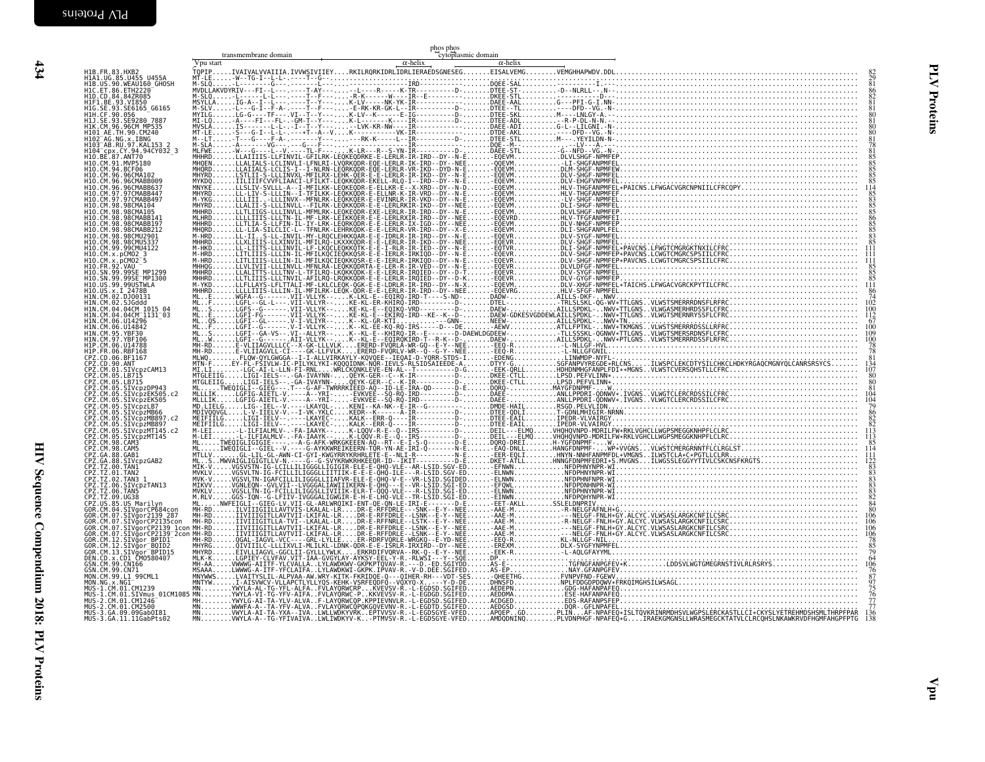<span id="page-31-0"></span>

|                                                 | Vpu start | $\alpha$ -helix | $\alpha$ -helix |  |  |
|-------------------------------------------------|-----------|-----------------|-----------------|--|--|
|                                                 |           |                 |                 |  |  |
|                                                 |           |                 |                 |  |  |
|                                                 |           |                 |                 |  |  |
|                                                 |           |                 |                 |  |  |
|                                                 |           |                 |                 |  |  |
|                                                 |           |                 |                 |  |  |
|                                                 |           |                 |                 |  |  |
|                                                 |           |                 |                 |  |  |
|                                                 |           |                 |                 |  |  |
|                                                 |           |                 |                 |  |  |
|                                                 |           |                 |                 |  |  |
|                                                 |           |                 |                 |  |  |
|                                                 |           |                 |                 |  |  |
|                                                 |           |                 |                 |  |  |
|                                                 |           |                 |                 |  |  |
|                                                 |           |                 |                 |  |  |
|                                                 |           |                 |                 |  |  |
|                                                 |           |                 |                 |  |  |
|                                                 |           |                 |                 |  |  |
|                                                 |           |                 |                 |  |  |
|                                                 |           |                 |                 |  |  |
|                                                 |           |                 |                 |  |  |
|                                                 |           |                 |                 |  |  |
|                                                 |           |                 |                 |  |  |
|                                                 |           |                 |                 |  |  |
|                                                 |           |                 |                 |  |  |
| MUS-3.GA.09.09Gab0I81<br>MUS-3.GA.11.11GabPts02 |           |                 |                 |  |  |
|                                                 |           |                 |                 |  |  |
|                                                 |           |                 |                 |  |  |
|                                                 |           |                 |                 |  |  |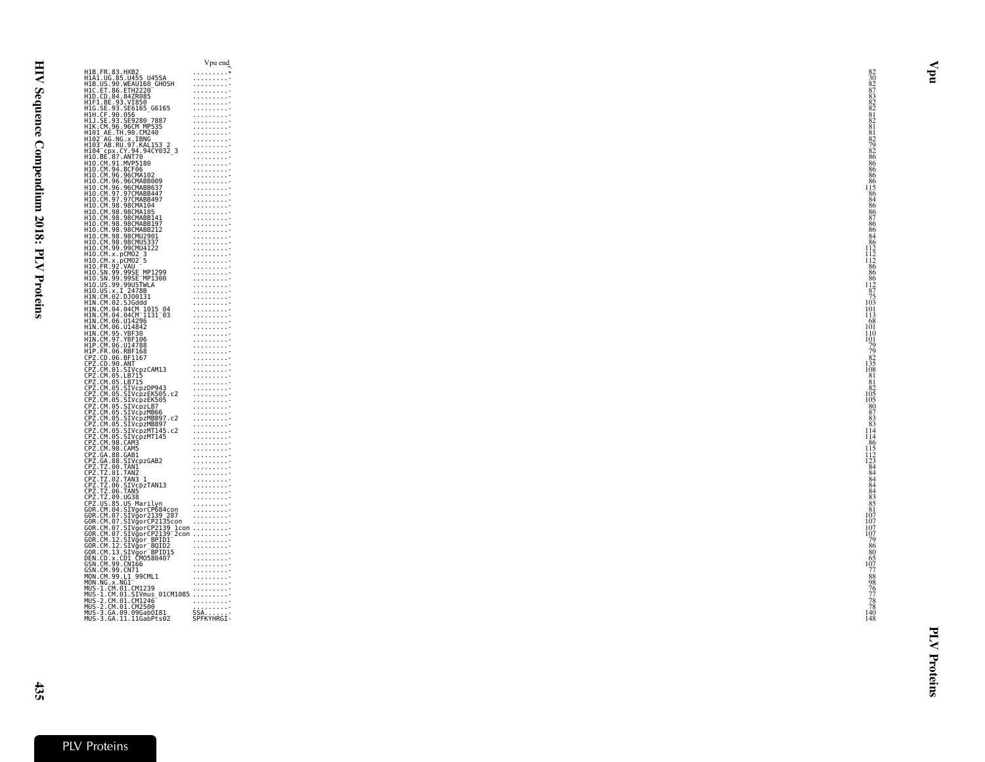|                                                                                                            |                                                                                                                                                                                                                                                                 | Vpu end                                                                                     |
|------------------------------------------------------------------------------------------------------------|-----------------------------------------------------------------------------------------------------------------------------------------------------------------------------------------------------------------------------------------------------------------|---------------------------------------------------------------------------------------------|
|                                                                                                            | H1B.FR.83.HXB2<br>H1A1.UG.85.U455_U455A                                                                                                                                                                                                                         | . *                                                                                         |
|                                                                                                            | H1B.US.90.WEAU160_GHOSH                                                                                                                                                                                                                                         |                                                                                             |
|                                                                                                            | HIB.05.90.WEAU.org<br>HID.CD.84.84ZR085<br>HID.CD.84.84ZR085<br>HIH.0E.93.SE6165_G6165<br>HIH.CF.90.056<br>HIH.CF.90.056<br>HIJ.SE.93.SE928.07887<br>HIJ.SE.93.SE928.07887                                                                                      |                                                                                             |
|                                                                                                            |                                                                                                                                                                                                                                                                 | . <del>.</del><br>.                                                                         |
|                                                                                                            |                                                                                                                                                                                                                                                                 | 1.1.1.1.1.1.1.7                                                                             |
|                                                                                                            |                                                                                                                                                                                                                                                                 | .                                                                                           |
|                                                                                                            |                                                                                                                                                                                                                                                                 | .                                                                                           |
|                                                                                                            | H1K.CM.96.96CM MP535<br>H101 AE.TH.90.CM240<br>H102_AG.NG.x.IBNG                                                                                                                                                                                                | .                                                                                           |
|                                                                                                            | H103 <sup>-</sup> AB.RU.97.KAL153 2                                                                                                                                                                                                                             | .<br>.                                                                                      |
|                                                                                                            | H104 cpx.CY.94.94CY032_3<br>H10.BE.87.ANT70                                                                                                                                                                                                                     | .                                                                                           |
|                                                                                                            |                                                                                                                                                                                                                                                                 | . <del>.</del>                                                                              |
| H10.CM.91.MVP5180<br>H10.CM.94.BCF06                                                                       |                                                                                                                                                                                                                                                                 | .<br>.                                                                                      |
| H10.CM.96.96CMA102                                                                                         |                                                                                                                                                                                                                                                                 | 1.1.1.1.1.1.1.1.7                                                                           |
|                                                                                                            | H10.CM.96.96CMABB009                                                                                                                                                                                                                                            | .                                                                                           |
|                                                                                                            | H10.CM.96.96CMABB637<br>H10.CM.97.97CMABB637<br>H10.CM.97.97CMABB447                                                                                                                                                                                            | . <del>.</del>                                                                              |
|                                                                                                            |                                                                                                                                                                                                                                                                 | .                                                                                           |
| H10.CM.98.98CMA104<br>H10.CM.98.98CMA105                                                                   |                                                                                                                                                                                                                                                                 |                                                                                             |
|                                                                                                            |                                                                                                                                                                                                                                                                 | .<br>.                                                                                      |
|                                                                                                            | H10.CM.98.98CMABB141<br>H10.CM.98.98CMABB141<br>H10.CM.98.98CMABB197<br>H10.CM.98.98CMABB212                                                                                                                                                                    |                                                                                             |
|                                                                                                            |                                                                                                                                                                                                                                                                 | .                                                                                           |
| H10.CM.98.98CMU2901<br>H10.CM.98.98CMU5337                                                                 |                                                                                                                                                                                                                                                                 | .                                                                                           |
|                                                                                                            | H10. CM. 98. 98CMU5337<br>H10. CM. 99. 99CMU4122<br>H10. CM. x. pCM02_3<br>H10. CM. x. pCM02_5<br>H10. SN. 99. 99SE_MP1299<br>H10. SN. 99. 99SE_MP1299<br>H10. SN. 99. 99SE_MP1299<br>H10. SN. 99. 99SE_MP1200                                                  | $\begin{array}{cccccccccccccc} . & . & . & . & . & . & . & . & . & . & . & . & \end{array}$ |
|                                                                                                            |                                                                                                                                                                                                                                                                 | $\alpha$ , and $\alpha$ , and $\alpha$ , and $\alpha$                                       |
|                                                                                                            |                                                                                                                                                                                                                                                                 | .                                                                                           |
|                                                                                                            |                                                                                                                                                                                                                                                                 | 1.1.1.1.1.1.1.7<br>1.1.1.1.1.1.1.7                                                          |
|                                                                                                            |                                                                                                                                                                                                                                                                 | $\begin{array}{cccccccccccccc} . & . & . & . & . & . & . & . & . & . & . & . & \end{array}$ |
| H10 . US . 99 . 99USTWLA<br>H10 . US . x . I _ 2478B<br>H10 . US . x . I _ 2478B<br>H1N . CM . 02 . 5JGddd |                                                                                                                                                                                                                                                                 | . <del>.</del>                                                                              |
|                                                                                                            |                                                                                                                                                                                                                                                                 | .<br>1.1.1.1.1.1.1.1.7                                                                      |
|                                                                                                            |                                                                                                                                                                                                                                                                 | .                                                                                           |
|                                                                                                            | H1N.CM.04.04CM 1015 04                                                                                                                                                                                                                                          | . 7                                                                                         |
|                                                                                                            | HĪN.ČM.04.04ČM II3I 03<br>HIN.CM.06.U14296                                                                                                                                                                                                                      | .                                                                                           |
|                                                                                                            |                                                                                                                                                                                                                                                                 | 1.1.1.1.1.1.1.7                                                                             |
| HIN.CM.06.U14842<br>H1N.CM.95.YBF30                                                                        |                                                                                                                                                                                                                                                                 | $\begin{array}{cccccc} . & . & . & . & . & . & . \\ . & . & . & . & . & . & . \end{array}$  |
| H1N.CM.97.YBF106                                                                                           |                                                                                                                                                                                                                                                                 | . <del>.</del>                                                                              |
| HIP.CM.06.U14788<br>H1P.ER.06.RBF168                                                                       |                                                                                                                                                                                                                                                                 |                                                                                             |
|                                                                                                            |                                                                                                                                                                                                                                                                 | 1.1.1.1.1.1.1.7<br>.                                                                        |
|                                                                                                            |                                                                                                                                                                                                                                                                 | 1.1.1.1.1.1.1.7                                                                             |
|                                                                                                            |                                                                                                                                                                                                                                                                 | . <del>.</del>                                                                              |
|                                                                                                            |                                                                                                                                                                                                                                                                 | .                                                                                           |
|                                                                                                            |                                                                                                                                                                                                                                                                 | .                                                                                           |
|                                                                                                            |                                                                                                                                                                                                                                                                 | . <del>.</del>                                                                              |
|                                                                                                            |                                                                                                                                                                                                                                                                 | . <del>.</del>                                                                              |
|                                                                                                            |                                                                                                                                                                                                                                                                 | .                                                                                           |
|                                                                                                            | CPZ.CM.01.SIVcpzCAM13<br>CPZ.CM.05.LB715<br>CPZ.CM.05.LB715<br>CPZ.CM.05.SIVcpzDP943.c2<br>CPZ.CM.05.SIVcpzEK505.c2<br>CPZ.CM.05.SIVcpzEK505<br>CPZ.CM.05.SIVcpzMB66<br>CPZ.CM.05.SIVcpzMB66<br>CPZ.CM.05.SIVcpzMB807.c2                                        | .                                                                                           |
|                                                                                                            |                                                                                                                                                                                                                                                                 |                                                                                             |
|                                                                                                            |                                                                                                                                                                                                                                                                 |                                                                                             |
|                                                                                                            |                                                                                                                                                                                                                                                                 |                                                                                             |
|                                                                                                            |                                                                                                                                                                                                                                                                 |                                                                                             |
|                                                                                                            |                                                                                                                                                                                                                                                                 |                                                                                             |
|                                                                                                            |                                                                                                                                                                                                                                                                 |                                                                                             |
|                                                                                                            |                                                                                                                                                                                                                                                                 |                                                                                             |
|                                                                                                            |                                                                                                                                                                                                                                                                 |                                                                                             |
|                                                                                                            |                                                                                                                                                                                                                                                                 |                                                                                             |
|                                                                                                            |                                                                                                                                                                                                                                                                 |                                                                                             |
|                                                                                                            |                                                                                                                                                                                                                                                                 |                                                                                             |
|                                                                                                            |                                                                                                                                                                                                                                                                 |                                                                                             |
|                                                                                                            |                                                                                                                                                                                                                                                                 |                                                                                             |
|                                                                                                            |                                                                                                                                                                                                                                                                 |                                                                                             |
|                                                                                                            |                                                                                                                                                                                                                                                                 |                                                                                             |
|                                                                                                            |                                                                                                                                                                                                                                                                 |                                                                                             |
|                                                                                                            |                                                                                                                                                                                                                                                                 |                                                                                             |
|                                                                                                            | CPZ.CM-83. SIVCP2MB89<br>CPZ.CM-83. SIVCP2MB897. C2<br>CPZ.CM-85. SIVCP2MB897. C2<br>CPZ.CM-85. SIVCP2MT145. C2<br>CPZ.CM-93. CAM5<br>CPZ.CM-93. CAM5<br>CPZ.CM-93. CAM5<br>CPZ.CM-93. CAM5<br>CPZ.CM-93. CAM5<br>CPZ.TZ. 00. TAN12<br>CPZ.TZ. 00. TAN12<br>CPZ |                                                                                             |
|                                                                                                            |                                                                                                                                                                                                                                                                 |                                                                                             |
| MON.CM.99.L1 99CML1                                                                                        |                                                                                                                                                                                                                                                                 | .                                                                                           |
| MON.NG.x.NG1                                                                                               |                                                                                                                                                                                                                                                                 | . <del>.</del>                                                                              |
|                                                                                                            | HUNG. 1. CM. 01. CM1239<br>MUS- 1. CM. 01. CM1239<br>MUS- 2. CM. 01. CM1246<br>MUS- 2. CM. 01. CM1246<br>MUS- 2. CM. 01. CM2500<br>MUS- 2. CM. 01. CM2500                                                                                                       |                                                                                             |
|                                                                                                            |                                                                                                                                                                                                                                                                 |                                                                                             |
|                                                                                                            | MUS-3.GA.09.09Gab0I81                                                                                                                                                                                                                                           |                                                                                             |
|                                                                                                            | MŪŠ-3.GA.11.11GabPts02                                                                                                                                                                                                                                          | SSA<br>SPFKYHRGI-                                                                           |
|                                                                                                            |                                                                                                                                                                                                                                                                 |                                                                                             |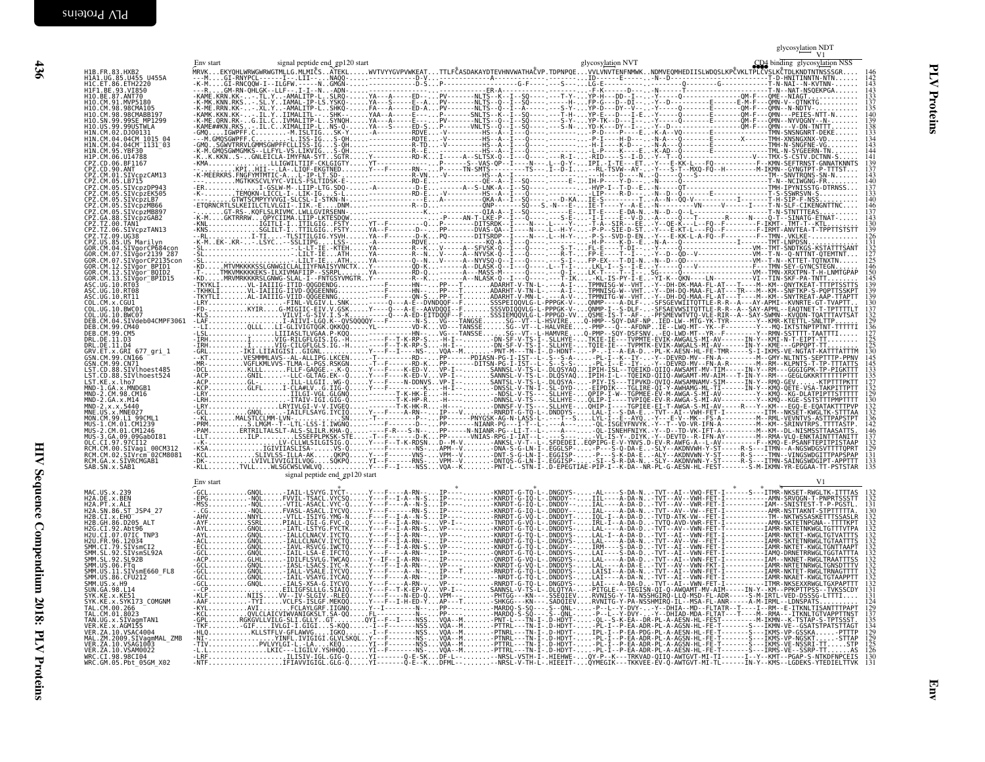<span id="page-33-0"></span>

| H1B.FR.83.HXB2<br>H1A1.UG.85.U455_U455A                                                                                                                                                                                                               | signal peptide end gp120 start<br>Env start | glycosylation NVT | CD4 binding glycosylation NSS |
|-------------------------------------------------------------------------------------------------------------------------------------------------------------------------------------------------------------------------------------------------------|---------------------------------------------|-------------------|-------------------------------|
| H1C.ET.86.ETH2220<br>HIF1.BE.93.VI850<br>H10.BE.87.ANT70                                                                                                                                                                                              |                                             |                   |                               |
| H1O.CM.91.MVP5180<br>H10.CM.98.98CMA105                                                                                                                                                                                                               |                                             |                   |                               |
| H10.CM.98.98CMABB197<br>H10.SN.99.99SE_MP1299<br>H10.US.99.99USTWLA                                                                                                                                                                                   |                                             |                   | 139<br>138                    |
| H1N.CM.02.DJ00131<br>HIN.CM.04.04CM_1015_04<br>HIN.CM.04.04CM_1131_03                                                                                                                                                                                 |                                             |                   |                               |
| H1N.CM.95.YBF30<br>H1P.CM.06.U14788<br>CPZ.CD.06.BF1167                                                                                                                                                                                               |                                             |                   |                               |
| CPZ.CD.90.ANT<br>CPZ.CD.90.ANT<br>CPZ.CM.01.SIVCPzCAM13<br>CPZ.CM.05.LB715                                                                                                                                                                            |                                             |                   | 137                           |
| ČPŽ.ČM.05.SIVČPZDP943<br>CPZ.CM.05.SIVCPZEK505                                                                                                                                                                                                        |                                             |                   | 140                           |
| CPZ.CM.05.SIVcpzLB7<br>ČPŽ.ČM.05.ŠIVCpzMB66<br>CPZ.CM.05.SIVcpzMB897                                                                                                                                                                                  |                                             |                   | 146                           |
| ČPŽ.GA.88.SIVcpzGAB2<br>CPZ.TZ.00.TAN1 _<br>CPZ.TZ.06.SIVcpzTAN13                                                                                                                                                                                     |                                             |                   | 130<br>39                     |
| ČPŽ.TŽ.09.UG38<br>CPZ.US.85.US Marilyn<br>GOR.CM.04.SIVgorCP684cor                                                                                                                                                                                    |                                             |                   | 126                           |
| GOR.CM.07.SIVgor2139 287<br>GOR.CM.07.SIVgorCP2135con<br>GOR.CM.12.SIVgor BPID1<br>GOR.CM.12.SIVgor BOID2                                                                                                                                             |                                             |                   | i46<br>150                    |
| GOR.CM.13.SIVgor_BPIDI5<br>ASC.UG.10.RT03<br>ASC.UG.10.RT03<br>ASC.UG.10.RT08                                                                                                                                                                         |                                             |                   |                               |
| ASC.UG.10.RT11<br>COL.CM.x.CGU1                                                                                                                                                                                                                       |                                             |                   | 139<br>139                    |
| COL.UG.10.BWC01<br>COL.UG.10.BWC07<br>DEB.CM.04.SIVdeb04CMPF3061                                                                                                                                                                                      |                                             |                   | 132<br>129                    |
| DEB.CM.99.CM40<br>DEB.CM.99.CM5<br>DRL.DE.11.D3                                                                                                                                                                                                       |                                             |                   | 136<br>127<br>125<br>125      |
| DRL.DE.11.D4<br>GRV.ET.x.GRI 677_gri_1<br>GSN.CM.99.CNI66                                                                                                                                                                                             |                                             |                   | 145                           |
| GSN.CM.99.CN71<br>LST.CD.88.SIVlhoest485<br>LST.CD.88.SIVlhoest524                                                                                                                                                                                    |                                             |                   |                               |
| LST.KE.x.lho7<br>MND-1.GA.x.MNDGB1<br>MND-2.CM.98.CM16                                                                                                                                                                                                |                                             |                   |                               |
| MND-2.GA.x.M14<br>MND-2.x.x.5440                                                                                                                                                                                                                      |                                             |                   | 129<br>130                    |
| MNE.US.x.MNE027<br>MON.CM.99.L1 99CML1<br>MUS-1.CM.01.CM1239                                                                                                                                                                                          |                                             |                   |                               |
| MUS-2.CM.01.CM1246<br>MUS-3.GA.09.09Gab0I81<br>OLC.CI.97.97CI12                                                                                                                                                                                       |                                             |                   |                               |
| RCM.CM.00.SIVagi 00CM312<br>RCM.CM.02.SIVrcm <sup>-</sup> 02CM8081<br>RCM.GA.x.SIVRCMGAB1                                                                                                                                                             |                                             |                   | 131<br>133                    |
| SAB.SN.x.SAB1                                                                                                                                                                                                                                         | signal peptide end_gp120 start<br>Env start |                   |                               |
| MAC.US.x.239<br>H2A.DE.x.BEN                                                                                                                                                                                                                          |                                             |                   |                               |
| H2A.PT.x.ALI<br>H2A.SN.86.ST_JSP4_27<br>H2B.CI.x.EHO                                                                                                                                                                                                  |                                             |                   |                               |
| H2B.GH.86.D205 ALT<br>H2G.CI.92.Abt96                                                                                                                                                                                                                 |                                             |                   |                               |
| H2U.CI.07.07IC TNP3<br>H2U.FR.96.12034<br>SMM.CI.79.SIVsmCI2                                                                                                                                                                                          |                                             |                   |                               |
| ŠMM.ŠL.92.ŠIVSMŠL92A<br>SMM.SL.92.SL92B<br>ынн.эЕ. <i>э</i> 2.эЕэ25<br>SMM.US.06.FTq<br>SMM.US.11.SIVsmE660 FL8                                                                                                                                       |                                             |                   |                               |
| ŠMM.UŠ.86.ČFUŽI2<br>SMM.US.x.H9                                                                                                                                                                                                                       |                                             |                   |                               |
| SUN.GA.98.L14<br>SYK.KE.x.KE51                                                                                                                                                                                                                        |                                             |                   |                               |
| SYK.KE.x.SYK173_COMGNM<br>TAL.CM.00.266                                                                                                                                                                                                               |                                             |                   |                               |
|                                                                                                                                                                                                                                                       |                                             |                   |                               |
| TAL. CM. 00. 266<br>TAL. CM. 00. 266<br>VER. KE. x. AGMISTAN1<br>VER. KE. x. AGMIST<br>MAL. ZM. 2009. STVa004<br>MAL. ZM. 2009. STVa001<br>VER. ZA. 10. VSAG10032<br>WRC. CM. 10. VSAG10022<br>WRC. CM. 05. Pbt_05GM_X02<br>WRC. CM. 05. Pbt_05GM_X02 |                                             |                   |                               |
|                                                                                                                                                                                                                                                       |                                             |                   |                               |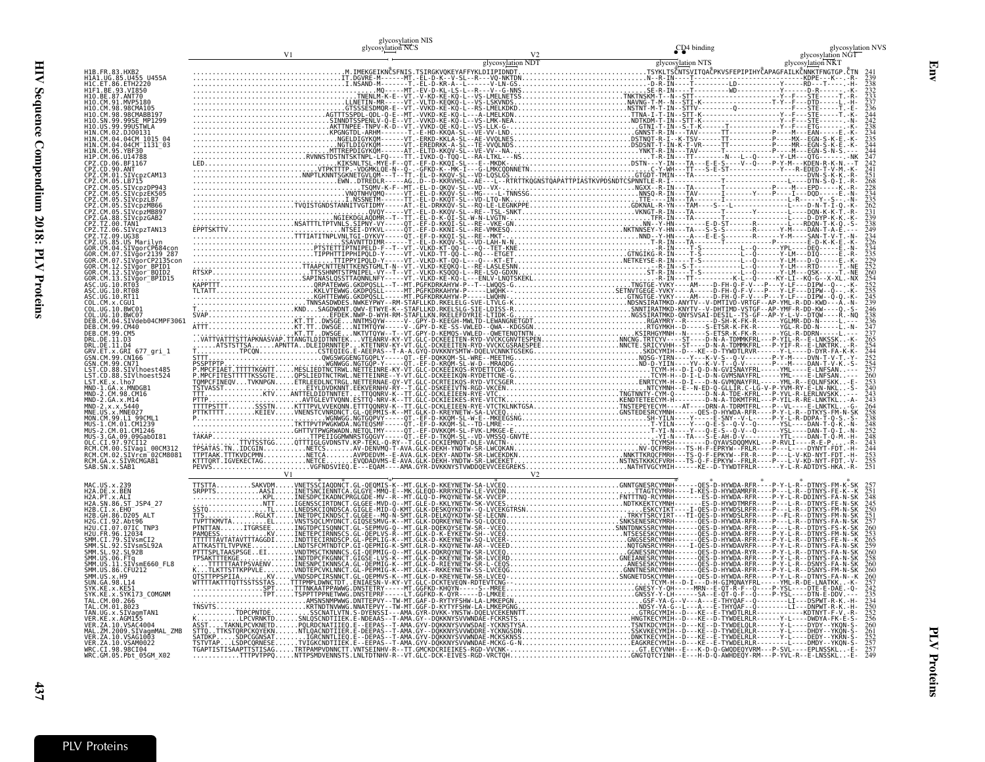|                                                                                                                              | glycosylation NIS<br>glycosylation NCS | CD <sub>4</sub> binding | glycosylation NVS                                                                              |
|------------------------------------------------------------------------------------------------------------------------------|----------------------------------------|-------------------------|------------------------------------------------------------------------------------------------|
|                                                                                                                              |                                        |                         |                                                                                                |
|                                                                                                                              |                                        |                         |                                                                                                |
| H1B.FR.83.HXB2<br>H1A1.UG.85.U455 U455A<br>H1C.ET.86.ETH2220                                                                 |                                        |                         |                                                                                                |
| HIF1.BE.93.VI850                                                                                                             |                                        |                         |                                                                                                |
| H10.BE.87.ANT70<br>H10.BE.87.ANT70<br>H10.CM.91.MVP5180                                                                      |                                        |                         |                                                                                                |
| H10.CM.98.98CMABB197                                                                                                         |                                        |                         |                                                                                                |
| H10.SN.99.99SE MP1299<br>H10.US.99.99USTWLA                                                                                  |                                        |                         |                                                                                                |
| HIN.CM.02.DJ0013I<br>HIN.CM.04.04CM_1015_04                                                                                  |                                        |                         |                                                                                                |
| IIN.CM.95.V <del>9</del> CM<br>IIN.CM.95.YBF30<br>IIP.CM.06.U14788                                                           |                                        |                         |                                                                                                |
| PZ.CD.06.BF1167                                                                                                              |                                        |                         |                                                                                                |
| .SIVcpzCAM13                                                                                                                 |                                        |                         |                                                                                                |
|                                                                                                                              |                                        |                         |                                                                                                |
| SIVcpzEK505<br>Z.CM.05.SIVcpzLB7'                                                                                            |                                        |                         |                                                                                                |
| 2. ČM.05.ŠĪVcpzMB66<br>22. CM.05.SIVcpzMB897                                                                                 |                                        |                         |                                                                                                |
| PZ.GA.88.SIVcpzGAB2<br>PZ.TZ.00.TAN1                                                                                         |                                        |                         |                                                                                                |
| 06.SIVcpzTAN13                                                                                                               |                                        |                         |                                                                                                |
|                                                                                                                              |                                        |                         |                                                                                                |
|                                                                                                                              |                                        |                         |                                                                                                |
| CM.12.SIVğor BPID1                                                                                                           |                                        |                         |                                                                                                |
| GOR.CM.12.SIVğor <sup>-</sup> BQID2<br>GOR.CM.13.SIVğor_BPID15                                                               |                                        |                         |                                                                                                |
| .SC . UG . 10 . RT03<br>.SC . UG . 10 . RT08                                                                                 |                                        |                         |                                                                                                |
| $C$ , LIG, 10, RT11                                                                                                          |                                        |                         |                                                                                                |
| COL.UG.10.BWC01                                                                                                              |                                        |                         |                                                                                                |
| DEB.CM.04.SIVdeb04CMPF3061                                                                                                   |                                        |                         |                                                                                                |
|                                                                                                                              |                                        |                         |                                                                                                |
| DEB.CM.33.033<br>DRL.DE.11.D3<br>DRL.DE.11.D4<br>GRV.ET.x.GRI_677_gri_1                                                      |                                        |                         |                                                                                                |
|                                                                                                                              |                                        |                         |                                                                                                |
| GSN.CM.99.CN71<br>LST.CD.88.SIVlhoest485<br>LST.CD.88.SIVlhoest524                                                           |                                        |                         |                                                                                                |
|                                                                                                                              |                                        |                         |                                                                                                |
| LST.KE.x.lho7<br>MND-1.GA.x.MNDGB1<br>MND-2.CM.98.CM16                                                                       |                                        |                         |                                                                                                |
|                                                                                                                              |                                        |                         |                                                                                                |
|                                                                                                                              |                                        |                         |                                                                                                |
| CM.01.CM1246                                                                                                                 |                                        |                         |                                                                                                |
| OLC.CI.97.97CI12                                                                                                             |                                        |                         |                                                                                                |
|                                                                                                                              |                                        |                         |                                                                                                |
| OCC.C.1.37.37.<br>RCM.CM.00.SIVagi_00CM312<br>RCM.CM.02.SIVrcm <sup>-</sup> 02CM8081<br>RCM.GA.x.SIVRCMGAB1<br>SAB.SN.x.SAB1 |                                        |                         |                                                                                                |
|                                                                                                                              |                                        |                         |                                                                                                |
|                                                                                                                              |                                        |                         |                                                                                                |
| H2A.DE.x.BEN<br>H2A.PT.x.ALI<br>H2A.SN.86.ST<br>JSP4 27                                                                      |                                        |                         | 257251248<br>24525502517260253<br>265226522602582260258                                        |
| H2B.GH.86.D205 ALT                                                                                                           |                                        |                         |                                                                                                |
| H2G.CI.92.Abt96                                                                                                              |                                        |                         |                                                                                                |
| H2U.CI.07.07IC_TNP3                                                                                                          |                                        |                         |                                                                                                |
| H2U.FR.96.12034<br>SMM.CI.79.SIVsmCI2<br>SMM.SL.92.SIVsmSL92A                                                                |                                        |                         |                                                                                                |
| SMM. SL. 92. SL92B<br>ŠMM.ŪS.06.FTq<br>SMM.US.11.SIVsmE660_FL8                                                               |                                        |                         |                                                                                                |
| SMM.US.86.CFU212                                                                                                             |                                        |                         |                                                                                                |
| MM.US.x.H9                                                                                                                   |                                        |                         |                                                                                                |
| KE.x.KE51<br>x.SYK173 COMGNM                                                                                                 |                                        |                         |                                                                                                |
| TAL.CM.01.8023                                                                                                               |                                        |                         |                                                                                                |
| TAN.UG.x.SIVagmTAN1<br>.x.AGM155                                                                                             |                                        |                         |                                                                                                |
|                                                                                                                              |                                        |                         |                                                                                                |
| vER. ZA. 10.VSAC4004<br>MAL.ZM.2009.SIVagmMAL_ZMB<br>VER.ZA.10.VSAG1003<br>VER.ZA.10.VSAM0022                                |                                        |                         |                                                                                                |
| wRC.CI.98.98CI04<br>WRC.CI.98.98CI04<br>WRC.GM.05.Pbt_05GM_X02                                                               |                                        |                         | 260<br>257<br>242<br>235<br>250<br>252<br>250<br>260<br>252<br>257<br>257<br>257<br>257<br>249 |
|                                                                                                                              |                                        |                         |                                                                                                |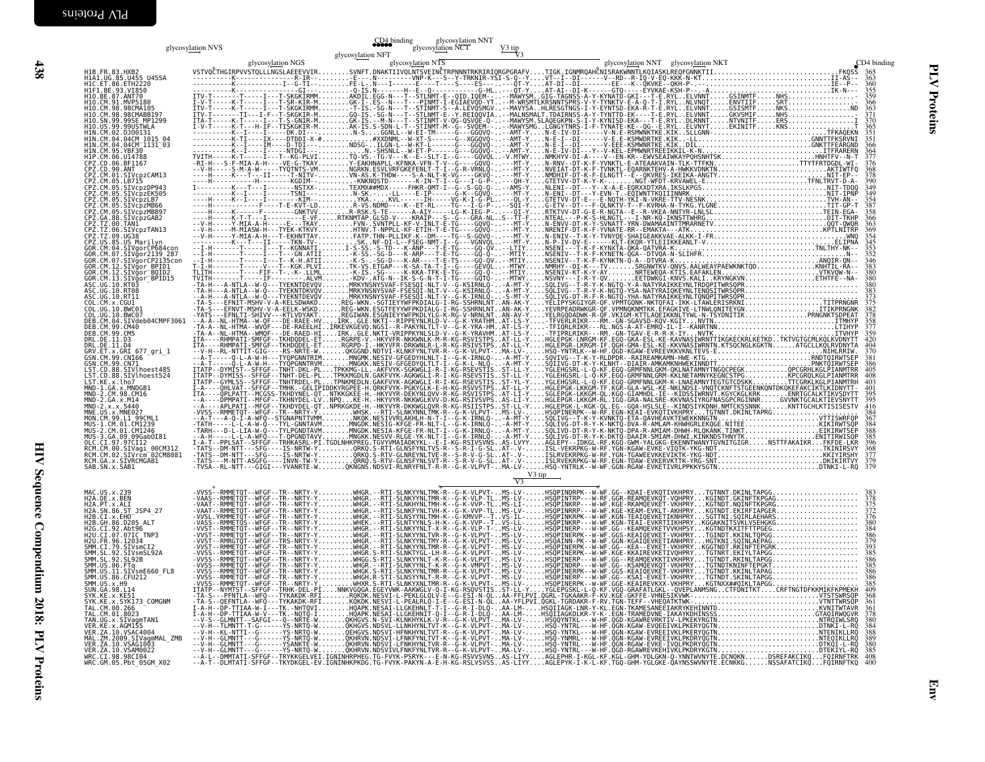|                                                                                                                                                                    | glycosylation NVS | glycosylation NNT<br>CD4 binding<br>glycosylation NCT |                                                                                                                                                                                                                                                                                                                                                                                            |  |
|--------------------------------------------------------------------------------------------------------------------------------------------------------------------|-------------------|-------------------------------------------------------|--------------------------------------------------------------------------------------------------------------------------------------------------------------------------------------------------------------------------------------------------------------------------------------------------------------------------------------------------------------------------------------------|--|
|                                                                                                                                                                    |                   | glycosylation NFT                                     |                                                                                                                                                                                                                                                                                                                                                                                            |  |
| H1B.FR.83.HXB2<br>H1A1.UG.85.U455 U455A<br>H1C.ET.86.ETH2220<br>H1F1.BE.93.VI850                                                                                   |                   |                                                       |                                                                                                                                                                                                                                                                                                                                                                                            |  |
|                                                                                                                                                                    |                   |                                                       |                                                                                                                                                                                                                                                                                                                                                                                            |  |
| H10.BE.87.ANT70<br>H10.CM.91.MVP5180                                                                                                                               |                   |                                                       |                                                                                                                                                                                                                                                                                                                                                                                            |  |
| H10. CM. 98. 98CMA105<br>H10. CM. 98. 98CMABB197<br>H10. CM. 99. 99CMABB197<br>H10. US. 99. 99USTWLA<br>H1N. CM. 02. DJ00131                                       |                   |                                                       |                                                                                                                                                                                                                                                                                                                                                                                            |  |
|                                                                                                                                                                    |                   |                                                       |                                                                                                                                                                                                                                                                                                                                                                                            |  |
| HIN.CM.04.04CM_1015_04<br>HIN.CM.04.04CM_1015_04<br>H1N.CM.95.YBF30                                                                                                |                   |                                                       |                                                                                                                                                                                                                                                                                                                                                                                            |  |
|                                                                                                                                                                    |                   |                                                       |                                                                                                                                                                                                                                                                                                                                                                                            |  |
|                                                                                                                                                                    |                   |                                                       |                                                                                                                                                                                                                                                                                                                                                                                            |  |
| HIN.CM.95.7BF30<br>CPZ.CD.06.BF1167<br>CPZ.CD.06.BF1167<br>CPZ.CM.01.SIVCpzCAM13<br>CPZ.CM.05.LB715<br>CPZ.CM.05.LB715<br>CPZ.CM.05.LB715<br>CPZ.CM.05.SIVcpzEK505 |                   |                                                       |                                                                                                                                                                                                                                                                                                                                                                                            |  |
| CPZ.CM.05.SIVcpzLB7<br>CPZ.CM.05.SIVcpzMB66                                                                                                                        |                   |                                                       |                                                                                                                                                                                                                                                                                                                                                                                            |  |
| CPZ.CM.05.SIVcpzMB897                                                                                                                                              |                   |                                                       |                                                                                                                                                                                                                                                                                                                                                                                            |  |
| CPZ.GA.88.SIVCpzGAB2<br>CPZ.GA.88.SIVCpzGAB2<br>CPZ.TZ.00.TAN1<br>CPZ.TZ.06.SIVCpzTAN13                                                                            |                   |                                                       |                                                                                                                                                                                                                                                                                                                                                                                            |  |
| CPZ.US.85.US Marilyn                                                                                                                                               |                   |                                                       |                                                                                                                                                                                                                                                                                                                                                                                            |  |
| GOR.CM.04.SIVgorCP684con<br>GOR.CM.07.SIVgor2139_287<br>GOR.CM.07.SIVgorCP2135con                                                                                  |                   |                                                       |                                                                                                                                                                                                                                                                                                                                                                                            |  |
| 60R.CM.12.SIVgor_BPID1<br>GOR.CM.12.SIVgor_BPID1<br>GOR.CM.13.SIVgor_BPID15<br>ASC.UG.10.RT03                                                                      |                   |                                                       |                                                                                                                                                                                                                                                                                                                                                                                            |  |
| ASC. UG. 10. RT08                                                                                                                                                  |                   |                                                       |                                                                                                                                                                                                                                                                                                                                                                                            |  |
| ASC.UG.10.RT11<br>COL.CM.x.CGU1                                                                                                                                    |                   |                                                       |                                                                                                                                                                                                                                                                                                                                                                                            |  |
| COL.UG.10.BWC01<br>COL.UG.10.BWC07                                                                                                                                 |                   |                                                       |                                                                                                                                                                                                                                                                                                                                                                                            |  |
| DEB.CM.04.SIVdeb04CMPF3061<br>DEB.CM.99.CM40                                                                                                                       |                   |                                                       |                                                                                                                                                                                                                                                                                                                                                                                            |  |
| DEB.CM.99.CM5<br>DRL.DE.11.D3<br>DRL.DE.11.D4<br>ORV.ET.x.GRI_677_gri_1                                                                                            |                   |                                                       |                                                                                                                                                                                                                                                                                                                                                                                            |  |
| GSN. CM. 99. CN166                                                                                                                                                 |                   |                                                       |                                                                                                                                                                                                                                                                                                                                                                                            |  |
| GSN.CM.99.CN71<br>LST.CD.88.SIVlhoest485                                                                                                                           |                   |                                                       |                                                                                                                                                                                                                                                                                                                                                                                            |  |
| LST.CD.88.SIV\hoest524<br>LST.CD.88.SIV\hoest524<br>MND-1.GA.x.MNDGB1<br>MND-2.CM.98.CM16                                                                          |                   |                                                       |                                                                                                                                                                                                                                                                                                                                                                                            |  |
|                                                                                                                                                                    |                   |                                                       |                                                                                                                                                                                                                                                                                                                                                                                            |  |
| MND-2.CA.x.M14<br>MND-2.CA.x.M14<br>MND-2.x.x.5440<br>MNE.US.x.MNE027<br>MON.CM.99.L1_99CML1                                                                       |                   |                                                       |                                                                                                                                                                                                                                                                                                                                                                                            |  |
| MUS-1.CM.01.CM1239                                                                                                                                                 |                   |                                                       |                                                                                                                                                                                                                                                                                                                                                                                            |  |
| MUS-2.CM.01.CM1246<br>MUS-3.GA.09.09Gab0I81                                                                                                                        |                   |                                                       |                                                                                                                                                                                                                                                                                                                                                                                            |  |
| rus - э. э. 97. 97. 012<br>RCM. CM. 00. SIVagi_00CM312<br>RCM. CM. 00. SIVagi_00CM312<br>RCM. CM. 02. SIVrcm_02CM8081                                              |                   |                                                       |                                                                                                                                                                                                                                                                                                                                                                                            |  |
| RCM.GA.x.SIVRCMGAB1<br>SAB.SN.x.SAB1                                                                                                                               |                   |                                                       |                                                                                                                                                                                                                                                                                                                                                                                            |  |
|                                                                                                                                                                    |                   |                                                       | V3 tip                                                                                                                                                                                                                                                                                                                                                                                     |  |
| MAC.US.x.239<br>H2A.DE.X.BEN<br>H2A.PT.x.ALI                                                                                                                       |                   |                                                       |                                                                                                                                                                                                                                                                                                                                                                                            |  |
| H2A.SN.86.ST JSP4 27                                                                                                                                               |                   |                                                       |                                                                                                                                                                                                                                                                                                                                                                                            |  |
| H2B.CI.X.EHO<br>H2B. GH. 86. 0205_ALT                                                                                                                              |                   |                                                       |                                                                                                                                                                                                                                                                                                                                                                                            |  |
| H2G.CI.92.Abt96<br>H2U.CI.07.07IC TNP3<br>H2U.FR.96.12034                                                                                                          |                   |                                                       |                                                                                                                                                                                                                                                                                                                                                                                            |  |
| SMM.CI.79.SIVsmCI2<br>SMM.SL.92.SIVsmSL92A                                                                                                                         |                   |                                                       |                                                                                                                                                                                                                                                                                                                                                                                            |  |
| SMM.SL.92.SL92B                                                                                                                                                    |                   |                                                       |                                                                                                                                                                                                                                                                                                                                                                                            |  |
| SMM. JS. 96. FT4<br>SMM. US. 06. FT4<br>SMM. US. 11. SIVsmE660_FL8<br>SMM. US. 8. CFU212<br>SMM. US. x. H9<br>SUN. GA. 98. L14                                     |                   |                                                       |                                                                                                                                                                                                                                                                                                                                                                                            |  |
| SYK.KE.X.KE51<br>SYK.KE.x.SYK173 COMGNM                                                                                                                            |                   |                                                       |                                                                                                                                                                                                                                                                                                                                                                                            |  |
| TAL.CM.00.266<br>TAL.CM.01.8023                                                                                                                                    |                   |                                                       |                                                                                                                                                                                                                                                                                                                                                                                            |  |
| TAN.UG.x.SIVagmTAN1                                                                                                                                                |                   |                                                       |                                                                                                                                                                                                                                                                                                                                                                                            |  |
| VER.KE.X.AGM155<br>VER.ZA.10.VSAC4004<br>MAL.ZM.2009.SIVagmMAL_ZMB<br>VER.ZA.10.VSAG1003                                                                           |                   |                                                       | $\begin{smallmatrix} \textbf{10.9} & \textbf{0.9} & \textbf{0.9} & \textbf{0.9} & \textbf{0.9} & \textbf{0.9} & \textbf{0.9} & \textbf{0.9} & \textbf{0.9} & \textbf{0.9} & \textbf{0.9} & \textbf{0.9} & \textbf{0.9} & \textbf{0.9} & \textbf{0.9} & \textbf{0.9} & \textbf{0.9} & \textbf{0.9} & \textbf{0.9} & \textbf{0.9} & \textbf{0.9} & \textbf{0.9} & \textbf{0.9} & \textbf{0.$ |  |
| VER. ZA. 10. VSAM0022                                                                                                                                              |                   |                                                       |                                                                                                                                                                                                                                                                                                                                                                                            |  |
| WRC.CI.98.98CI04<br>WRC.GM.05.Pbt_05GM_X02                                                                                                                         |                   |                                                       |                                                                                                                                                                                                                                                                                                                                                                                            |  |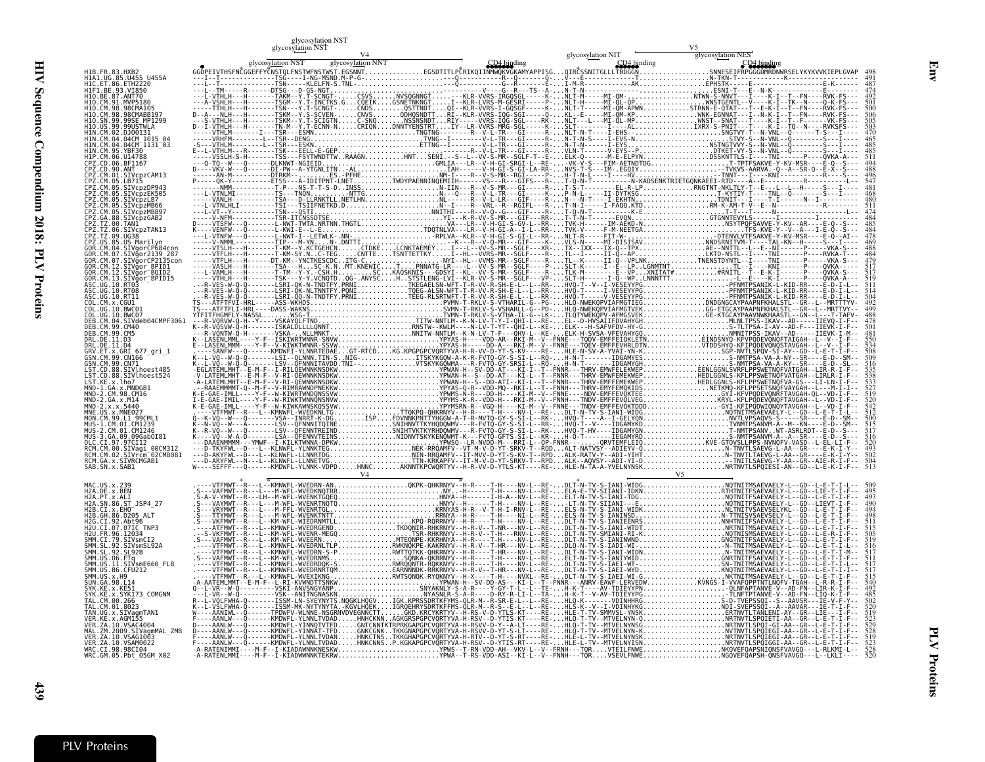| l<br>í<br>i<br>man<br>į                                                             |
|-------------------------------------------------------------------------------------|
| $\overline{\phantom{a}}$<br>Į<br>$\frac{1}{2}$<br>١<br>j<br><b>THE PRIMARY</b><br>ŗ |
| b<br>$\sum_{i=1}^{n}$<br><b>OLD:</b>                                                |
| i<br>F                                                                              |
| PLV                                                                                 |
| I                                                                                   |
| <b>Croteins</b>                                                                     |
|                                                                                     |
|                                                                                     |
|                                                                                     |
|                                                                                     |
|                                                                                     |
|                                                                                     |
|                                                                                     |
|                                                                                     |
|                                                                                     |
|                                                                                     |
|                                                                                     |
|                                                                                     |
|                                                                                     |
|                                                                                     |
|                                                                                     |
|                                                                                     |
|                                                                                     |
|                                                                                     |
| į<br>j                                                                              |

ىب

|                                                                         | glycosylation NST<br>glycosy <u>lati</u> on NST |  |  |
|-------------------------------------------------------------------------|-------------------------------------------------|--|--|
|                                                                         |                                                 |  |  |
| H1B. FR. 83. HXB2<br>HIA1.UG.85.U455 U455A<br>H1C.ET.86.ETH2220         |                                                 |  |  |
| H1F1.BE.93.VI850                                                        |                                                 |  |  |
| H10.CM.91.MVP5180<br>H10.CM.98.98CMA105<br>H10.CM.98.98CMABB197         |                                                 |  |  |
|                                                                         |                                                 |  |  |
|                                                                         |                                                 |  |  |
| 1N.CM.04.04CM 1131 03<br>H1P.CM.06.U14788                               |                                                 |  |  |
|                                                                         |                                                 |  |  |
| Z.CM.05.LB715<br>Z.CM.05.SIVcpzDP943                                    |                                                 |  |  |
| SIVcpzEK505<br>Z.CM.05.SIVcpzLB7                                        |                                                 |  |  |
| SIVcpzMB897                                                             |                                                 |  |  |
| 2.TZ.00.TAN1<br>. <sub>00.IANI</sub><br>06.SIVcpzTAN13                  |                                                 |  |  |
| PZ.TZ.09.UG38<br>PZ.US.85.US Marilyn<br>OR.CM.04.SIVgorCP684con         |                                                 |  |  |
| CM.07.SIVgorCP2135con                                                   |                                                 |  |  |
| CM.12.SIVgor BPID1<br>SIVgor <sup>-</sup> BQID2                         |                                                 |  |  |
| DR.CM.13.SIVğor <sup>−</sup> BPID15<br>\SC.UG.10.RT03<br>SC.UG.10.RT08  |                                                 |  |  |
| C 11G 10 RT11<br>OL.UG.10.BWC01                                         |                                                 |  |  |
| COL.UG.10.BWC07<br>DEB.CM.04.SIVdeb04CMPF3061                           |                                                 |  |  |
| DEB.CM.99.CM5                                                           |                                                 |  |  |
| DRL.DE.11.D3<br>DRL.DE.11.D4<br>GRV.ET.x.GRI 677 gri 1                  |                                                 |  |  |
| GSN.CM.99.CN166<br>GSN.CM.99.CN71                                       |                                                 |  |  |
| LST.CD.88.SIVlhoest485<br>LST.CD.88.SIVlhoest524<br>LST.KE.x.lho7       |                                                 |  |  |
| MND-1.GA.x.MNDGB1                                                       |                                                 |  |  |
| MND-2.CM.98.CM16<br>MND-2.GA.x.M14<br>MND-2.x.x.5440<br>MNE.US.x.MNE027 |                                                 |  |  |
| MON.CM.99.L1 99CML1<br>MUS-1.CM.01.CM1239                               |                                                 |  |  |
| MUS-2.CM.01.CM1246                                                      |                                                 |  |  |
| RCM.CM.00.SIVagi 00CM312<br>RCM.CM.02.SIVrcm <sup>-</sup> 02CM8081      |                                                 |  |  |
| RCM.GA.x.SIVRCMGAB1<br>SAB.SN.x.SAB1                                    |                                                 |  |  |
| MAC.US.x.239                                                            |                                                 |  |  |
| H2A.DE.x.BEN<br>H2A.PT.x.ALI<br>H2A.SN.86.ST JSP4 27                    |                                                 |  |  |
| H2B.CI.X.EHO<br>H2B.GH.86.D205 ALT<br>H2G.CI.92.Abt96                   |                                                 |  |  |
| H2U.CI.07.07IC<br>H2U.FR.96.12034                                       |                                                 |  |  |
| SMM.CI.79.SIVsmCI2<br>SMM.SL.92.SĪVsmSL92A<br>SMM.SL.92.SL92B           |                                                 |  |  |
|                                                                         |                                                 |  |  |
| SMM.US.86.CFU212<br>SMM.US.x.H9                                         |                                                 |  |  |
| YK.KE.x.KE51<br>x.SYK173 COMGNM                                         |                                                 |  |  |
| TAL.CM.00.266<br>TAL.CM.01.8023                                         |                                                 |  |  |
| TAN.UG.x.SIVagmTAN1                                                     |                                                 |  |  |
| MAL.ZM.2009.SIVagmMAL ZMB<br>VER.ZA.10.VSAG1003<br>VER.ZA.10.VSAM0022   |                                                 |  |  |
| WRC.CI.98.98CI04<br>WRC.GM.05.Pbt_05GM_X02                              |                                                 |  |  |
|                                                                         |                                                 |  |  |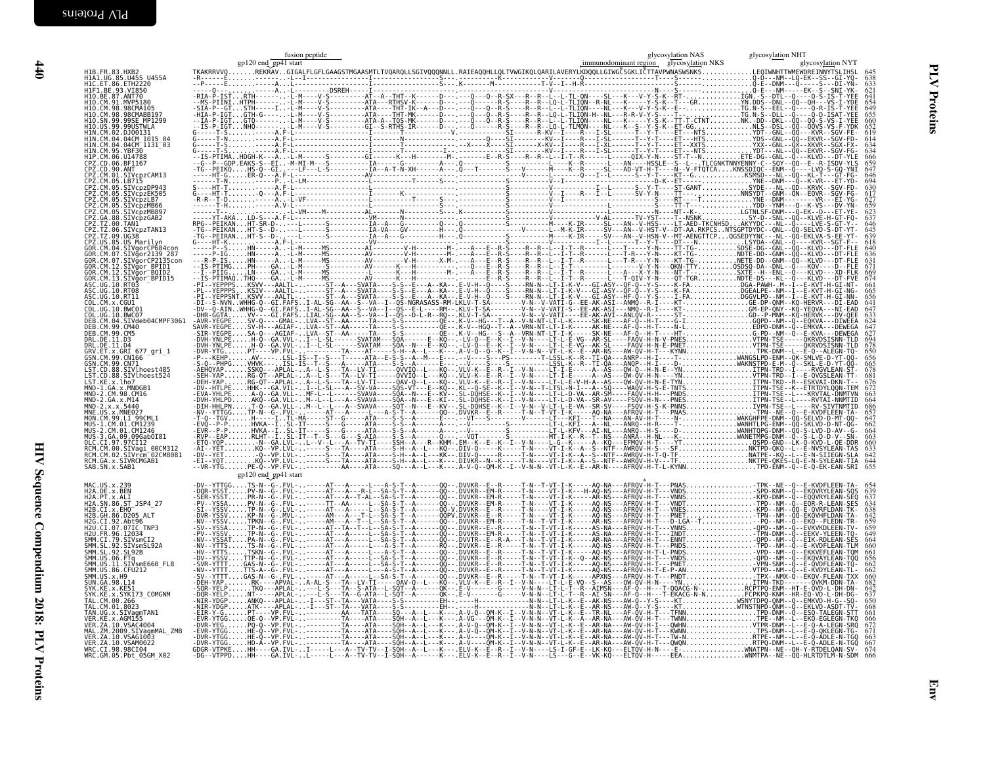$#10$ 

| H1B.FR.83.HXB2<br>H1A1.UG.85.U455 U455A<br>H1A1.UG.85.U455 U455A<br>H1C.ET.86.ETH2220<br>H1F1.BE.93.VI850                                                                                                                               |                      |  | 621                                                                |
|-----------------------------------------------------------------------------------------------------------------------------------------------------------------------------------------------------------------------------------------|----------------------|--|--------------------------------------------------------------------|
| H10.BE.87.N1790<br>H10.BE.87.ANT70<br>H10.CM.91.MVP5180<br>H10.CM.98.98CMABB197<br>H10.SN.99.99SE_MP1299<br>H10.US.99.99USTWLA<br>H1N.CM.02.0J00131                                                                                     |                      |  | 641<br>654<br>649<br>655<br>660<br>652<br>619<br>614<br>634<br>634 |
| HIN.CM.04.04CM 1015 04<br>HIN.CM.04.04CM 1131 03<br>HIN.CM.95.YBF30<br>H1P.CM.06.U14788<br>n Pr. C. 0.06. 8F1167<br>CPZ. CD. 90. ANT<br>CPZ. CD. 90. ANT<br>CPZ. CM. 01. SIDVCD<br>CPZ. CM. 05. SIVCDZDP943<br>CPZ. CM. 05. SIVCDZDP943 |                      |  | 666<br>659<br>647<br>646                                           |
| CPZ.CM.05.SIVcpzEK505<br>CPZ.CM.05.SIVcpzLB7<br>CPZ.CM.05.SIVcpzMB66<br>CPZ.CM.05.SIVcpzMB897<br>CPZ.GA.88.SIVcpzGAB2                                                                                                                   |                      |  |                                                                    |
| CPZ.TZ.00.TANI<br>CPZ.TZ.06.SIVcpzTAN13<br>CPZ.TZ.09.UG38<br>CPZ.12.09.0030<br>GOR.CM.04.SIVgorCP684.com<br>GOR.CM.04.SIVgorCP684.com<br>GOR.CM.07.SIVgorCP2135com<br>GOR.CM.12.SIVgorCP2135com<br>GOR.CM.12.SIVgor_BPID1               |                      |  | 646<br>645<br>639<br>$\frac{636}{631}$<br>671                      |
| .CM.12.SIVgor BOID2<br>GOR.CM.13.SIVgor_BPID15<br>ASC.UG.10.RT03<br>ASC.UG.10.RT03<br>ASC.UG.10.RT11<br>COL.CM.x.CGU1<br>COL.UG.10.BWC01<br>COL.UG.10.BWC07                                                                             |                      |  | $674$<br>$661$<br>$665$<br>647<br>633                              |
| DEB.CM.04.SIVdeb04CMPF3061<br>DEB.CM.99.CM40<br>DEB. CM. 99. CM5<br>DRL. DE. 11. D3<br>DRL.DE.II.D4<br>GRV.ET.x.GRI 677_gri_1<br>GSN.CM.99.CN166                                                                                        |                      |  | $624$<br>$647$<br>627<br>678<br>650<br>656                         |
| GSN.CM.99.CN71<br>LST.CD.88.SIVlhoest485<br>LST.CD.88.SIVINOESt524<br>MND-1.GA.x.MNDGB1<br>MND-1.GA.x.MNDGB1<br>MND-2.GA.x.M14                                                                                                          |                      |  | 665<br>676<br>672<br>664                                           |
| MND-2.x.x.5440<br>MNE.US.x.MNE027<br>MON.CM.99.L1 99CML1<br>MUS-1.CM.01.CM1239<br>2.CM.01.CM1246-<br>MUS-3.GA.09.09Gab0I81<br>OLC.CI.97.97CI12                                                                                          |                      |  | 686<br>657<br>664<br>$\frac{663}{660}$                             |
| RCM.CM.00.S1Vagi 00CM312<br>RCM.CM.02.SIVrcm_02CM8081<br>RCM.GA.x.SIVRCMGAB1<br>SAB.SN.x.SAB1                                                                                                                                           | gp120 end_gp41 start |  | 633<br>642<br>644<br>655                                           |
| MAC.US.x.239<br>H2A.DE.x.BEN<br>H2A.PT.x.ALI<br>H2A.SN.86.ST JSP4 27<br>H2B.CI.x.EH0<br>H2B.CI.x.EH0<br>H2B.GH.86.D205_ALT<br>H2G.CI.92.Abt96<br>H2U.CI.07.07IC TNP3                                                                    |                      |  | $\frac{639}{637}$<br>$659$<br>$659$                                |
| H2U.FR.96.12034<br>M20.1FR.30.1203<br>SMM. CL.79.SIVSmCI2<br>SMM. SL.92.SIVSmSL92A<br>SMM. US.06.FTq<br>ŠMM.UŠ.II.SIVsmE660 FL8<br>SMM.US.86.CFU212                                                                                     |                      |  | 660<br>661<br>656<br>662                                           |
| SMM.US.x.H9<br>SUN. GA. 98. L14<br>SYK.KE.x.KE51<br>SYK.KE.x.SYK173 COMGNM<br>TAL.CM.00.266                                                                                                                                             |                      |  | $\frac{682}{642}$<br>642<br>661                                    |
| TAN.UG.x.SIVagmTAN1<br>VER.KE.x.AGM155<br>VER.ZA.10.VSAC4004<br>MAL.ZM.2009.SIVagmMAL_ZMB<br>VER.ZA.10.VSAG1003<br>VER. ZA. 10. VSAM0022<br>WRC.CT.98.98CT04<br>WRC.GM.05.Pbt 05GM X02                                                  |                      |  | 666<br>663<br>$\frac{667}{674}$                                    |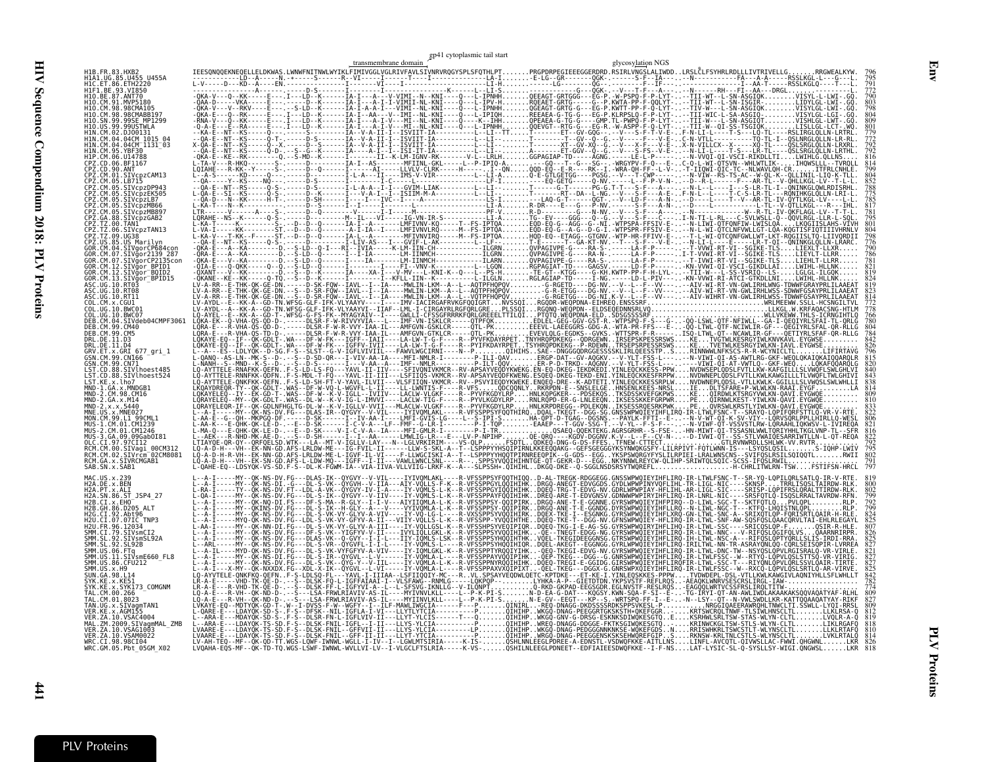|                                                               | transmembrane domain $\frac{\mathcal{E}P^{n+1}}{P}$ cytopiasmic tail start<br>glycosylation NGS                                                                                                                                 |  |
|---------------------------------------------------------------|---------------------------------------------------------------------------------------------------------------------------------------------------------------------------------------------------------------------------------|--|
|                                                               |                                                                                                                                                                                                                                 |  |
|                                                               |                                                                                                                                                                                                                                 |  |
|                                                               |                                                                                                                                                                                                                                 |  |
|                                                               |                                                                                                                                                                                                                                 |  |
|                                                               |                                                                                                                                                                                                                                 |  |
| 04CM <sup>-</sup> 1131 <sup>-</sup> 03                        |                                                                                                                                                                                                                                 |  |
|                                                               |                                                                                                                                                                                                                                 |  |
| -B/15                                                         |                                                                                                                                                                                                                                 |  |
| SIVcpzDP943<br>SIVcbzEK505                                    |                                                                                                                                                                                                                                 |  |
| SIVcpzLB7<br>SIVcbzMB66                                       |                                                                                                                                                                                                                                 |  |
| SIVcpzMB897<br>PZ.GA.88.SIVcpzGAB2                            |                                                                                                                                                                                                                                 |  |
| PZ.TZ.06.SIVcpzTAN13                                          |                                                                                                                                                                                                                                 |  |
| PZ.US.85.US Marilvn<br>.SIVgorCP684con                        |                                                                                                                                                                                                                                 |  |
| SIVgor2139 287<br>SIVgorCP2135con                             |                                                                                                                                                                                                                                 |  |
| SIVãor BPID1<br>:TVaor <sup>-</sup> B0TD2                     |                                                                                                                                                                                                                                 |  |
| SIVgor BPID15                                                 |                                                                                                                                                                                                                                 |  |
|                                                               |                                                                                                                                                                                                                                 |  |
| COL.UG.10.BWC07                                               |                                                                                                                                                                                                                                 |  |
| DEB.CM.04.SIVdeb04CMPF3061<br>DEB.CM.99.CM40                  |                                                                                                                                                                                                                                 |  |
| CM.99.CM5                                                     |                                                                                                                                                                                                                                 |  |
| RV.ET.x.GRI 677 gri 1                                         |                                                                                                                                                                                                                                 |  |
| SIVlhoest485                                                  |                                                                                                                                                                                                                                 |  |
| SIVlhoest524                                                  |                                                                                                                                                                                                                                 |  |
|                                                               |                                                                                                                                                                                                                                 |  |
|                                                               |                                                                                                                                                                                                                                 |  |
|                                                               |                                                                                                                                                                                                                                 |  |
| GA 09 09GabOT8                                                |                                                                                                                                                                                                                                 |  |
| CT.97.97CI12<br>RCM.CM.00.SIVagi 00CM312                      |                                                                                                                                                                                                                                 |  |
| RCM.CM.02.SIVrcm <sup>-</sup> 02CM8081<br>RCM.GA.x.SIVRCMGABI |                                                                                                                                                                                                                                 |  |
| SAB.SN.x.SAB1                                                 |                                                                                                                                                                                                                                 |  |
| H2A.DE.x.BEN<br>H2A.PT.x.ALI                                  |                                                                                                                                                                                                                                 |  |
| H2A.SN.86.ST JSP4 27                                          |                                                                                                                                                                                                                                 |  |
|                                                               |                                                                                                                                                                                                                                 |  |
| 79.SIVsmCI2                                                   |                                                                                                                                                                                                                                 |  |
| SIVsmSL92A<br>92.SL92B                                        |                                                                                                                                                                                                                                 |  |
| 11.SIVsmE660 FL8                                              |                                                                                                                                                                                                                                 |  |
| US.86.CFU212                                                  | ---A-I-----MY--QK-NS-DV-FG---DLAS-VK--1-GYY--I-I----IY-IQMLS-LSK--R-VFSSPPSYHVQIHTHKVQEL-TKEGIDEEGGNSG.GTRSWPWQIEYIHFLIRQ-IH-LTWL-NSC-A---RIFQSLQP1<br>---A-I-----MY--QK-NS-DV-FG---DLAS-VK--Q-GYY--I-I-L---IY-VQMLS-LSK--R-VFS |  |
| SUN GA 98.L14                                                 |                                                                                                                                                                                                                                 |  |
| x.SYK173 COMGNM<br>"AI (M.00.266<br>AL.CM.01.8023             |                                                                                                                                                                                                                                 |  |
| AN.UG.x.SIVagmTAN1<br>KE.X.AGM155                             |                                                                                                                                                                                                                                 |  |
| MAL.ZM.2009.SIVagmMAL ZMB                                     |                                                                                                                                                                                                                                 |  |
| VER.ZA.10.VSAG1003<br>VER.ZA.10.VSAM0022<br>WRC.CI.98.98CI04  |                                                                                                                                                                                                                                 |  |
| WRC.GM.05.Pbt_05GM X02                                        | ĽVOAHA-EŎS-MF--ŎK-ŤĎ-TO-WGS-LŠWF-IWNWL-WVLLVI-LV--I-VLGCLFTSLRIA-----K-VS-OSHILNLEEGLPDNEET--EDFIAIEESDWOFKKE--I-F-NSLAT-LYSIC-SL-Q-SYSLLSY-WIGI.ONGWSLLKR                                                                      |  |

Env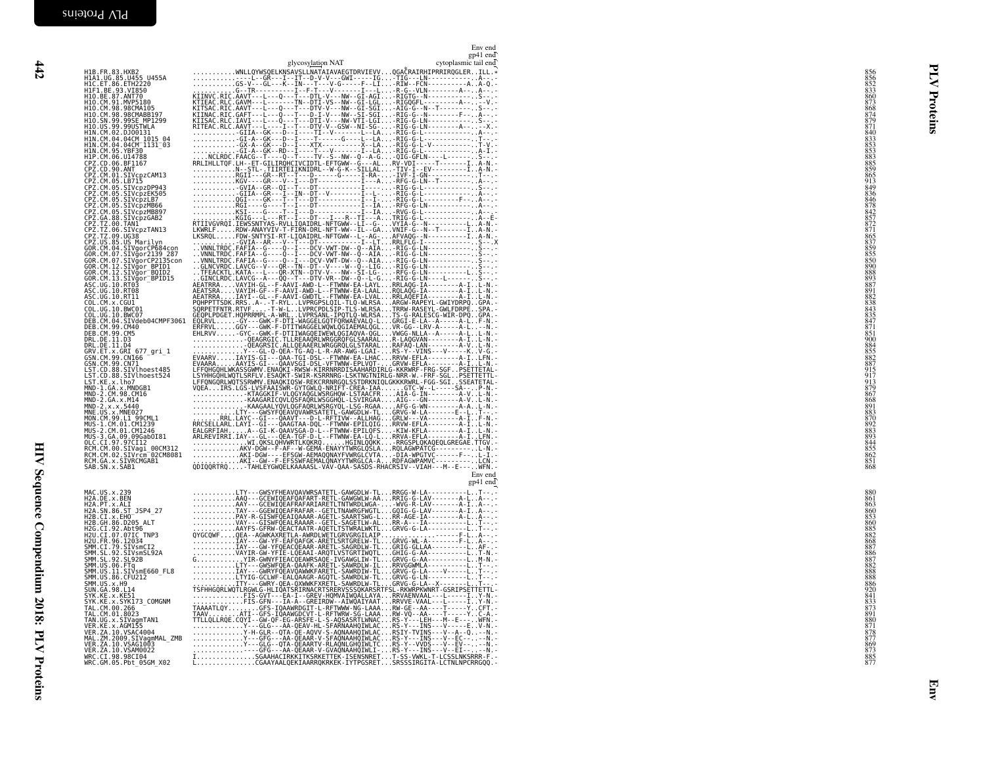|                                                                                                                                                                                                                                                           | Env end<br>gp41 end                       |                                                                    |         |
|-----------------------------------------------------------------------------------------------------------------------------------------------------------------------------------------------------------------------------------------------------------|-------------------------------------------|--------------------------------------------------------------------|---------|
| H1B. FR. 83. HXB2                                                                                                                                                                                                                                         | glycosylation NAT<br>cytoplasmic tail end |                                                                    |         |
| H1B : H. 83 .HXB2<br>H1A1 .UG. 85 .U455 0455A<br>H1C : ET 86 .ETH2220<br>H1O .EE .93 .V1850<br>H1O .CM .91 .MVP5180<br>H1O .CM .93 .98CMABB197<br>H1O .SN .99 .995CMABB197<br>H1O .SN .99 .995CMABB197<br>H1O .SN .99 .995CMABB197<br>H1O .SN .99 .995CMA |                                           | 856<br>856<br>852<br>852<br>852<br>852<br>868<br>873<br>873<br>879 |         |
|                                                                                                                                                                                                                                                           |                                           |                                                                    |         |
|                                                                                                                                                                                                                                                           |                                           |                                                                    | roteins |
|                                                                                                                                                                                                                                                           |                                           |                                                                    |         |
| H10. J9. 99. 99USTWLA<br>H10. US. 99. 99USTWLA<br>H1N. CM. 02. DJ00131<br>H1N. CM. 04. 04CM<br>H1N. CM. 04. 04CM<br>H1N. CM. 95. YBF30<br>H1P. CM. 06. U14788<br>H1P. CM. 06. U14788                                                                      |                                           |                                                                    |         |
| CPZ.CD.06.BF1167<br>CPZ.CD.90.ANT                                                                                                                                                                                                                         |                                           |                                                                    |         |
| CPZ.CM.01.SIVcpzCAM13<br>CPZ.CM.05.LB715                                                                                                                                                                                                                  |                                           | 840<br>833<br>853<br>853<br>883<br>885<br>85<br>949<br>836         |         |
| CPZ.CM.05.SIVcpzDP943                                                                                                                                                                                                                                     |                                           |                                                                    |         |
| CP2.CM.05.SIVCp2F49<br>CP2.CM.05.SIVCp2EK505<br>CP2.CM.05.SIVCp2ER506<br>CP2.CM.05.SIVCp2MB807<br>CP2.CM.05.SIVCp2MB807<br>CP2.T2.00.SINCp2<br>CP2.T2.00.SINCP2<br>CP2.T2.00.SIVCP2TAN13                                                                  |                                           | 8888272877288558888558890                                          |         |
|                                                                                                                                                                                                                                                           |                                           |                                                                    |         |
|                                                                                                                                                                                                                                                           |                                           |                                                                    |         |
|                                                                                                                                                                                                                                                           |                                           |                                                                    |         |
|                                                                                                                                                                                                                                                           |                                           |                                                                    |         |
|                                                                                                                                                                                                                                                           |                                           | 888<br>893<br>893<br>882<br>838<br>838<br>843<br>835               |         |
|                                                                                                                                                                                                                                                           |                                           |                                                                    |         |
| CPZ. TZ. 06. SIVCp2TAN13<br>CPZ. TZ. 09. UG38<br>GOR. CM. 04. SIVGpaCP139<br>280R. CM. 04. SIVGprCP684con<br>GOR. CM. 04. SIVGprCP21352<br>GOR. CM. 07. SIVGprCP2135con<br>GOR. CM. 12. SIVGprCP21135<br>ASC. UG. 10. RT03<br>ASC. UG. 10. RT03<br>ASC. U |                                           |                                                                    |         |
| <b>DEB.CM.04.SIVdeb04CMPF3061<br/>DEB.CM.04.SIVdeb04CMPF3061<br/>DEB.CM.99.CM5</b>                                                                                                                                                                        |                                           |                                                                    |         |
| DRL.DE.11.D3<br>DRL.DE.11.D4<br>GRV.ET.x.GRI 677 gri 1                                                                                                                                                                                                    |                                           | 84718518900884558827915917                                         |         |
| GSN.CM.99.CN166<br>GSN.CM.99.CN71<br>LST.CD.88.SIVlhoest485<br>LST.CD.88.SIVlhoest524                                                                                                                                                                     |                                           |                                                                    |         |
|                                                                                                                                                                                                                                                           |                                           |                                                                    |         |
| LST.KE.x.lho7<br>MND-1.GA.x.MNDGB1<br>MND-2.CM.98.CM16<br>MND-2.GA.x.M14                                                                                                                                                                                  |                                           | 913<br>879<br>867<br>868<br>891                                    |         |
| MND-2.x.x.5440<br>MNE.US.x.MNE027<br>MON.CM.99.L1 99CML1<br>MUS-1.CM.01.CM1239<br>MUS-2.CM.01.CM1246<br>MUS-2.CM.01.CM1246                                                                                                                                |                                           |                                                                    |         |
|                                                                                                                                                                                                                                                           |                                           |                                                                    |         |
| MUS-3.GA.09.09Gab0I81                                                                                                                                                                                                                                     |                                           | 883<br>870<br>892<br>883<br>883<br>844<br>855<br>862               |         |
| RCM.CM.00.SIVagi_00CM312<br>RCM.CM.02.SIVrcm <sup>-</sup> 02CM8081<br>RCM.GA.x.SIVRCMGAB1<br>SAB.SN.x.SAB1                                                                                                                                                |                                           | $\frac{851}{868}$                                                  |         |
|                                                                                                                                                                                                                                                           | Env end                                   |                                                                    |         |
|                                                                                                                                                                                                                                                           | $gp41$ end                                |                                                                    |         |
| MAC.US.x.239<br>H2A.DE.x.BEN<br>H2A.PT.x.ALI                                                                                                                                                                                                              |                                           | 880<br>861<br>863                                                  |         |
| H2A : SN. 86. ST<br>H2B : CI. x. EH0<br>H2B : CI. x. EH0<br>H2B : GH. 86. D205 ALT<br>H2G : CI. 92. Abt96<br>H2U : CI. 97. 07IC, TNP3                                                                                                                     |                                           |                                                                    |         |
|                                                                                                                                                                                                                                                           |                                           | 860<br>853<br>860<br>885<br>885<br>887<br>887<br>887               |         |
| H2U.FR.96.12034<br>SMM.CI.79.SIVsmCI2<br>SMM.SL.92.SIVsmSL92A<br>SMM.SL.92.SL92B                                                                                                                                                                          |                                           |                                                                    |         |
| SMM. US. 06. FTq<br>SMM. US. 11. SIVSmE660_FL8<br>SMM. US. 11. SIVSmE660_FL8<br>SMM. US. x. H9                                                                                                                                                            |                                           | 882<br>888<br>888                                                  |         |
|                                                                                                                                                                                                                                                           |                                           | 886<br>920                                                         |         |
| SUN. GA. 98. L14<br>SYK. KE. x. KE51<br>SYK.KE.x.SYK173 COMGNM                                                                                                                                                                                            |                                           | 841                                                                |         |
| TAL.CM.00.266<br>TAL.CM.01.8023<br>TAN.UG.x.SIVagmTAN1<br>VER.KE.x.AGM155                                                                                                                                                                                 |                                           |                                                                    |         |
| VER. ZA. 10. VSAC4004                                                                                                                                                                                                                                     |                                           |                                                                    |         |
| VAL. 2M. 2009. SIVagmMAL_ZMB<br>VER. ZA. 10. VSAG1003<br>VER. ZA. 10. VSAM0022<br>WRC. CI. 98. 98CI04                                                                                                                                                     |                                           | 873<br>891<br>880<br>877<br>877<br>877<br>885<br>877               |         |
| WRC.GM.05.Pbt_05GM_X02                                                                                                                                                                                                                                    |                                           |                                                                    |         |
|                                                                                                                                                                                                                                                           |                                           |                                                                    |         |
|                                                                                                                                                                                                                                                           |                                           |                                                                    | En      |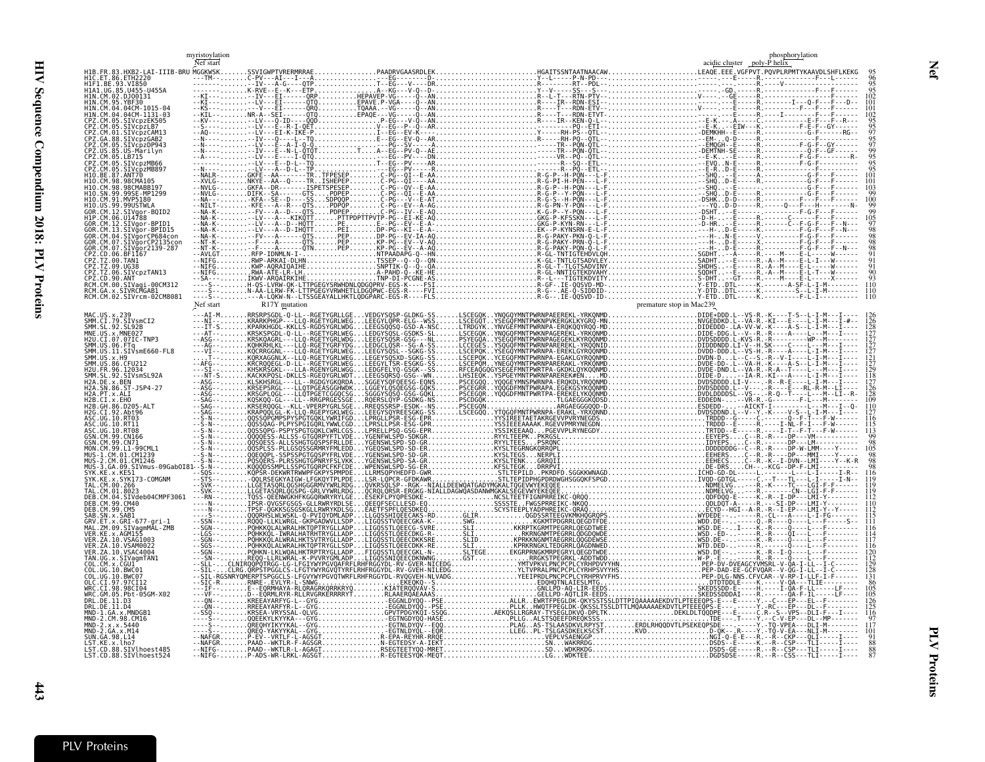myristoylation

<span id="page-40-0"></span>

| US-Marilyn                                       |        |                                        |                                               |
|--------------------------------------------------|--------|----------------------------------------|-----------------------------------------------|
| .05.IR715                                        |        |                                        |                                               |
| .87.ANT70                                        |        |                                        |                                               |
| 98.98CMA105                                      |        |                                        |                                               |
| SE-MP1299                                        |        |                                        |                                               |
|                                                  |        |                                        |                                               |
|                                                  |        |                                        |                                               |
|                                                  |        |                                        |                                               |
| BPID15<br>SIVãorCP684con                         |        |                                        |                                               |
| TVăorCP2135con،                                  |        |                                        |                                               |
| .SIVgor2139-287<br>PZ.CD.06.BF1167               |        |                                        |                                               |
| 09.UG38                                          |        |                                        |                                               |
| PZ. IZ.06. SIVCPZTAN13                           |        |                                        |                                               |
| 27.CD.90.ANT<br>RCM.CM.00.SIVagi-00CM312         |        |                                        |                                               |
| RCM.GA.x.SIVRCMGAB1<br>RCM.CM.02.SIVrcm-02CM8081 |        |                                        |                                               |
|                                                  |        |                                        |                                               |
|                                                  |        |                                        |                                               |
| SMM.CI.79.SIVsmCI2<br>MM SL 92 SL92B             |        |                                        |                                               |
| MNE.US.x.MNE027                                  |        |                                        |                                               |
| H2U.CI.07.07IC-TNP3                              |        |                                        |                                               |
| MM.US.11.SIVsmE660-FL8<br>MM.US.x.H9             |        |                                        |                                               |
| MM.US.86.CFU212                                  |        |                                        |                                               |
| MM.SL.92.SIVsmSL92A                              |        |                                        |                                               |
| 86.ST-JSP4-27                                    |        |                                        |                                               |
|                                                  |        |                                        |                                               |
|                                                  |        |                                        |                                               |
|                                                  |        |                                        |                                               |
| 10. RT11                                         |        |                                        |                                               |
|                                                  |        |                                        |                                               |
|                                                  |        |                                        |                                               |
|                                                  |        |                                        |                                               |
| CM.01.CM1246<br>09.SIVmus-09Gab0                 |        |                                        |                                               |
| SYK173-COMGNM                                    |        |                                        |                                               |
|                                                  |        |                                        |                                               |
| SIVdeb04CMPF3061.                                |        |                                        |                                               |
| 99.CM40<br>EB.CM.99.CM5                          |        |                                        |                                               |
| .ET.x.GRI-677-gri-1                              |        |                                        |                                               |
| .ZM.09.SIVagmMAL-ZMB                             |        |                                        |                                               |
| .KE.x.AGM155<br>ZA.10.VSAG1003                   |        |                                        |                                               |
| ZA.10.VSAM0022<br>'ER. ZA. 10. VSAC4004          |        |                                        |                                               |
|                                                  |        |                                        |                                               |
|                                                  |        |                                        |                                               |
|                                                  |        |                                        |                                               |
| WRC.CI.98.98CI04                                 |        |                                        |                                               |
| 05. Pbt-05GM-X02<br>DE 11.D3                     |        |                                        |                                               |
| .DE . 11 . D4<br>MND-1.GA.x.MNDGB1               |        |                                        |                                               |
| .CM.98.CM16                                      |        |                                        |                                               |
|                                                  |        |                                        |                                               |
| UN.GA.98.L14<br>.ST.KE.x.lho7                    |        |                                        |                                               |
| .CD.88.SIVlhoest485<br>LST.CD.88.SIVlhoest524    | -NIFG- | .P-ADS-WR-LRKL-AGSGTR-EGTEESYQK-MEQTLG | .WDKTEEDGDSDSE-----R.--R--CSS---TLI-----I---- |
|                                                  |        |                                        |                                               |